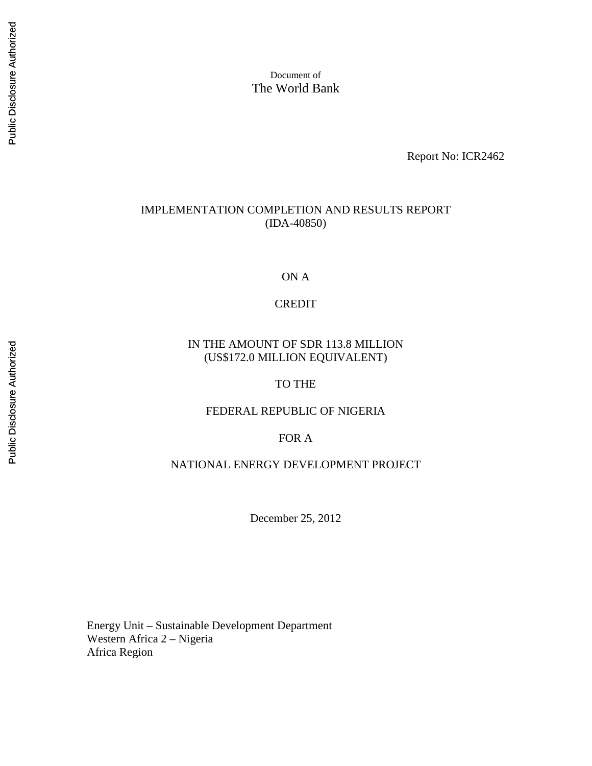Document of The World Bank

Report No: ICR2462

#### IMPLEMENTATION COMPLETION AND RESULTS REPORT (IDA-40850)

ON A

CREDIT

#### IN THE AMOUNT OF SDR 113.8 MILLION (US\$172.0 MILLION EQUIVALENT)

TO THE

#### FEDERAL REPUBLIC OF NIGERIA

FOR A

NATIONAL ENERGY DEVELOPMENT PROJECT

December 25, 2012

Energy Unit – Sustainable Development Department Western Africa 2 – Nigeria Africa Region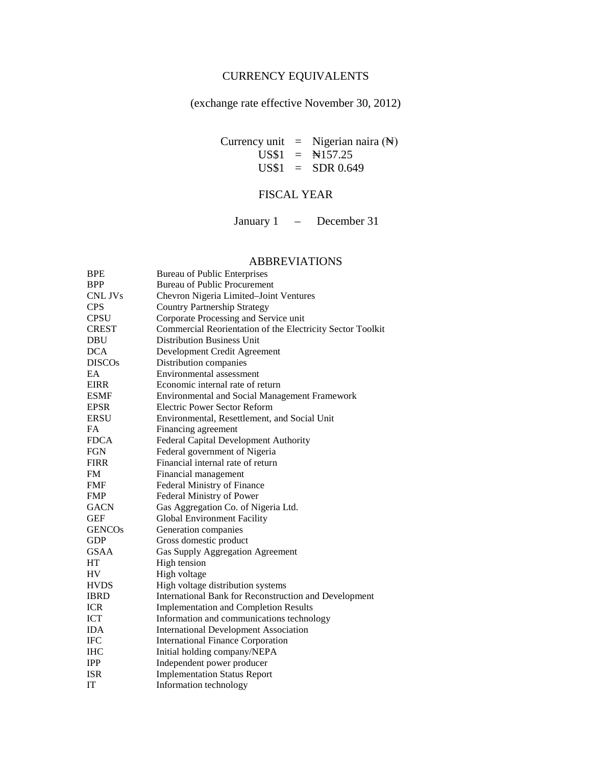## CURRENCY EQUIVALENTS

(exchange rate effective November 30, 2012)

Currency unit = Nigerian naira  $(\mathbb{N})$ US\$1 = ₦157.25  $US$1 = SDR 0.649$ 

## FISCAL YEAR

January 1 – December 31

#### ABBREVIATIONS

| <b>BPE</b>    | <b>Bureau of Public Enterprises</b>                        |
|---------------|------------------------------------------------------------|
| <b>BPP</b>    | <b>Bureau of Public Procurement</b>                        |
| CNL JVs       | Chevron Nigeria Limited-Joint Ventures                     |
| <b>CPS</b>    | <b>Country Partnership Strategy</b>                        |
| <b>CPSU</b>   | Corporate Processing and Service unit                      |
| <b>CREST</b>  | Commercial Reorientation of the Electricity Sector Toolkit |
| <b>DBU</b>    | <b>Distribution Business Unit</b>                          |
| <b>DCA</b>    | Development Credit Agreement                               |
| <b>DISCOs</b> | Distribution companies                                     |
| EA            | Environmental assessment                                   |
| <b>EIRR</b>   | Economic internal rate of return                           |
| <b>ESMF</b>   | <b>Environmental and Social Management Framework</b>       |
| <b>EPSR</b>   | <b>Electric Power Sector Reform</b>                        |
| <b>ERSU</b>   | Environmental, Resettlement, and Social Unit               |
| <b>FA</b>     | Financing agreement                                        |
| <b>FDCA</b>   | Federal Capital Development Authority                      |
| <b>FGN</b>    | Federal government of Nigeria                              |
| <b>FIRR</b>   | Financial internal rate of return                          |
| <b>FM</b>     | Financial management                                       |
| <b>FMF</b>    | Federal Ministry of Finance                                |
| <b>FMP</b>    | Federal Ministry of Power                                  |
| <b>GACN</b>   | Gas Aggregation Co. of Nigeria Ltd.                        |
| <b>GEF</b>    | <b>Global Environment Facility</b>                         |
| <b>GENCOs</b> | Generation companies                                       |
| <b>GDP</b>    | Gross domestic product                                     |
| <b>GSAA</b>   | <b>Gas Supply Aggregation Agreement</b>                    |
| HT            | High tension                                               |
| <b>HV</b>     | High voltage                                               |
| <b>HVDS</b>   | High voltage distribution systems                          |
| <b>IBRD</b>   | International Bank for Reconstruction and Development      |
| <b>ICR</b>    | <b>Implementation and Completion Results</b>               |
| <b>ICT</b>    | Information and communications technology                  |
| <b>IDA</b>    | <b>International Development Association</b>               |
| <b>IFC</b>    | <b>International Finance Corporation</b>                   |
| <b>IHC</b>    | Initial holding company/NEPA                               |
| <b>IPP</b>    | Independent power producer                                 |
| <b>ISR</b>    | <b>Implementation Status Report</b>                        |
| IT            | Information technology                                     |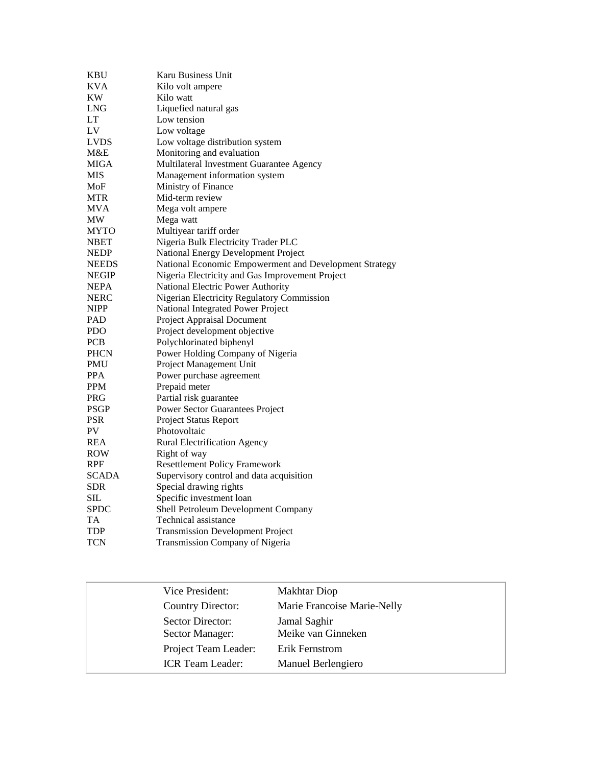| KBU          | Karu Business Unit                                     |
|--------------|--------------------------------------------------------|
| <b>KVA</b>   | Kilo volt ampere                                       |
| KW           | Kilo watt                                              |
| <b>LNG</b>   | Liquefied natural gas                                  |
| LT           | Low tension                                            |
| LV           | Low voltage                                            |
| LVDS         | Low voltage distribution system                        |
| M&E          | Monitoring and evaluation                              |
| MIGA         | Multilateral Investment Guarantee Agency               |
| MIS          | Management information system                          |
| MoF          | Ministry of Finance                                    |
| <b>MTR</b>   | Mid-term review                                        |
| MVA          | Mega volt ampere                                       |
| <b>MW</b>    | Mega watt                                              |
| <b>MYTO</b>  | Multiyear tariff order                                 |
| <b>NBET</b>  | Nigeria Bulk Electricity Trader PLC                    |
| <b>NEDP</b>  | National Energy Development Project                    |
| <b>NEEDS</b> | National Economic Empowerment and Development Strategy |
| <b>NEGIP</b> | Nigeria Electricity and Gas Improvement Project        |
| <b>NEPA</b>  | National Electric Power Authority                      |
| <b>NERC</b>  | Nigerian Electricity Regulatory Commission             |
| NIPP         | National Integrated Power Project                      |
| <b>PAD</b>   | Project Appraisal Document                             |
| <b>PDO</b>   | Project development objective                          |
| <b>PCB</b>   | Polychlorinated biphenyl                               |
| <b>PHCN</b>  | Power Holding Company of Nigeria                       |
| PMU          | Project Management Unit                                |
| <b>PPA</b>   | Power purchase agreement                               |
| <b>PPM</b>   | Prepaid meter                                          |
| <b>PRG</b>   | Partial risk guarantee                                 |
| <b>PSGP</b>  | <b>Power Sector Guarantees Project</b>                 |
| <b>PSR</b>   | <b>Project Status Report</b>                           |
| PV           | Photovoltaic                                           |
| REA          | <b>Rural Electrification Agency</b>                    |
| ROW          | Right of way                                           |
| RPF          | <b>Resettlement Policy Framework</b>                   |
| <b>SCADA</b> | Supervisory control and data acquisition               |
| SDR          | Special drawing rights                                 |
| SIL          | Specific investment loan                               |
| <b>SPDC</b>  | Shell Petroleum Development Company                    |
| <b>TA</b>    | Technical assistance                                   |
| <b>TDP</b>   | <b>Transmission Development Project</b>                |
| TCN          | Transmission Company of Nigeria                        |

| Vice President:                     | <b>Makhtar Diop</b>                |  |
|-------------------------------------|------------------------------------|--|
| <b>Country Director:</b>            | Marie Francoise Marie-Nelly        |  |
| Sector Director:<br>Sector Manager: | Jamal Saghir<br>Meike van Ginneken |  |
| Project Team Leader:                | Erik Fernstrom                     |  |
| <b>ICR</b> Team Leader:             | Manuel Berlengiero                 |  |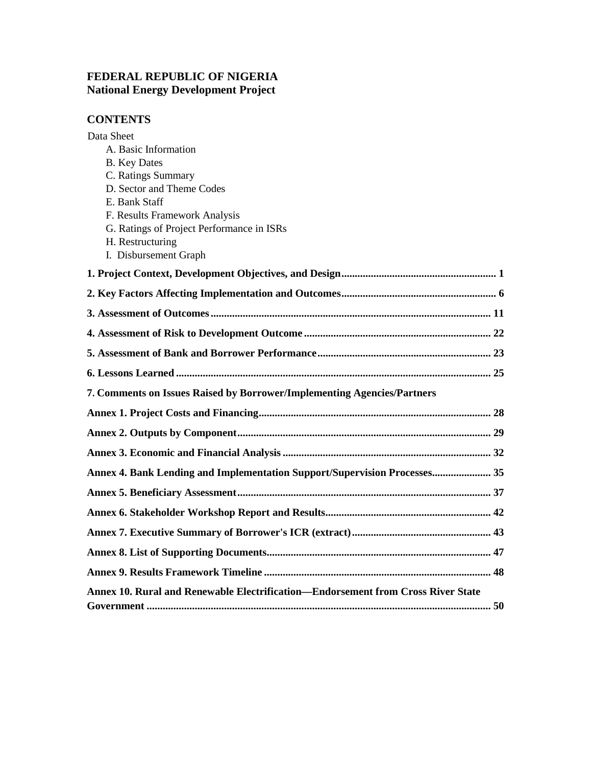## **FEDERAL REPUBLIC OF NIGERIA National Energy Development Project**

## **CONTENTS**

| Data Sheet                                                                       |
|----------------------------------------------------------------------------------|
| A. Basic Information                                                             |
| <b>B.</b> Key Dates                                                              |
| C. Ratings Summary                                                               |
| D. Sector and Theme Codes                                                        |
| E. Bank Staff                                                                    |
| F. Results Framework Analysis                                                    |
| G. Ratings of Project Performance in ISRs                                        |
| H. Restructuring                                                                 |
| I. Disbursement Graph                                                            |
|                                                                                  |
|                                                                                  |
|                                                                                  |
|                                                                                  |
|                                                                                  |
|                                                                                  |
| 7. Comments on Issues Raised by Borrower/Implementing Agencies/Partners          |
|                                                                                  |
|                                                                                  |
|                                                                                  |
| Annex 4. Bank Lending and Implementation Support/Supervision Processes 35        |
|                                                                                  |
|                                                                                  |
|                                                                                  |
|                                                                                  |
|                                                                                  |
| Annex 10. Rural and Renewable Electrification—Endorsement from Cross River State |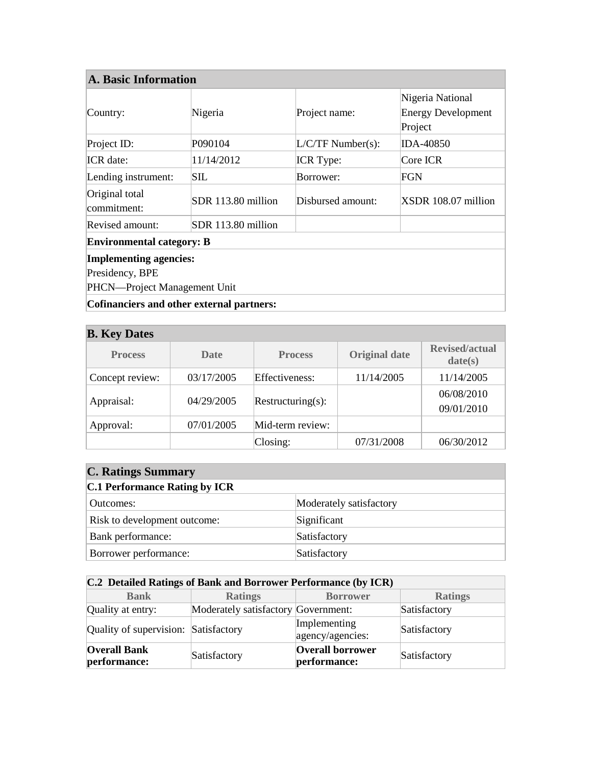| <b>A. Basic Information</b>      |                    |                     |                                                          |
|----------------------------------|--------------------|---------------------|----------------------------------------------------------|
| Country:                         | Nigeria            | Project name:       | Nigeria National<br><b>Energy Development</b><br>Project |
| Project ID:                      | P090104            | $L/C/TF$ Number(s): | <b>IDA-40850</b>                                         |
| <b>ICR</b> date:                 | 11/14/2012         | <b>ICR</b> Type:    | Core ICR                                                 |
| Lending instrument:              | SШ                 | Borrower:           | FGN                                                      |
| Original total<br>commitment:    | SDR 113.80 million | Disbursed amount:   | XSDR 108.07 million                                      |
| Revised amount:                  | SDR 113.80 million |                     |                                                          |
| <b>Environmental category: B</b> |                    |                     |                                                          |
| <b>Implementing agencies:</b>    |                    |                     |                                                          |
| Presidency, BPE                  |                    |                     |                                                          |
| PHCN—Project Management Unit     |                    |                     |                                                          |
|                                  |                    |                     |                                                          |

| <b>Cofinanciers and other external partners:</b> |  |  |
|--------------------------------------------------|--|--|
|                                                  |  |  |

| <b>B.</b> Key Dates |            |                   |                      |                                  |  |
|---------------------|------------|-------------------|----------------------|----------------------------------|--|
| <b>Process</b>      | Date       | <b>Process</b>    | <b>Original date</b> | <b>Revised/actual</b><br>date(s) |  |
| Concept review:     | 03/17/2005 | Effectiveness:    | 11/14/2005           | 11/14/2005                       |  |
| Appraisal:          | 04/29/2005 | Restructuring(s): |                      | 06/08/2010<br>09/01/2010         |  |
| Approval:           | 07/01/2005 | Mid-term review:  |                      |                                  |  |
|                     |            | Closing:          | 07/31/2008           | 06/30/2012                       |  |

| <b>C. Ratings Summary</b>            |                         |  |  |
|--------------------------------------|-------------------------|--|--|
| <b>C.1 Performance Rating by ICR</b> |                         |  |  |
| Outcomes:                            | Moderately satisfactory |  |  |
| Risk to development outcome:         | Significant             |  |  |
| Bank performance:                    | Satisfactory            |  |  |
| Borrower performance:                | Satisfactory            |  |  |

| C.2 Detailed Ratings of Bank and Borrower Performance (by ICR) |                                     |                                         |                |  |
|----------------------------------------------------------------|-------------------------------------|-----------------------------------------|----------------|--|
| <b>Bank</b>                                                    | <b>Ratings</b>                      | <b>Borrower</b>                         | <b>Ratings</b> |  |
| Quality at entry:                                              | Moderately satisfactory Government: |                                         | Satisfactory   |  |
| Quality of supervision: Satisfactory                           |                                     | Implementing<br>agency/agencies:        | Satisfactory   |  |
| <b>Overall Bank</b><br>performance:                            | Satisfactory                        | <b>Overall borrower</b><br>performance: | Satisfactory   |  |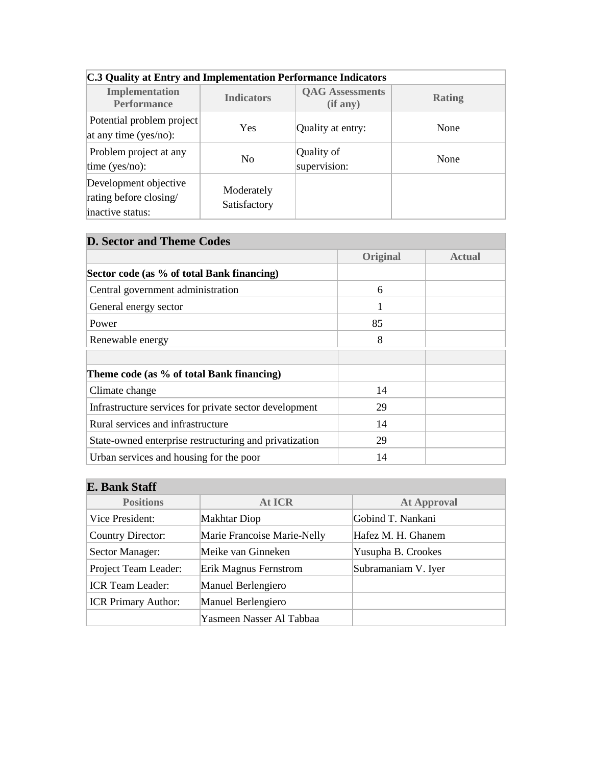| C.3 Quality at Entry and Implementation Performance Indicators      |                            |                                    |               |  |  |
|---------------------------------------------------------------------|----------------------------|------------------------------------|---------------|--|--|
| <b>Implementation</b><br><b>Performance</b>                         | <b>Indicators</b>          | <b>QAG Assessments</b><br>(if any) | <b>Rating</b> |  |  |
| Potential problem project<br>at any time (yes/no):                  | <b>Yes</b>                 | Quality at entry:                  | None          |  |  |
| Problem project at any<br>time ( $yes/no$ ):                        | N <sub>o</sub>             | Quality of<br>supervision:         | None          |  |  |
| Development objective<br>rating before closing/<br>inactive status: | Moderately<br>Satisfactory |                                    |               |  |  |

# **C.3 Quality at Entry and Implementation Performance Indicators**

## **D. Sector and Theme Codes**

|                                                        | <b>Original</b> | <b>Actual</b> |
|--------------------------------------------------------|-----------------|---------------|
| Sector code (as % of total Bank financing)             |                 |               |
| Central government administration                      | 6               |               |
| General energy sector                                  | 1               |               |
| Power                                                  | 85              |               |
| Renewable energy                                       | 8               |               |
|                                                        |                 |               |
| Theme code (as % of total Bank financing)              |                 |               |
| Climate change                                         | 14              |               |
| Infrastructure services for private sector development | 29              |               |
| Rural services and infrastructure                      | 14              |               |
| State-owned enterprise restructuring and privatization | 29              |               |
| Urban services and housing for the poor                | 14              |               |

# **E. Bank Staff**

| <b>Positions</b>           | <b>At ICR</b>               | <b>At Approval</b>  |
|----------------------------|-----------------------------|---------------------|
| Vice President:            | Makhtar Diop                | Gobind T. Nankani   |
| <b>Country Director:</b>   | Marie Francoise Marie-Nelly | Hafez M. H. Ghanem  |
| Sector Manager:            | Meike van Ginneken          | Yusupha B. Crookes  |
| Project Team Leader:       | Erik Magnus Fernstrom       | Subramaniam V. Iyer |
| <b>ICR Team Leader:</b>    | Manuel Berlengiero          |                     |
| <b>ICR Primary Author:</b> | Manuel Berlengiero          |                     |
|                            | Yasmeen Nasser Al Tabbaa    |                     |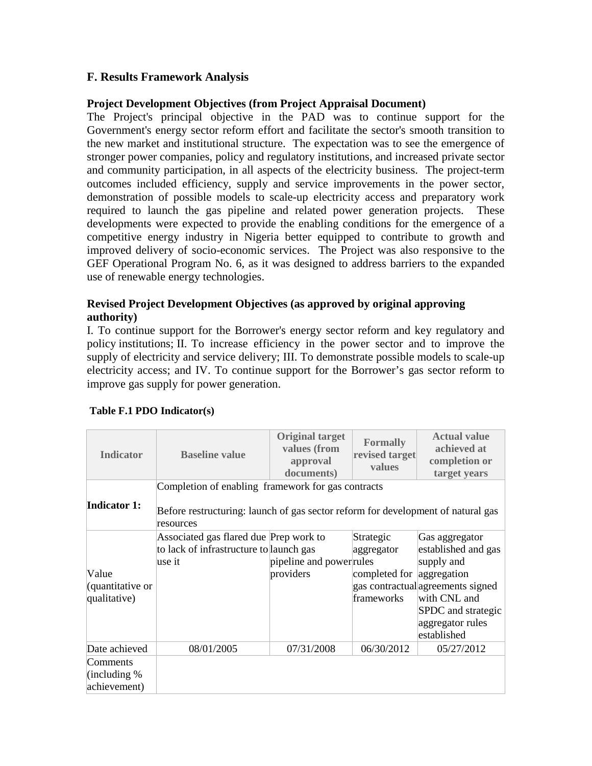## **F. Results Framework Analysis**

#### **Project Development Objectives (from Project Appraisal Document)**

The Project's principal objective in the PAD was to continue support for the Government's energy sector reform effort and facilitate the sector's smooth transition to the new market and institutional structure. The expectation was to see the emergence of stronger power companies, policy and regulatory institutions, and increased private sector and community participation, in all aspects of the electricity business. The project-term outcomes included efficiency, supply and service improvements in the power sector, demonstration of possible models to scale-up electricity access and preparatory work required to launch the gas pipeline and related power generation projects. These developments were expected to provide the enabling conditions for the emergence of a competitive energy industry in Nigeria better equipped to contribute to growth and improved delivery of socio-economic services. The Project was also responsive to the GEF Operational Program No. 6, as it was designed to address barriers to the expanded use of renewable energy technologies.

#### **Revised Project Development Objectives (as approved by original approving authority)**

I. To continue support for the Borrower's energy sector reform and key regulatory and policy institutions; II. To increase efficiency in the power sector and to improve the supply of electricity and service delivery; III. To demonstrate possible models to scale-up electricity access; and IV. To continue support for the Borrower's gas sector reform to improve gas supply for power generation.

| <b>Indicator</b>                           | <b>Baseline value</b>                                                                                                                               | <b>Original target</b><br>values (from<br>approval<br>documents) | <b>Formally</b><br>revised target<br>values                        | <b>Actual value</b><br>achieved at<br>completion or<br>target years                                                                                               |
|--------------------------------------------|-----------------------------------------------------------------------------------------------------------------------------------------------------|------------------------------------------------------------------|--------------------------------------------------------------------|-------------------------------------------------------------------------------------------------------------------------------------------------------------------|
| <b>Indicator 1:</b>                        | Completion of enabling framework for gas contracts<br>Before restructuring: launch of gas sector reform for development of natural gas<br>resources |                                                                  |                                                                    |                                                                                                                                                                   |
| Value<br>(quantitative or<br>qualitative)  | Associated gas flared due Prep work to<br>to lack of infrastructure to launch gas<br>use it                                                         | pipeline and power rules<br>providers                            | Strategic<br>aggregator<br>completed for aggregation<br>frameworks | Gas aggregator<br>established and gas<br>supply and<br>gas contractual agreements signed<br>with CNL and<br>SPDC and strategic<br>aggregator rules<br>established |
| Date achieved                              | 08/01/2005                                                                                                                                          | 07/31/2008                                                       | 06/30/2012                                                         | 05/27/2012                                                                                                                                                        |
| Comments<br>(including $%$<br>achievement) |                                                                                                                                                     |                                                                  |                                                                    |                                                                                                                                                                   |

#### **Table F.1 PDO Indicator(s)**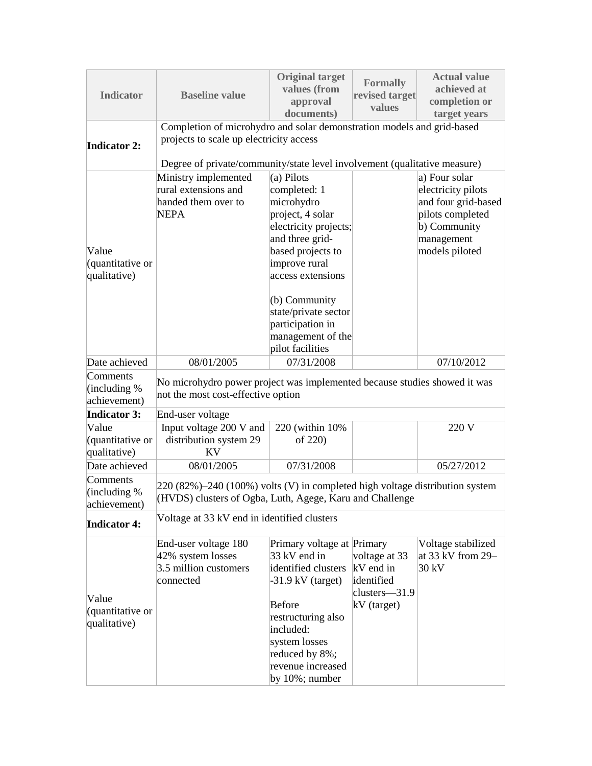| <b>Indicator</b>                           | <b>Baseline value</b>                                                                                                                      | <b>Original target</b><br>values (from<br>approval<br>documents)                                                                                                                                             | <b>Formally</b><br>revised target<br>values                              | <b>Actual value</b><br>achieved at<br>completion or<br>target years                                                            |  |  |  |
|--------------------------------------------|--------------------------------------------------------------------------------------------------------------------------------------------|--------------------------------------------------------------------------------------------------------------------------------------------------------------------------------------------------------------|--------------------------------------------------------------------------|--------------------------------------------------------------------------------------------------------------------------------|--|--|--|
| <b>Indicator 2:</b>                        | Completion of microhydro and solar demonstration models and grid-based<br>projects to scale up electricity access                          |                                                                                                                                                                                                              |                                                                          |                                                                                                                                |  |  |  |
|                                            | Degree of private/community/state level involvement (qualitative measure)                                                                  |                                                                                                                                                                                                              |                                                                          |                                                                                                                                |  |  |  |
| Value<br>(quantitative or<br>qualitative)  | Ministry implemented<br>rural extensions and<br>handed them over to<br><b>NEPA</b>                                                         | (a) Pilots<br>completed: 1<br>microhydro<br>project, 4 solar<br>electricity projects;<br>and three grid-<br>based projects to<br>improve rural<br>access extensions<br>(b) Community<br>state/private sector |                                                                          | a) Four solar<br>electricity pilots<br>and four grid-based<br>pilots completed<br>b) Community<br>management<br>models piloted |  |  |  |
|                                            |                                                                                                                                            | participation in                                                                                                                                                                                             |                                                                          |                                                                                                                                |  |  |  |
|                                            |                                                                                                                                            | management of the<br>pilot facilities                                                                                                                                                                        |                                                                          |                                                                                                                                |  |  |  |
| Date achieved                              | 08/01/2005                                                                                                                                 | 07/31/2008                                                                                                                                                                                                   |                                                                          | 07/10/2012                                                                                                                     |  |  |  |
| Comments<br>(including $%$<br>achievement) | No microhydro power project was implemented because studies showed it was<br>not the most cost-effective option                            |                                                                                                                                                                                                              |                                                                          |                                                                                                                                |  |  |  |
| <b>Indicator 3:</b>                        | End-user voltage                                                                                                                           |                                                                                                                                                                                                              |                                                                          |                                                                                                                                |  |  |  |
| Value<br>(quantitative or<br>qualitative)  | Input voltage 200 V and<br>distribution system 29<br><b>KV</b>                                                                             | 220 (within 10%)<br>of 220)                                                                                                                                                                                  |                                                                          | 220 V                                                                                                                          |  |  |  |
| Date achieved                              | 08/01/2005                                                                                                                                 | 07/31/2008                                                                                                                                                                                                   |                                                                          | 05/27/2012                                                                                                                     |  |  |  |
| Comments<br>(including $%$<br>achievement) | $220(82%) - 240(100%)$ volts (V) in completed high voltage distribution system<br>(HVDS) clusters of Ogba, Luth, Agege, Karu and Challenge |                                                                                                                                                                                                              |                                                                          |                                                                                                                                |  |  |  |
| <b>Indicator 4:</b>                        | Voltage at 33 kV end in identified clusters                                                                                                |                                                                                                                                                                                                              |                                                                          |                                                                                                                                |  |  |  |
| Value<br>(quantitative or<br>qualitative)  | End-user voltage 180<br>42% system losses<br>3.5 million customers<br>connected                                                            | Primary voltage at Primary<br>33 kV end in<br>identified clusters<br>$-31.9$ kV (target)<br><b>Before</b><br>restructuring also<br>included:<br>system losses<br>reduced by 8%;                              | voltage at 33<br>kV end in<br>identified<br>clusters-31.9<br>kV (target) | Voltage stabilized<br>at 33 kV from 29-<br>30 kV                                                                               |  |  |  |
|                                            |                                                                                                                                            | revenue increased<br>by 10%; number                                                                                                                                                                          |                                                                          |                                                                                                                                |  |  |  |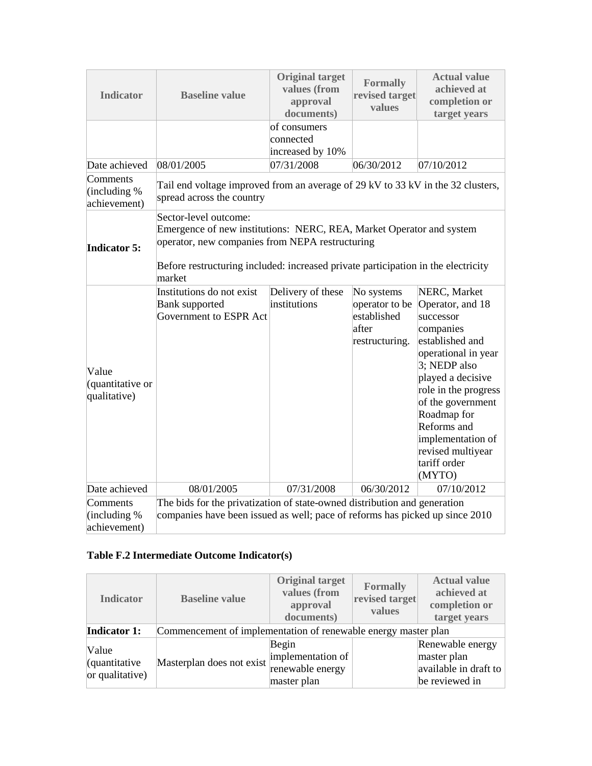| <b>Original target</b><br>values (from<br><b>Indicator</b><br><b>Baseline value</b><br>approval<br>documents) |                                                                                                                                                                                                                                                 | <b>Formally</b><br>revised target<br>values   | <b>Actual value</b><br>achieved at<br>completion or<br>target years    |                                                                                                                                                                                                                                                                                          |  |  |
|---------------------------------------------------------------------------------------------------------------|-------------------------------------------------------------------------------------------------------------------------------------------------------------------------------------------------------------------------------------------------|-----------------------------------------------|------------------------------------------------------------------------|------------------------------------------------------------------------------------------------------------------------------------------------------------------------------------------------------------------------------------------------------------------------------------------|--|--|
|                                                                                                               |                                                                                                                                                                                                                                                 | of consumers<br>connected<br>increased by 10% |                                                                        |                                                                                                                                                                                                                                                                                          |  |  |
| Date achieved                                                                                                 | 08/01/2005                                                                                                                                                                                                                                      | 07/31/2008                                    | 06/30/2012                                                             | 07/10/2012                                                                                                                                                                                                                                                                               |  |  |
| Comments<br>(including $%$<br>achievement)                                                                    | Tail end voltage improved from an average of 29 kV to 33 kV in the 32 clusters,<br>spread across the country                                                                                                                                    |                                               |                                                                        |                                                                                                                                                                                                                                                                                          |  |  |
| <b>Indicator 5:</b>                                                                                           | Sector-level outcome:<br>Emergence of new institutions: NERC, REA, Market Operator and system<br>operator, new companies from NEPA restructuring<br>Before restructuring included: increased private participation in the electricity<br>market |                                               |                                                                        |                                                                                                                                                                                                                                                                                          |  |  |
| Value<br>(quantitative or<br>qualitative)                                                                     | Institutions do not exist<br><b>Bank supported</b><br>Government to ESPR Act                                                                                                                                                                    | Delivery of these<br>institutions             | No systems<br>operator to be<br>established<br>after<br>restructuring. | NERC, Market<br>Operator, and 18<br>successor<br>companies<br>established and<br>operational in year<br>3; NEDP also<br>played a decisive<br>role in the progress<br>of the government<br>Roadmap for<br>Reforms and<br>implementation of<br>revised multiyear<br>tariff order<br>(MYTO) |  |  |
| Date achieved                                                                                                 | 08/01/2005                                                                                                                                                                                                                                      | 07/31/2008                                    | 06/30/2012                                                             | 07/10/2012                                                                                                                                                                                                                                                                               |  |  |
| Comments<br>(including $%$<br>achievement)                                                                    | The bids for the privatization of state-owned distribution and generation<br>companies have been issued as well; pace of reforms has picked up since 2010                                                                                       |                                               |                                                                        |                                                                                                                                                                                                                                                                                          |  |  |

## **Table F.2 Intermediate Outcome Indicator(s)**

| <b>Indicator</b>                                   | <b>Baseline value</b>                                          | <b>Original target</b><br>values (from<br>approval<br>documents) | <b>Formally</b><br>revised target<br>values | <b>Actual value</b><br>achieved at<br>completion or<br>target years        |  |
|----------------------------------------------------|----------------------------------------------------------------|------------------------------------------------------------------|---------------------------------------------|----------------------------------------------------------------------------|--|
| <b>Indicator 1:</b>                                | Commencement of implementation of renewable energy master plan |                                                                  |                                             |                                                                            |  |
| Value<br>$\alpha$ (quantitative<br>or qualitative) | Masterplan does not exist                                      | Begin<br>implementation of<br>renewable energy<br>master plan    |                                             | Renewable energy<br>master plan<br>available in draft to<br>be reviewed in |  |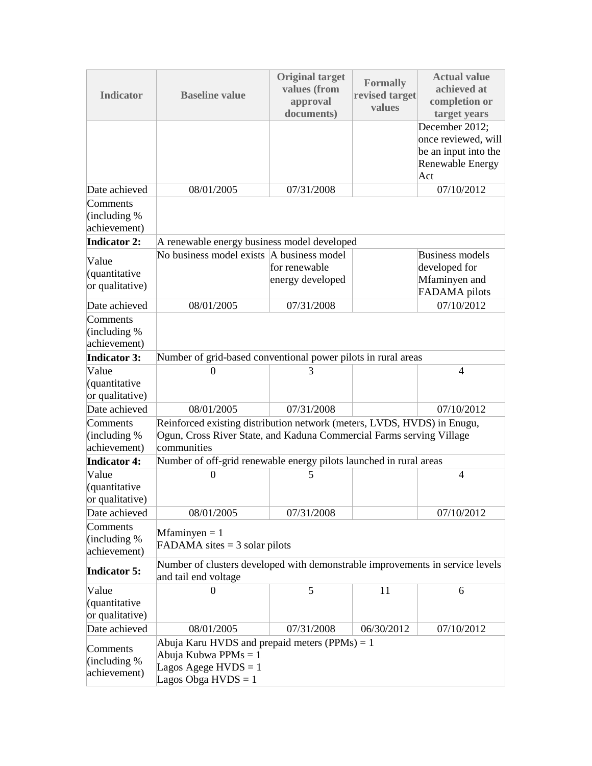| <b>Indicator</b>                           | <b>Baseline value</b>                                                                                                                                          | <b>Original target</b><br>values (from<br>approval<br>documents) | <b>Formally</b><br>revised target<br>values   | <b>Actual value</b><br>achieved at<br>completion or<br>target years                      |  |  |  |
|--------------------------------------------|----------------------------------------------------------------------------------------------------------------------------------------------------------------|------------------------------------------------------------------|-----------------------------------------------|------------------------------------------------------------------------------------------|--|--|--|
|                                            |                                                                                                                                                                |                                                                  |                                               | December 2012;<br>once reviewed, will<br>be an input into the<br>Renewable Energy<br>Act |  |  |  |
| Date achieved                              | 08/01/2005                                                                                                                                                     | 07/31/2008                                                       |                                               | 07/10/2012                                                                               |  |  |  |
| Comments<br>(including %)<br>achievement)  |                                                                                                                                                                |                                                                  |                                               |                                                                                          |  |  |  |
| <b>Indicator 2:</b>                        | A renewable energy business model developed                                                                                                                    |                                                                  |                                               |                                                                                          |  |  |  |
| Value<br>(quantitative<br>or qualitative)  | No business model exists A business model                                                                                                                      | for renewable<br>energy developed                                |                                               | <b>Business models</b><br>developed for<br>Mfaminyen and<br>FADAMA pilots                |  |  |  |
| Date achieved                              | 08/01/2005                                                                                                                                                     | 07/31/2008                                                       |                                               | 07/10/2012                                                                               |  |  |  |
| Comments<br>(including $%$<br>achievement) |                                                                                                                                                                |                                                                  |                                               |                                                                                          |  |  |  |
| <b>Indicator 3:</b>                        | Number of grid-based conventional power pilots in rural areas                                                                                                  |                                                                  |                                               |                                                                                          |  |  |  |
| Value<br>(quantitative<br>or qualitative)  | $\Omega$                                                                                                                                                       | 3                                                                |                                               | $\overline{4}$                                                                           |  |  |  |
| Date achieved                              | 08/01/2005                                                                                                                                                     | 07/31/2008                                                       |                                               | 07/10/2012                                                                               |  |  |  |
| Comments<br>(including $%$<br>achievement) | Reinforced existing distribution network (meters, LVDS, HVDS) in Enugu,<br>Ogun, Cross River State, and Kaduna Commercial Farms serving Village<br>communities |                                                                  |                                               |                                                                                          |  |  |  |
| <b>Indicator 4:</b>                        | Number of off-grid renewable energy pilots launched in rural areas                                                                                             |                                                                  |                                               |                                                                                          |  |  |  |
| Value<br>(quantitative<br>or qualitative)  | $\boldsymbol{0}$                                                                                                                                               | 5                                                                |                                               | $\overline{4}$                                                                           |  |  |  |
| Date achieved                              | 08/01/2005                                                                                                                                                     | 07/31/2008                                                       |                                               | 07/10/2012                                                                               |  |  |  |
| Comments<br>(including $%$<br>achievement) | $Mfamingen = 1$<br>FADAMA sites $=$ 3 solar pilots                                                                                                             |                                                                  |                                               |                                                                                          |  |  |  |
| <b>Indicator 5:</b>                        | Number of clusters developed with demonstrable improvements in service levels<br>and tail end voltage                                                          |                                                                  |                                               |                                                                                          |  |  |  |
| Value<br>(quantitative<br>or qualitative)  | $\Omega$                                                                                                                                                       | 5                                                                | 11                                            | 6                                                                                        |  |  |  |
| Date achieved                              | 08/01/2005                                                                                                                                                     | 07/31/2008                                                       | 06/30/2012                                    | 07/10/2012                                                                               |  |  |  |
| Comments<br>(including $%$<br>achievement) | Abuja Kubwa PPMs $= 1$<br>Lagos Agege $HVDS = 1$<br>Lagos Obga $HVDS = 1$                                                                                      |                                                                  | Abuja Karu HVDS and prepaid meters (PPMs) = 1 |                                                                                          |  |  |  |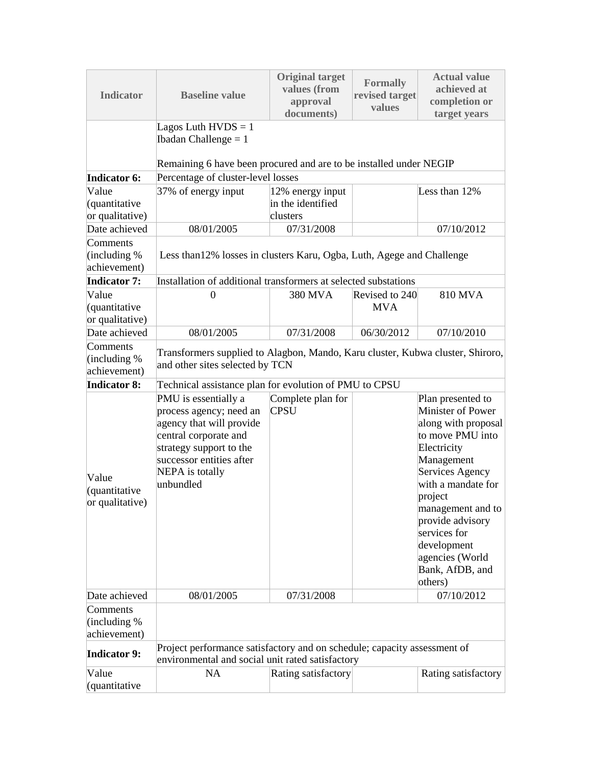| <b>Indicator</b>                           | <b>Baseline value</b>                                                                                                                                                                       | <b>Original target</b><br>values (from<br>approval<br>documents) | <b>Formally</b><br>revised target<br>values | <b>Actual value</b><br>achieved at<br>completion or<br>target years                                                                                                                                                                                                                         |
|--------------------------------------------|---------------------------------------------------------------------------------------------------------------------------------------------------------------------------------------------|------------------------------------------------------------------|---------------------------------------------|---------------------------------------------------------------------------------------------------------------------------------------------------------------------------------------------------------------------------------------------------------------------------------------------|
|                                            | Lagos Luth $HVDS = 1$<br>Ibadan Challenge $= 1$<br>Remaining 6 have been procured and are to be installed under NEGIP                                                                       |                                                                  |                                             |                                                                                                                                                                                                                                                                                             |
| <b>Indicator 6:</b>                        | Percentage of cluster-level losses                                                                                                                                                          |                                                                  |                                             |                                                                                                                                                                                                                                                                                             |
| Value                                      | 37% of energy input                                                                                                                                                                         | 12% energy input                                                 |                                             | Less than 12%                                                                                                                                                                                                                                                                               |
| (quantitative                              |                                                                                                                                                                                             | in the identified                                                |                                             |                                                                                                                                                                                                                                                                                             |
| or qualitative)                            |                                                                                                                                                                                             | clusters                                                         |                                             |                                                                                                                                                                                                                                                                                             |
| Date achieved                              | 08/01/2005                                                                                                                                                                                  | 07/31/2008                                                       |                                             | 07/10/2012                                                                                                                                                                                                                                                                                  |
| Comments<br>(including $%$<br>achievement) | Less than 12% losses in clusters Karu, Ogba, Luth, Agege and Challenge                                                                                                                      |                                                                  |                                             |                                                                                                                                                                                                                                                                                             |
| <b>Indicator 7:</b>                        | Installation of additional transformers at selected substations                                                                                                                             |                                                                  |                                             |                                                                                                                                                                                                                                                                                             |
| Value<br>(quantitative<br>or qualitative)  | $\Omega$                                                                                                                                                                                    | 380 MVA                                                          | Revised to 240<br><b>MVA</b>                | 810 MVA                                                                                                                                                                                                                                                                                     |
| Date achieved                              | 08/01/2005                                                                                                                                                                                  | 07/31/2008                                                       | 06/30/2012                                  | 07/10/2010                                                                                                                                                                                                                                                                                  |
| Comments<br>(including $%$<br>achievement) | Transformers supplied to Alagbon, Mando, Karu cluster, Kubwa cluster, Shiroro,<br>and other sites selected by TCN                                                                           |                                                                  |                                             |                                                                                                                                                                                                                                                                                             |
| <b>Indicator 8:</b>                        | Technical assistance plan for evolution of PMU to CPSU                                                                                                                                      |                                                                  |                                             |                                                                                                                                                                                                                                                                                             |
| Value<br>(quantitative<br>or qualitative)  | PMU is essentially a<br>process agency; need an<br>agency that will provide<br>central corporate and<br>strategy support to the<br>successor entities after<br>NEPA is totally<br>unbundled | Complete plan for<br><b>CPSU</b>                                 |                                             | Plan presented to<br>Minister of Power<br>along with proposal<br>to move PMU into<br>Electricity<br>Management<br>Services Agency<br>with a mandate for<br>project<br>management and to<br>provide advisory<br>services for<br>development<br>agencies (World<br>Bank, AfDB, and<br>others) |
| Date achieved                              | 08/01/2005                                                                                                                                                                                  | 07/31/2008                                                       |                                             | 07/10/2012                                                                                                                                                                                                                                                                                  |
| Comments<br>(including %)<br>achievement)  |                                                                                                                                                                                             |                                                                  |                                             |                                                                                                                                                                                                                                                                                             |
| <b>Indicator 9:</b>                        | Project performance satisfactory and on schedule; capacity assessment of<br>environmental and social unit rated satisfactory                                                                |                                                                  |                                             |                                                                                                                                                                                                                                                                                             |
| Value<br>(quantitative                     | <b>NA</b>                                                                                                                                                                                   | Rating satisfactory                                              |                                             | Rating satisfactory                                                                                                                                                                                                                                                                         |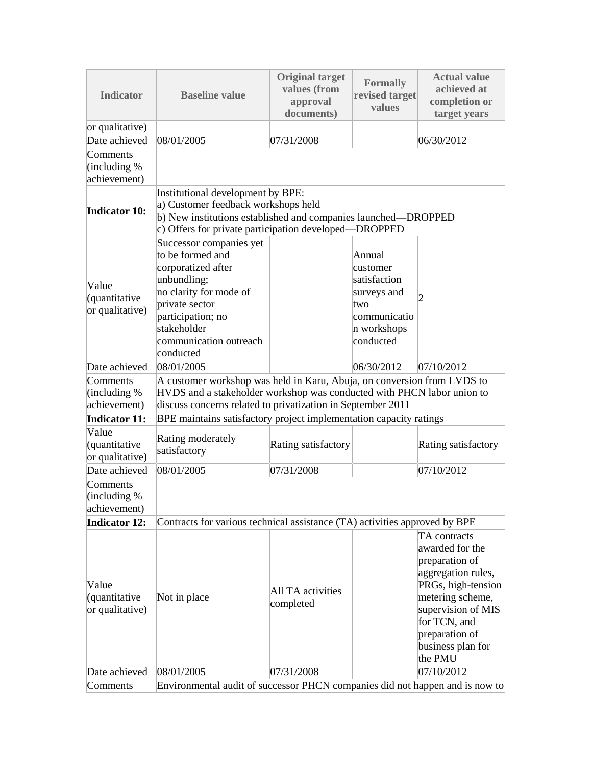| <b>Indicator</b>                           | <b>Baseline value</b>                                                                                                                                                                                            | <b>Original target</b><br>values (from<br>revised target<br>approval<br>documents) |                                                                                                      | <b>Actual value</b><br>achieved at<br>completion or<br>target years                                                                                                                                       |  |
|--------------------------------------------|------------------------------------------------------------------------------------------------------------------------------------------------------------------------------------------------------------------|------------------------------------------------------------------------------------|------------------------------------------------------------------------------------------------------|-----------------------------------------------------------------------------------------------------------------------------------------------------------------------------------------------------------|--|
| or qualitative)                            |                                                                                                                                                                                                                  |                                                                                    |                                                                                                      |                                                                                                                                                                                                           |  |
| Date achieved                              | 08/01/2005                                                                                                                                                                                                       | 07/31/2008                                                                         |                                                                                                      | 06/30/2012                                                                                                                                                                                                |  |
| Comments<br>(including $%$<br>achievement) |                                                                                                                                                                                                                  |                                                                                    |                                                                                                      |                                                                                                                                                                                                           |  |
| <b>Indicator 10:</b>                       | Institutional development by BPE:<br>a) Customer feedback workshops held<br>b) New institutions established and companies launched—DROPPED<br>c) Offers for private participation developed—DROPPED              |                                                                                    |                                                                                                      |                                                                                                                                                                                                           |  |
| Value<br>(quantitative<br>or qualitative)  | Successor companies yet<br>to be formed and<br>corporatized after<br>unbundling;<br>no clarity for mode of<br>private sector<br>participation; no<br>stakeholder<br>communication outreach<br>conducted          |                                                                                    | Annual<br>customer<br>satisfaction<br>surveys and<br>two<br>communicatio<br>n workshops<br>conducted | 2                                                                                                                                                                                                         |  |
| Date achieved                              | 08/01/2005                                                                                                                                                                                                       |                                                                                    | 06/30/2012                                                                                           | 07/10/2012                                                                                                                                                                                                |  |
| Comments<br>(including %)<br>achievement)  | A customer workshop was held in Karu, Abuja, on conversion from LVDS to<br>HVDS and a stakeholder workshop was conducted with PHCN labor union to<br>discuss concerns related to privatization in September 2011 |                                                                                    |                                                                                                      |                                                                                                                                                                                                           |  |
| <b>Indicator 11:</b>                       | BPE maintains satisfactory project implementation capacity ratings                                                                                                                                               |                                                                                    |                                                                                                      |                                                                                                                                                                                                           |  |
| Value<br>(quantitative<br>or qualitative)  | Rating moderately<br>satisfactory                                                                                                                                                                                | Rating satisfactory                                                                |                                                                                                      | Rating satisfactory                                                                                                                                                                                       |  |
| Date achieved                              | 08/01/2005                                                                                                                                                                                                       | 07/31/2008                                                                         |                                                                                                      | 07/10/2012                                                                                                                                                                                                |  |
| Comments<br>(including $%$<br>achievement) |                                                                                                                                                                                                                  |                                                                                    |                                                                                                      |                                                                                                                                                                                                           |  |
| <b>Indicator 12:</b>                       | Contracts for various technical assistance (TA) activities approved by BPE                                                                                                                                       |                                                                                    |                                                                                                      |                                                                                                                                                                                                           |  |
| Value<br>(quantitative<br>or qualitative)  | Not in place                                                                                                                                                                                                     | All TA activities<br>completed                                                     |                                                                                                      | TA contracts<br>awarded for the<br>preparation of<br>aggregation rules,<br>PRGs, high-tension<br>metering scheme,<br>supervision of MIS<br>for TCN, and<br>preparation of<br>business plan for<br>the PMU |  |
| Date achieved                              | 08/01/2005                                                                                                                                                                                                       | 07/31/2008                                                                         |                                                                                                      | 07/10/2012                                                                                                                                                                                                |  |
| Comments                                   | Environmental audit of successor PHCN companies did not happen and is now to                                                                                                                                     |                                                                                    |                                                                                                      |                                                                                                                                                                                                           |  |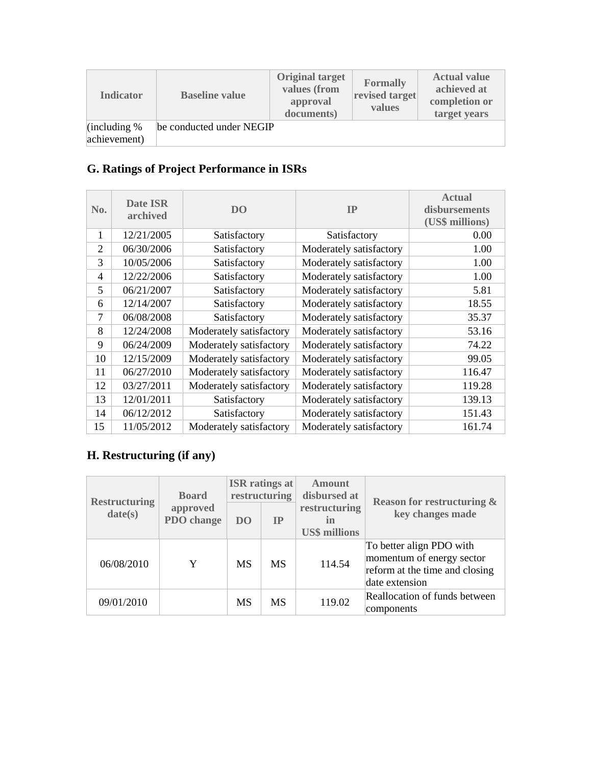| <b>Indicator</b>                       | <b>Baseline value</b>    | <b>Original target</b><br>values (from<br>approval<br>documents) | <b>Formally</b><br>revised target<br>values | <b>Actual value</b><br>achieved at<br>completion or<br>target years |
|----------------------------------------|--------------------------|------------------------------------------------------------------|---------------------------------------------|---------------------------------------------------------------------|
| $\left $ (including %)<br>achievement) | be conducted under NEGIP |                                                                  |                                             |                                                                     |

# **G. Ratings of Project Performance in ISRs**

| No.            | Date ISR<br>archived | D <sub>O</sub>          | IP                      | <b>Actual</b><br>disbursements<br>(US\$ millions) |
|----------------|----------------------|-------------------------|-------------------------|---------------------------------------------------|
| 1              | 12/21/2005           | Satisfactory            | Satisfactory            | 0.00                                              |
| $\overline{2}$ | 06/30/2006           | Satisfactory            | Moderately satisfactory | 1.00                                              |
| 3              | 10/05/2006           | Satisfactory            | Moderately satisfactory | 1.00                                              |
| $\overline{4}$ | 12/22/2006           | Satisfactory            | Moderately satisfactory | 1.00                                              |
| 5              | 06/21/2007           | Satisfactory            | Moderately satisfactory | 5.81                                              |
| 6              | 12/14/2007           | Satisfactory            | Moderately satisfactory | 18.55                                             |
| $\overline{7}$ | 06/08/2008           | Satisfactory            | Moderately satisfactory | 35.37                                             |
| 8              | 12/24/2008           | Moderately satisfactory | Moderately satisfactory | 53.16                                             |
| 9              | 06/24/2009           | Moderately satisfactory | Moderately satisfactory | 74.22                                             |
| 10             | 12/15/2009           | Moderately satisfactory | Moderately satisfactory | 99.05                                             |
| 11             | 06/27/2010           | Moderately satisfactory | Moderately satisfactory | 116.47                                            |
| 12             | 03/27/2011           | Moderately satisfactory | Moderately satisfactory | 119.28                                            |
| 13             | 12/01/2011           | Satisfactory            | Moderately satisfactory | 139.13                                            |
| 14             | 06/12/2012           | Satisfactory            | Moderately satisfactory | 151.43                                            |
| 15             | 11/05/2012           | Moderately satisfactory | Moderately satisfactory | 161.74                                            |

# **H. Restructuring (if any)**

| <b>Restructuring</b> | <b>Board</b>                  | <b>ISR</b> ratings at<br>restructuring |           | <b>Amount</b><br>disbursed at               | <b>Reason for restructuring &amp;</b>                                                                     |  |
|----------------------|-------------------------------|----------------------------------------|-----------|---------------------------------------------|-----------------------------------------------------------------------------------------------------------|--|
| date(s)              | approved<br><b>PDO</b> change | DO <sub>1</sub>                        | <b>IP</b> | restructuring<br>in<br><b>US\$ millions</b> | key changes made                                                                                          |  |
| 06/08/2010           | Y                             | <b>MS</b>                              | <b>MS</b> | 114.54                                      | To better align PDO with<br>momentum of energy sector<br>reform at the time and closing<br>date extension |  |
| 09/01/2010           |                               | MS                                     | <b>MS</b> | 119.02                                      | Reallocation of funds between<br>components                                                               |  |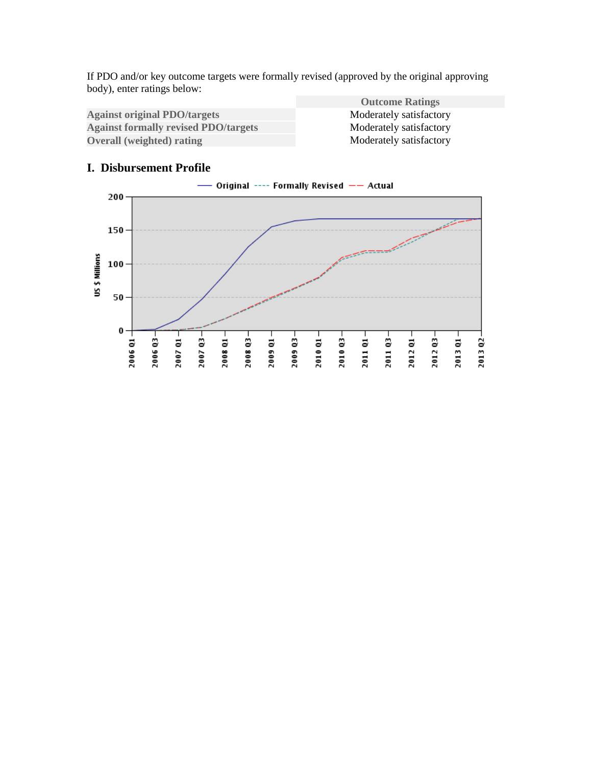If PDO and/or key outcome targets were formally revised (approved by the original approving body), enter ratings below:

Against original PDO/targets<br>
Against formally revised PDO/targets<br>
Moderately satisfactory<br>
Moderately satisfactory **Against formally revised PDO/targets** Moderately satisfactory<br> **Overall (weighted) rating Moderately satisfactory Overall (weighted) rating** 

**Outcome Ratings**

#### **I. Disbursement Profile**

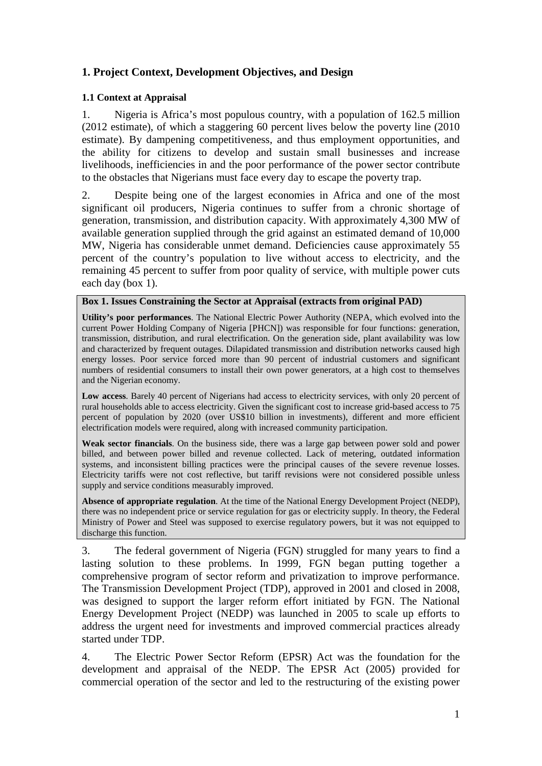## <span id="page-16-0"></span>**1. Project Context, Development Objectives, and Design**

#### **1.1 Context at Appraisal**

1. Nigeria is Africa's most populous country, with a population of 162.5 million (2012 estimate), of which a staggering 60 percent lives below the poverty line (2010 estimate). By dampening competitiveness, and thus employment opportunities, and the ability for citizens to develop and sustain small businesses and increase livelihoods, inefficiencies in and the poor performance of the power sector contribute to the obstacles that Nigerians must face every day to escape the poverty trap.

2. Despite being one of the largest economies in Africa and one of the most significant oil producers, Nigeria continues to suffer from a chronic shortage of generation, transmission, and distribution capacity. With approximately 4,300 MW of available generation supplied through the grid against an estimated demand of 10,000 MW, Nigeria has considerable unmet demand. Deficiencies cause approximately 55 percent of the country's population to live without access to electricity, and the remaining 45 percent to suffer from poor quality of service, with multiple power cuts each day (box 1).

#### **Box 1. Issues Constraining the Sector at Appraisal (extracts from original PAD)**

**Utility's poor performances**. The National Electric Power Authority (NEPA, which evolved into the current Power Holding Company of Nigeria [PHCN]) was responsible for four functions: generation, transmission, distribution, and rural electrification. On the generation side, plant availability was low and characterized by frequent outages. Dilapidated transmission and distribution networks caused high energy losses. Poor service forced more than 90 percent of industrial customers and significant numbers of residential consumers to install their own power generators, at a high cost to themselves and the Nigerian economy.

**Low access**. Barely 40 percent of Nigerians had access to electricity services, with only 20 percent of rural households able to access electricity. Given the significant cost to increase grid-based access to 75 percent of population by 2020 (over US\$10 billion in investments), different and more efficient electrification models were required, along with increased community participation.

**Weak sector financials**. On the business side, there was a large gap between power sold and power billed, and between power billed and revenue collected. Lack of metering, outdated information systems, and inconsistent billing practices were the principal causes of the severe revenue losses. Electricity tariffs were not cost reflective, but tariff revisions were not considered possible unless supply and service conditions measurably improved.

**Absence of appropriate regulation**. At the time of the National Energy Development Project (NEDP), there was no independent price or service regulation for gas or electricity supply. In theory, the Federal Ministry of Power and Steel was supposed to exercise regulatory powers, but it was not equipped to discharge this function.

3. The federal government of Nigeria (FGN) struggled for many years to find a lasting solution to these problems. In 1999, FGN began putting together a comprehensive program of sector reform and privatization to improve performance. The Transmission Development Project (TDP), approved in 2001 and closed in 2008, was designed to support the larger reform effort initiated by FGN. The National Energy Development Project (NEDP) was launched in 2005 to scale up efforts to address the urgent need for investments and improved commercial practices already started under TDP.

4. The Electric Power Sector Reform (EPSR) Act was the foundation for the development and appraisal of the NEDP. The EPSR Act (2005) provided for commercial operation of the sector and led to the restructuring of the existing power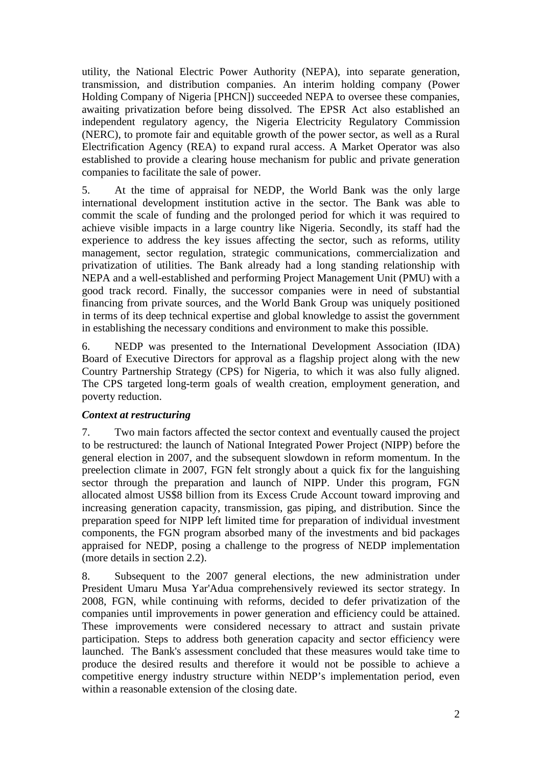utility, the National Electric Power Authority (NEPA), into separate generation, transmission, and distribution companies. An interim holding company (Power Holding Company of Nigeria [PHCN]) succeeded NEPA to oversee these companies, awaiting privatization before being dissolved. The EPSR Act also established an independent regulatory agency, the Nigeria Electricity Regulatory Commission (NERC), to promote fair and equitable growth of the power sector, as well as a Rural Electrification Agency (REA) to expand rural access. A Market Operator was also established to provide a clearing house mechanism for public and private generation companies to facilitate the sale of power.

5. At the time of appraisal for NEDP, the World Bank was the only large international development institution active in the sector. The Bank was able to commit the scale of funding and the prolonged period for which it was required to achieve visible impacts in a large country like Nigeria. Secondly, its staff had the experience to address the key issues affecting the sector, such as reforms, utility management, sector regulation, strategic communications, commercialization and privatization of utilities. The Bank already had a long standing relationship with NEPA and a well-established and performing Project Management Unit (PMU) with a good track record. Finally, the successor companies were in need of substantial financing from private sources, and the World Bank Group was uniquely positioned in terms of its deep technical expertise and global knowledge to assist the government in establishing the necessary conditions and environment to make this possible.

6. NEDP was presented to the International Development Association (IDA) Board of Executive Directors for approval as a flagship project along with the new Country Partnership Strategy (CPS) for Nigeria, to which it was also fully aligned. The CPS targeted long-term goals of wealth creation, employment generation, and poverty reduction.

#### *Context at restructuring*

7. Two main factors affected the sector context and eventually caused the project to be restructured: the launch of National Integrated Power Project (NIPP) before the general election in 2007, and the subsequent slowdown in reform momentum. In the preelection climate in 2007, FGN felt strongly about a quick fix for the languishing sector through the preparation and launch of NIPP. Under this program, FGN allocated almost US\$8 billion from its Excess Crude Account toward improving and increasing generation capacity, transmission, gas piping, and distribution. Since the preparation speed for NIPP left limited time for preparation of individual investment components, the FGN program absorbed many of the investments and bid packages appraised for NEDP, posing a challenge to the progress of NEDP implementation (more details in section 2.2).

8. Subsequent to the 2007 general elections, the new administration under President Umaru Musa Yar'Adua comprehensively reviewed its sector strategy. In 2008, FGN, while continuing with reforms, decided to defer privatization of the companies until improvements in power generation and efficiency could be attained. These improvements were considered necessary to attract and sustain private participation. Steps to address both generation capacity and sector efficiency were launched. The Bank's assessment concluded that these measures would take time to produce the desired results and therefore it would not be possible to achieve a competitive energy industry structure within NEDP's implementation period, even within a reasonable extension of the closing date.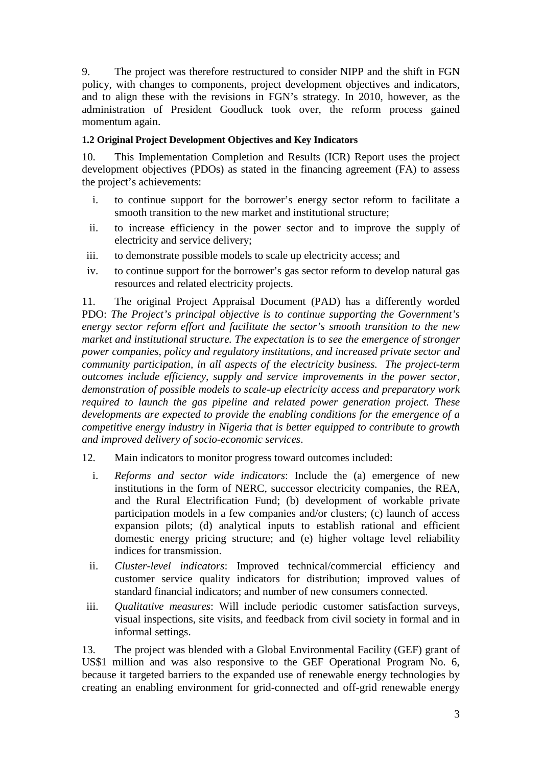9. The project was therefore restructured to consider NIPP and the shift in FGN policy, with changes to components, project development objectives and indicators, and to align these with the revisions in FGN's strategy. In 2010, however, as the administration of President Goodluck took over, the reform process gained momentum again.

#### **1.2 Original Project Development Objectives and Key Indicators**

10. This Implementation Completion and Results (ICR) Report uses the project development objectives (PDOs) as stated in the financing agreement (FA) to assess the project's achievements:

- i. to continue support for the borrower's energy sector reform to facilitate a smooth transition to the new market and institutional structure;
- ii. to increase efficiency in the power sector and to improve the supply of electricity and service delivery;
- iii. to demonstrate possible models to scale up electricity access; and
- iv. to continue support for the borrower's gas sector reform to develop natural gas resources and related electricity projects.

11. The original Project Appraisal Document (PAD) has a differently worded PDO: *The Project's principal objective is to continue supporting the Government's energy sector reform effort and facilitate the sector's smooth transition to the new market and institutional structure. The expectation is to see the emergence of stronger power companies, policy and regulatory institutions, and increased private sector and community participation, in all aspects of the electricity business. The project-term outcomes include efficiency, supply and service improvements in the power sector, demonstration of possible models to scale-up electricity access and preparatory work required to launch the gas pipeline and related power generation project. These developments are expected to provide the enabling conditions for the emergence of a competitive energy industry in Nigeria that is better equipped to contribute to growth and improved delivery of socio-economic services*.

- 12. Main indicators to monitor progress toward outcomes included:
	- i. *Reforms and sector wide indicators*: Include the (a) emergence of new institutions in the form of NERC, successor electricity companies, the REA, and the Rural Electrification Fund; (b) development of workable private participation models in a few companies and/or clusters; (c) launch of access expansion pilots; (d) analytical inputs to establish rational and efficient domestic energy pricing structure; and (e) higher voltage level reliability indices for transmission.
	- ii. *Cluster-level indicators*: Improved technical/commercial efficiency and customer service quality indicators for distribution; improved values of standard financial indicators; and number of new consumers connected.
- iii. *Qualitative measures*: Will include periodic customer satisfaction surveys, visual inspections, site visits, and feedback from civil society in formal and in informal settings.

13. The project was blended with a Global Environmental Facility (GEF) grant of US\$1 million and was also responsive to the GEF Operational Program No. 6, because it targeted barriers to the expanded use of renewable energy technologies by creating an enabling environment for grid-connected and off-grid renewable energy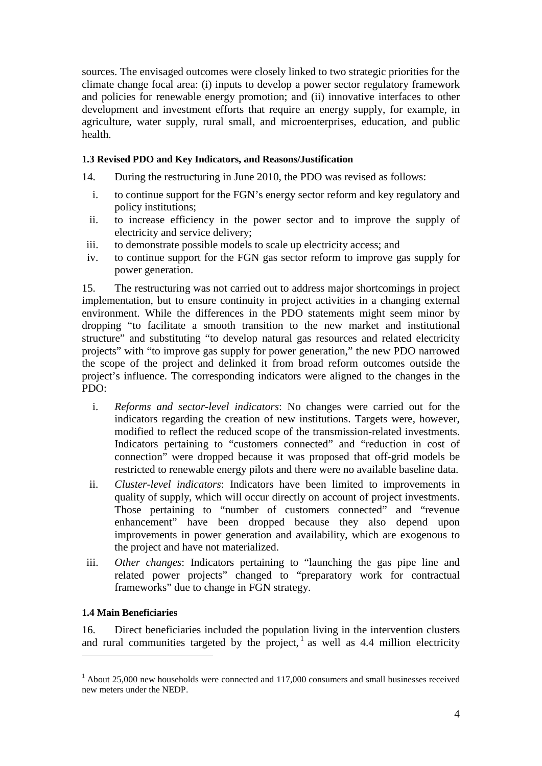sources. The envisaged outcomes were closely linked to two strategic priorities for the climate change focal area: (i) inputs to develop a power sector regulatory framework and policies for renewable energy promotion; and (ii) innovative interfaces to other development and investment efforts that require an energy supply, for example, in agriculture, water supply, rural small, and microenterprises, education, and public health.

#### **1.3 Revised PDO and Key Indicators, and Reasons/Justification**

- 14. During the restructuring in June 2010, the PDO was revised as follows:
	- i. to continue support for the FGN's energy sector reform and key regulatory and policy institutions;
	- ii. to increase efficiency in the power sector and to improve the supply of electricity and service delivery;
- iii. to demonstrate possible models to scale up electricity access; and
- iv. to continue support for the FGN gas sector reform to improve gas supply for power generation.

15. The restructuring was not carried out to address major shortcomings in project implementation, but to ensure continuity in project activities in a changing external environment. While the differences in the PDO statements might seem minor by dropping "to facilitate a smooth transition to the new market and institutional structure" and substituting "to develop natural gas resources and related electricity projects" with "to improve gas supply for power generation," the new PDO narrowed the scope of the project and delinked it from broad reform outcomes outside the project's influence. The corresponding indicators were aligned to the changes in the PDO:

- i. *Reforms and sector-level indicators*: No changes were carried out for the indicators regarding the creation of new institutions. Targets were, however, modified to reflect the reduced scope of the transmission-related investments. Indicators pertaining to "customers connected" and "reduction in cost of connection" were dropped because it was proposed that off-grid models be restricted to renewable energy pilots and there were no available baseline data.
- ii. *Cluster-level indicators*: Indicators have been limited to improvements in quality of supply, which will occur directly on account of project investments. Those pertaining to "number of customers connected" and "revenue enhancement" have been dropped because they also depend upon improvements in power generation and availability, which are exogenous to the project and have not materialized.
- iii. *Other changes*: Indicators pertaining to "launching the gas pipe line and related power projects" changed to "preparatory work for contractual frameworks" due to change in FGN strategy.

## **1.4 Main Beneficiaries**

-

16. Direct beneficiaries included the population living in the intervention clusters and rural communities targeted by the project,  $\frac{1}{1}$  $\frac{1}{1}$  $\frac{1}{1}$  as well as 4.4 million electricity

<span id="page-19-0"></span><sup>&</sup>lt;sup>1</sup> About 25,000 new households were connected and 117,000 consumers and small businesses received new meters under the NEDP.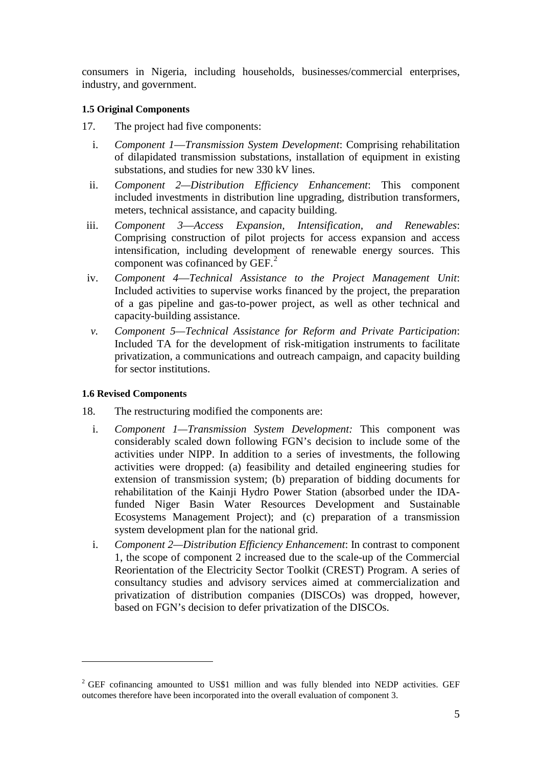consumers in Nigeria, including households, businesses/commercial enterprises, industry, and government.

#### **1.5 Original Components**

- 17. The project had five components:
	- i. *Component 1*—*Transmission System Development*: Comprising rehabilitation of dilapidated transmission substations, installation of equipment in existing substations, and studies for new 330 kV lines.
	- ii. *Component 2—Distribution Efficiency Enhancement*: This component included investments in distribution line upgrading, distribution transformers, meters, technical assistance, and capacity building.
- iii. *Component 3*—*Access Expansion, Intensification, and Renewables*: Comprising construction of pilot projects for access expansion and access intensification, including development of renewable energy sources. This component was cofinanced by GEF.<sup>[2](#page-20-0)</sup>
- iv. *Component 4*—*Technical Assistance to the Project Management Unit*: Included activities to supervise works financed by the project, the preparation of a gas pipeline and gas-to-power project, as well as other technical and capacity-building assistance.
- *v. Component 5—Technical Assistance for Reform and Private Participation*: Included TA for the development of risk-mitigation instruments to facilitate privatization, a communications and outreach campaign, and capacity building for sector institutions.

## **1.6 Revised Components**

<u>.</u>

- 18. The restructuring modified the components are:
	- i. *Component 1—Transmission System Development:* This component was considerably scaled down following FGN's decision to include some of the activities under NIPP. In addition to a series of investments, the following activities were dropped: (a) feasibility and detailed engineering studies for extension of transmission system; (b) preparation of bidding documents for rehabilitation of the Kainji Hydro Power Station (absorbed under the IDAfunded Niger Basin Water Resources Development and Sustainable Ecosystems Management Project); and (c) preparation of a transmission system development plan for the national grid.
	- i. *Component 2—Distribution Efficiency Enhancement*: In contrast to component 1, the scope of component 2 increased due to the scale-up of the Commercial Reorientation of the Electricity Sector Toolkit (CREST) Program. A series of consultancy studies and advisory services aimed at commercialization and privatization of distribution companies (DISCOs) was dropped, however, based on FGN's decision to defer privatization of the DISCOs.

<span id="page-20-0"></span><sup>&</sup>lt;sup>2</sup> GEF cofinancing amounted to US\$1 million and was fully blended into NEDP activities. GEF outcomes therefore have been incorporated into the overall evaluation of component 3.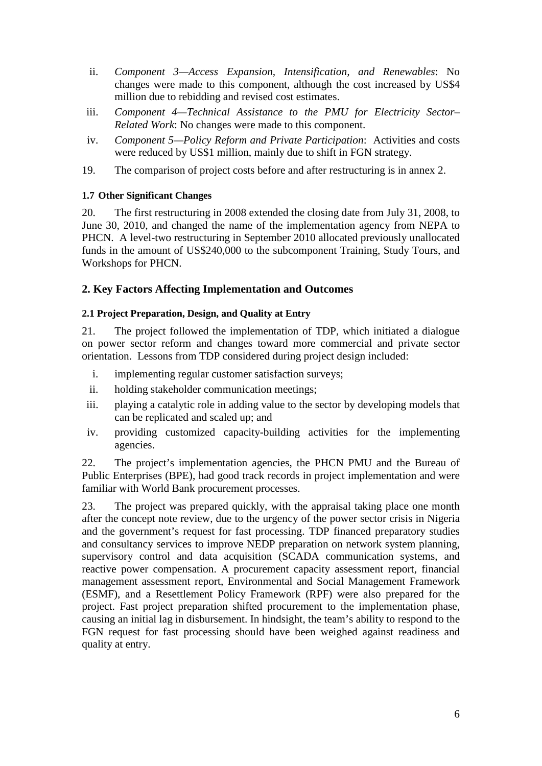- ii. *Component 3—Access Expansion, Intensification, and Renewables*: No changes were made to this component, although the cost increased by US\$4 million due to rebidding and revised cost estimates.
- iii. *Component 4—Technical Assistance to the PMU for Electricity Sector– Related Work*: No changes were made to this component.
- iv. *Component 5—Policy Reform and Private Participation*: Activities and costs were reduced by US\$1 million, mainly due to shift in FGN strategy.
- 19. The comparison of project costs before and after restructuring is in annex 2.

#### **1.7 Other Significant Changes**

<span id="page-21-0"></span>20. The first restructuring in 2008 extended the closing date from July 31, 2008, to June 30, 2010, and changed the name of the implementation agency from NEPA to PHCN. A level-two restructuring in September 2010 allocated previously unallocated funds in the amount of US\$240,000 to the subcomponent Training, Study Tours, and Workshops for PHCN.

#### **2. Key Factors Affecting Implementation and Outcomes**

#### **2.1 Project Preparation, Design, and Quality at Entry**

21. The project followed the implementation of TDP, which initiated a dialogue on power sector reform and changes toward more commercial and private sector orientation. Lessons from TDP considered during project design included:

- i. implementing regular customer satisfaction surveys;
- ii. holding stakeholder communication meetings;
- iii. playing a catalytic role in adding value to the sector by developing models that can be replicated and scaled up; and
- iv. providing customized capacity-building activities for the implementing agencies.

22. The project's implementation agencies, the PHCN PMU and the Bureau of Public Enterprises (BPE), had good track records in project implementation and were familiar with World Bank procurement processes.

23. The project was prepared quickly, with the appraisal taking place one month after the concept note review, due to the urgency of the power sector crisis in Nigeria and the government's request for fast processing. TDP financed preparatory studies and consultancy services to improve NEDP preparation on network system planning, supervisory control and data acquisition (SCADA communication systems, and reactive power compensation. A procurement capacity assessment report, financial management assessment report, Environmental and Social Management Framework (ESMF), and a Resettlement Policy Framework (RPF) were also prepared for the project. Fast project preparation shifted procurement to the implementation phase, causing an initial lag in disbursement. In hindsight, the team's ability to respond to the FGN request for fast processing should have been weighed against readiness and quality at entry.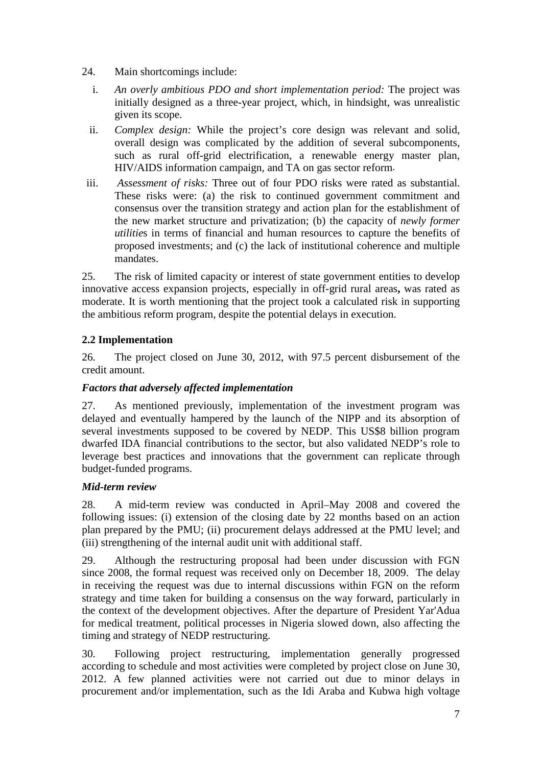- 24. Main shortcomings include:
	- i. *An overly ambitious PDO and short implementation period:* The project was initially designed as a three-year project, which, in hindsight, was unrealistic given its scope.
	- ii. *Complex design:* While the project's core design was relevant and solid, overall design was complicated by the addition of several subcomponents, such as rural off-grid electrification, a renewable energy master plan, HIV/AIDS information campaign, and TA on gas sector reform.
- iii. *Assessment of risks:* Three out of four PDO risks were rated as substantial. These risks were: (a) the risk to continued government commitment and consensus over the transition strategy and action plan for the establishment of the new market structure and privatization; (b) the capacity of *newly former utilitie*s in terms of financial and human resources to capture the benefits of proposed investments; and (c) the lack of institutional coherence and multiple mandates.

25. The risk of limited capacity or interest of state government entities to develop innovative access expansion projects, especially in off-grid rural areas**,** was rated as moderate. It is worth mentioning that the project took a calculated risk in supporting the ambitious reform program, despite the potential delays in execution.

## **2.2 Implementation**

26. The project closed on June 30, 2012, with 97.5 percent disbursement of the credit amount.

## *Factors that adversely affected implementation*

27. As mentioned previously, implementation of the investment program was delayed and eventually hampered by the launch of the NIPP and its absorption of several investments supposed to be covered by NEDP. This US\$8 billion program dwarfed IDA financial contributions to the sector, but also validated NEDP's role to leverage best practices and innovations that the government can replicate through budget-funded programs.

## *Mid-term review*

28. A mid-term review was conducted in April–May 2008 and covered the following issues: (i) extension of the closing date by 22 months based on an action plan prepared by the PMU; (ii) procurement delays addressed at the PMU level; and (iii) strengthening of the internal audit unit with additional staff.

29. Although the restructuring proposal had been under discussion with FGN since 2008, the formal request was received only on December 18, 2009. The delay in receiving the request was due to internal discussions within FGN on the reform strategy and time taken for building a consensus on the way forward, particularly in the context of the development objectives. After the departure of President Yar'Adua for medical treatment, political processes in Nigeria slowed down, also affecting the timing and strategy of NEDP restructuring.

30. Following project restructuring, implementation generally progressed according to schedule and most activities were completed by project close on June 30, 2012. A few planned activities were not carried out due to minor delays in procurement and/or implementation, such as the Idi Araba and Kubwa high voltage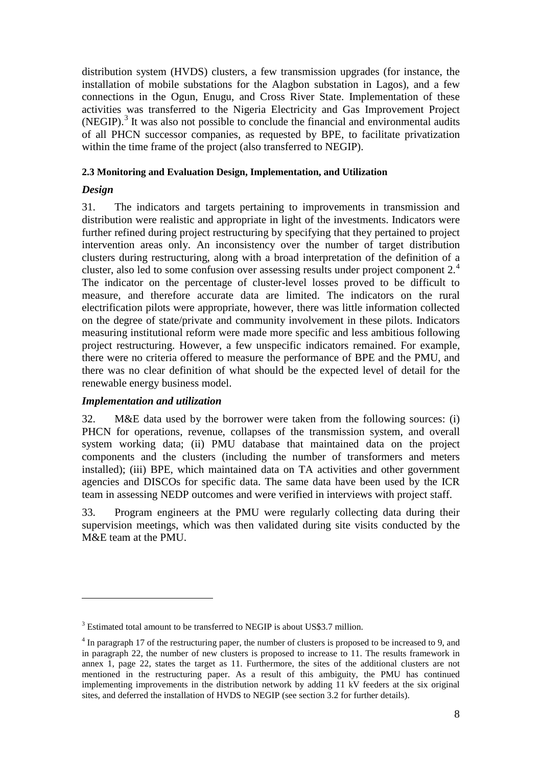distribution system (HVDS) clusters, a few transmission upgrades (for instance, the installation of mobile substations for the Alagbon substation in Lagos), and a few connections in the Ogun, Enugu, and Cross River State. Implementation of these activities was transferred to the Nigeria Electricity and Gas Improvement Project  $(NEGIP).$ <sup>[3](#page-23-0)</sup> It was also not possible to conclude the financial and environmental audits of all PHCN successor companies, as requested by BPE, to facilitate privatization within the time frame of the project (also transferred to NEGIP).

#### **2.3 Monitoring and Evaluation Design, Implementation, and Utilization**

## *Design*

-

31. The indicators and targets pertaining to improvements in transmission and distribution were realistic and appropriate in light of the investments. Indicators were further refined during project restructuring by specifying that they pertained to project intervention areas only. An inconsistency over the number of target distribution clusters during restructuring, along with a broad interpretation of the definition of a cluster, also led to some confusion over assessing results under project component 2. [4](#page-23-1) The indicator on the percentage of cluster-level losses proved to be difficult to measure, and therefore accurate data are limited. The indicators on the rural electrification pilots were appropriate, however, there was little information collected on the degree of state/private and community involvement in these pilots. Indicators measuring institutional reform were made more specific and less ambitious following project restructuring. However, a few unspecific indicators remained. For example, there were no criteria offered to measure the performance of BPE and the PMU, and there was no clear definition of what should be the expected level of detail for the renewable energy business model.

## *Implementation and utilization*

32. M&E data used by the borrower were taken from the following sources: (i) PHCN for operations, revenue, collapses of the transmission system, and overall system working data; (ii) PMU database that maintained data on the project components and the clusters (including the number of transformers and meters installed); (iii) BPE, which maintained data on TA activities and other government agencies and DISCOs for specific data. The same data have been used by the ICR team in assessing NEDP outcomes and were verified in interviews with project staff.

33. Program engineers at the PMU were regularly collecting data during their supervision meetings, which was then validated during site visits conducted by the M&E team at the PMU.

<span id="page-23-0"></span><sup>&</sup>lt;sup>3</sup> Estimated total amount to be transferred to NEGIP is about US\$3.7 million.

<span id="page-23-1"></span><sup>4</sup> In paragraph 17 of the restructuring paper, the number of clusters is proposed to be increased to 9, and in paragraph 22, the number of new clusters is proposed to increase to 11. The results framework in annex 1, page 22, states the target as 11. Furthermore, the sites of the additional clusters are not mentioned in the restructuring paper. As a result of this ambiguity, the PMU has continued implementing improvements in the distribution network by adding 11 kV feeders at the six original sites, and deferred the installation of HVDS to NEGIP (see section 3.2 for further details).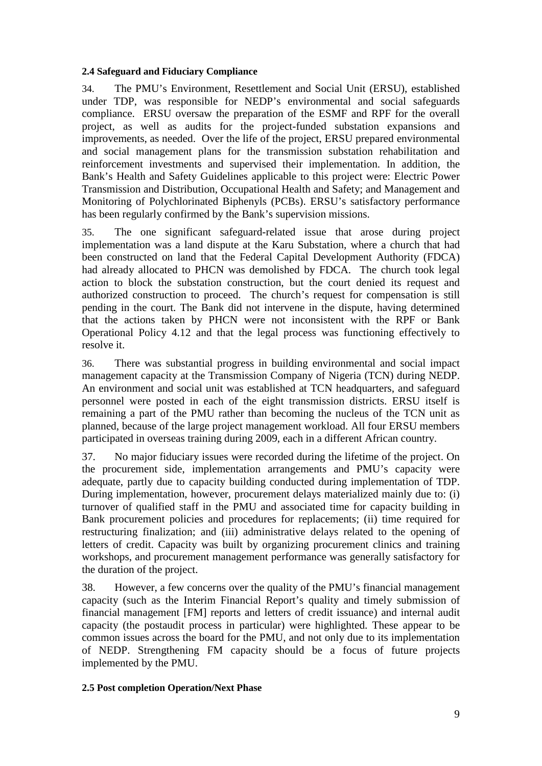#### **2.4 Safeguard and Fiduciary Compliance**

34. The PMU's Environment, Resettlement and Social Unit (ERSU), established under TDP, was responsible for NEDP's environmental and social safeguards compliance. ERSU oversaw the preparation of the ESMF and RPF for the overall project, as well as audits for the project-funded substation expansions and improvements, as needed. Over the life of the project, ERSU prepared environmental and social management plans for the transmission substation rehabilitation and reinforcement investments and supervised their implementation. In addition, the Bank's Health and Safety Guidelines applicable to this project were: Electric Power Transmission and Distribution, Occupational Health and Safety; and Management and Monitoring of Polychlorinated Biphenyls (PCBs). ERSU's satisfactory performance has been regularly confirmed by the Bank's supervision missions.

35. The one significant safeguard-related issue that arose during project implementation was a land dispute at the Karu Substation, where a church that had been constructed on land that the Federal Capital Development Authority (FDCA) had already allocated to PHCN was demolished by FDCA. The church took legal action to block the substation construction, but the court denied its request and authorized construction to proceed. The church's request for compensation is still pending in the court. The Bank did not intervene in the dispute, having determined that the actions taken by PHCN were not inconsistent with the RPF or Bank Operational Policy 4.12 and that the legal process was functioning effectively to resolve it.

36. There was substantial progress in building environmental and social impact management capacity at the Transmission Company of Nigeria (TCN) during NEDP. An environment and social unit was established at TCN headquarters, and safeguard personnel were posted in each of the eight transmission districts. ERSU itself is remaining a part of the PMU rather than becoming the nucleus of the TCN unit as planned, because of the large project management workload. All four ERSU members participated in overseas training during 2009, each in a different African country.

37. No major fiduciary issues were recorded during the lifetime of the project. On the procurement side, implementation arrangements and PMU's capacity were adequate, partly due to capacity building conducted during implementation of TDP. During implementation, however, procurement delays materialized mainly due to: (i) turnover of qualified staff in the PMU and associated time for capacity building in Bank procurement policies and procedures for replacements; (ii) time required for restructuring finalization; and (iii) administrative delays related to the opening of letters of credit. Capacity was built by organizing procurement clinics and training workshops, and procurement management performance was generally satisfactory for the duration of the project.

38. However, a few concerns over the quality of the PMU's financial management capacity (such as the Interim Financial Report's quality and timely submission of financial management [FM] reports and letters of credit issuance) and internal audit capacity (the postaudit process in particular) were highlighted. These appear to be common issues across the board for the PMU, and not only due to its implementation of NEDP. Strengthening FM capacity should be a focus of future projects implemented by the PMU.

## **2.5 Post completion Operation/Next Phase**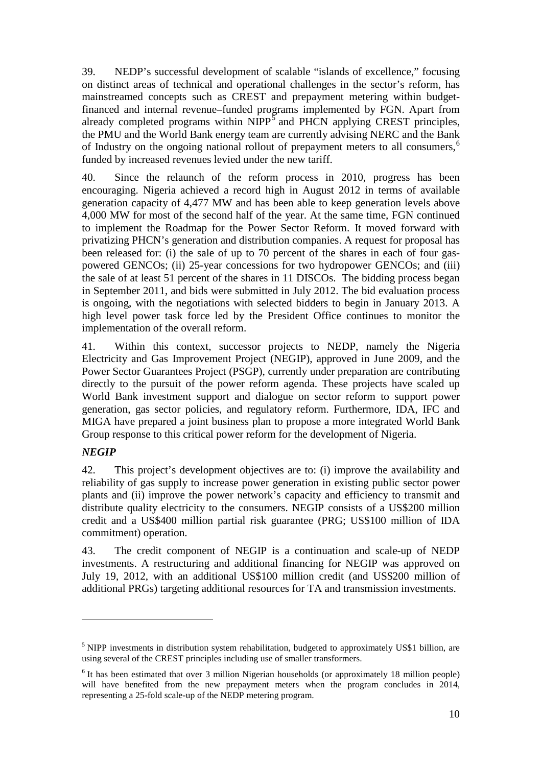39. NEDP's successful development of scalable "islands of excellence," focusing on distinct areas of technical and operational challenges in the sector's reform, has mainstreamed concepts such as CREST and prepayment metering within budgetfinanced and internal revenue–funded programs implemented by FGN. Apart from already completed programs within  $NIPP^{\bar{5}}$  $NIPP^{\bar{5}}$  $NIPP^{\bar{5}}$  and PHCN applying CREST principles, the PMU and the World Bank energy team are currently advising NERC and the Bank of Industry on the ongoing national rollout of prepayment meters to all consumers,<sup>[6](#page-25-1)</sup> funded by increased revenues levied under the new tariff.

40. Since the relaunch of the reform process in 2010, progress has been encouraging. Nigeria achieved a record high in August 2012 in terms of available generation capacity of 4,477 MW and has been able to keep generation levels above 4,000 MW for most of the second half of the year. At the same time, FGN continued to implement the Roadmap for the Power Sector Reform. It moved forward with privatizing PHCN's generation and distribution companies. A request for proposal has been released for: (i) the sale of up to 70 percent of the shares in each of four gaspowered GENCOs; (ii) 25-year concessions for two hydropower GENCOs; and (iii) the sale of at least 51 percent of the shares in 11 DISCOs. The bidding process began in September 2011, and bids were submitted in July 2012. The bid evaluation process is ongoing, with the negotiations with selected bidders to begin in January 2013. A high level power task force led by the President Office continues to monitor the implementation of the overall reform.

41. Within this context, successor projects to NEDP, namely the Nigeria Electricity and Gas Improvement Project (NEGIP), approved in June 2009, and the Power Sector Guarantees Project (PSGP), currently under preparation are contributing directly to the pursuit of the power reform agenda. These projects have scaled up World Bank investment support and dialogue on sector reform to support power generation, gas sector policies, and regulatory reform. Furthermore, IDA, IFC and MIGA have prepared a joint business plan to propose a more integrated World Bank Group response to this critical power reform for the development of Nigeria.

## *NEGIP*

-

42. This project's development objectives are to: (i) improve the availability and reliability of gas supply to increase power generation in existing public sector power plants and (ii) improve the power network's capacity and efficiency to transmit and distribute quality electricity to the consumers. NEGIP consists of a US\$200 million credit and a US\$400 million partial risk guarantee (PRG; US\$100 million of IDA commitment) operation.

43. The credit component of NEGIP is a continuation and scale-up of NEDP investments. A restructuring and additional financing for NEGIP was approved on July 19, 2012, with an additional US\$100 million credit (and US\$200 million of additional PRGs) targeting additional resources for TA and transmission investments.

<span id="page-25-0"></span><sup>&</sup>lt;sup>5</sup> NIPP investments in distribution system rehabilitation, budgeted to approximately US\$1 billion, are using several of the CREST principles including use of smaller transformers.

<span id="page-25-1"></span><sup>&</sup>lt;sup>6</sup> It has been estimated that over 3 million Nigerian households (or approximately 18 million people) will have benefited from the new prepayment meters when the program concludes in 2014, representing a 25-fold scale-up of the NEDP metering program.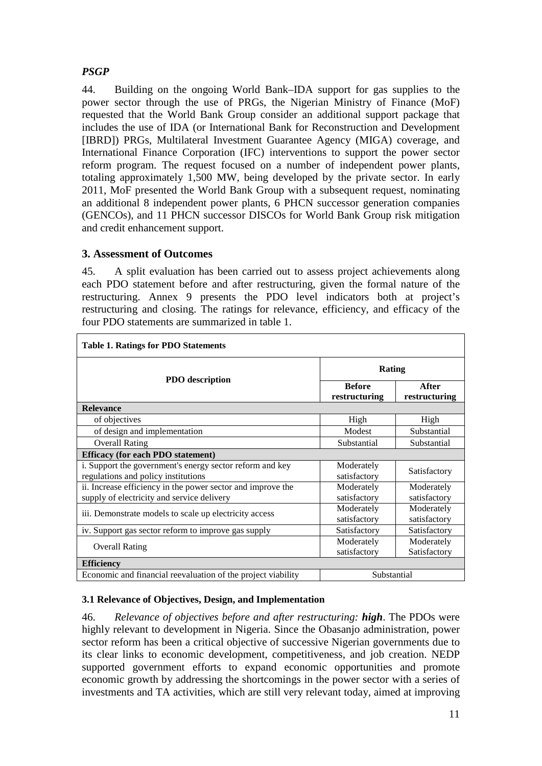## *PSGP*

44. Building on the ongoing World Bank–IDA support for gas supplies to the power sector through the use of PRGs, the Nigerian Ministry of Finance (MoF) requested that the World Bank Group consider an additional support package that includes the use of IDA (or International Bank for Reconstruction and Development [IBRD]) PRGs, Multilateral Investment Guarantee Agency (MIGA) coverage, and International Finance Corporation (IFC) interventions to support the power sector reform program. The request focused on a number of independent power plants, totaling approximately 1,500 MW, being developed by the private sector. In early 2011, MoF presented the World Bank Group with a subsequent request, nominating an additional 8 independent power plants, 6 PHCN successor generation companies (GENCOs), and 11 PHCN successor DISCOs for World Bank Group risk mitigation and credit enhancement support.

## <span id="page-26-0"></span>**3. Assessment of Outcomes**

45. A split evaluation has been carried out to assess project achievements along each PDO statement before and after restructuring, given the formal nature of the restructuring. Annex 9 presents the PDO level indicators both at project's restructuring and closing. The ratings for relevance, efficiency, and efficacy of the four PDO statements are summarized in table 1.

| <b>Table 1. Ratings for PDO Statements</b>                                                                |                                |                            |  |  |
|-----------------------------------------------------------------------------------------------------------|--------------------------------|----------------------------|--|--|
|                                                                                                           | Rating                         |                            |  |  |
| <b>PDO</b> description                                                                                    | <b>Before</b><br>restructuring | After<br>restructuring     |  |  |
| <b>Relevance</b>                                                                                          |                                |                            |  |  |
| of objectives                                                                                             | High                           | High                       |  |  |
| of design and implementation                                                                              | Modest                         | Substantial                |  |  |
| <b>Overall Rating</b>                                                                                     | Substantial                    | Substantial                |  |  |
| <b>Efficacy (for each PDO statement)</b>                                                                  |                                |                            |  |  |
| i. Support the government's energy sector reform and key<br>regulations and policy institutions           | Moderately<br>satisfactory     | Satisfactory               |  |  |
| ii. Increase efficiency in the power sector and improve the<br>supply of electricity and service delivery | Moderately<br>satisfactory     | Moderately<br>satisfactory |  |  |
| iii. Demonstrate models to scale up electricity access                                                    | Moderately<br>satisfactory     | Moderately<br>satisfactory |  |  |
| iv. Support gas sector reform to improve gas supply                                                       | Satisfactory                   | Satisfactory               |  |  |
| <b>Overall Rating</b>                                                                                     | Moderately<br>satisfactory     | Moderately<br>Satisfactory |  |  |
| <b>Efficiency</b>                                                                                         |                                |                            |  |  |
| Economic and financial reevaluation of the project viability                                              | Substantial                    |                            |  |  |

## **3.1 Relevance of Objectives, Design, and Implementation**

46. *Relevance of objectives before and after restructuring: high*. The PDOs were highly relevant to development in Nigeria. Since the Obasanjo administration, power sector reform has been a critical objective of successive Nigerian governments due to its clear links to economic development, competitiveness, and job creation. NEDP supported government efforts to expand economic opportunities and promote economic growth by addressing the shortcomings in the power sector with a series of investments and TA activities, which are still very relevant today, aimed at improving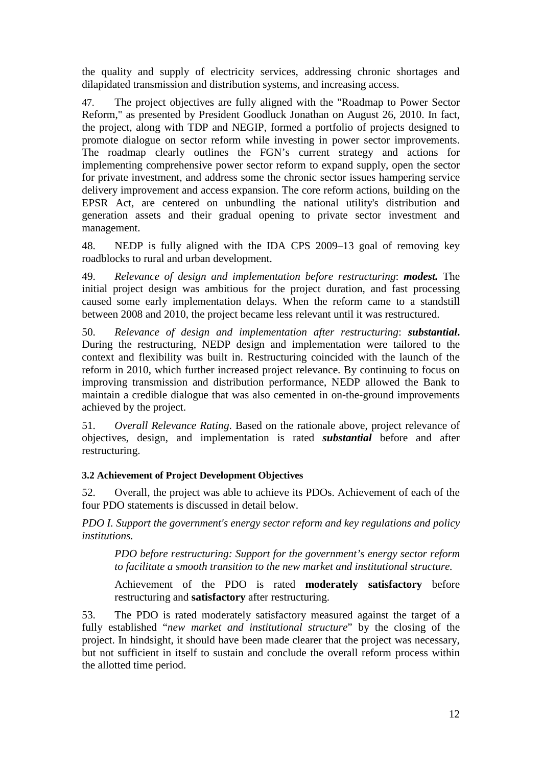the quality and supply of electricity services, addressing chronic shortages and dilapidated transmission and distribution systems, and increasing access.

47. The project objectives are fully aligned with the "Roadmap to Power Sector Reform," as presented by President Goodluck Jonathan on August 26, 2010. In fact, the project, along with TDP and NEGIP, formed a portfolio of projects designed to promote dialogue on sector reform while investing in power sector improvements. The roadmap clearly outlines the FGN's current strategy and actions for implementing comprehensive power sector reform to expand supply, open the sector for private investment, and address some the chronic sector issues hampering service delivery improvement and access expansion. The core reform actions, building on the EPSR Act, are centered on unbundling the national utility's distribution and generation assets and their gradual opening to private sector investment and management.

48. NEDP is fully aligned with the IDA CPS 2009–13 goal of removing key roadblocks to rural and urban development.

49. *Relevance of design and implementation before restructuring*: *modest.* The initial project design was ambitious for the project duration, and fast processing caused some early implementation delays. When the reform came to a standstill between 2008 and 2010, the project became less relevant until it was restructured.

50. *Relevance of design and implementation after restructuring*: *substantial***.**  During the restructuring, NEDP design and implementation were tailored to the context and flexibility was built in. Restructuring coincided with the launch of the reform in 2010, which further increased project relevance. By continuing to focus on improving transmission and distribution performance, NEDP allowed the Bank to maintain a credible dialogue that was also cemented in on-the-ground improvements achieved by the project.

51. *Overall Relevance Rating*. Based on the rationale above, project relevance of objectives, design, and implementation is rated *substantial* before and after restructuring.

## **3.2 Achievement of Project Development Objectives**

52. Overall, the project was able to achieve its PDOs. Achievement of each of the four PDO statements is discussed in detail below.

*PDO I. Support the government's energy sector reform and key regulations and policy institutions.*

*PDO before restructuring: Support for the government's energy sector reform to facilitate a smooth transition to the new market and institutional structure.*

Achievement of the PDO is rated **moderately satisfactory** before restructuring and **satisfactory** after restructuring.

53. The PDO is rated moderately satisfactory measured against the target of a fully established "*new market and institutional structure*" by the closing of the project. In hindsight, it should have been made clearer that the project was necessary, but not sufficient in itself to sustain and conclude the overall reform process within the allotted time period.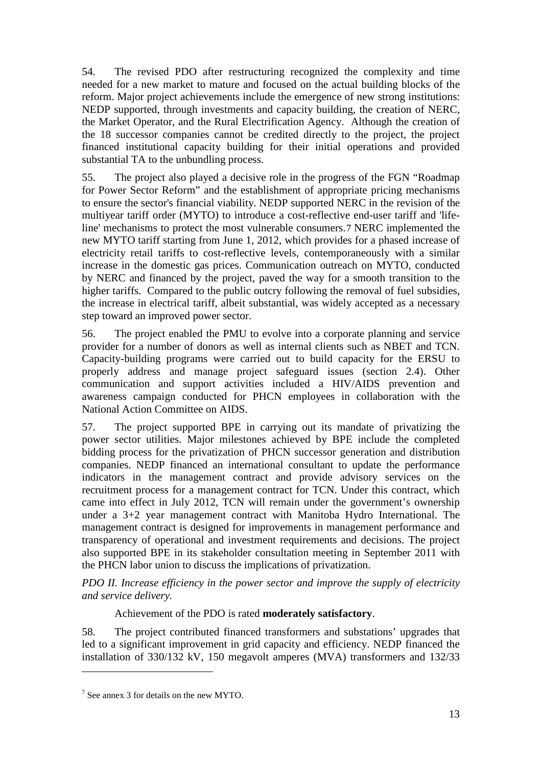54. The revised PDO after restructuring recognized the complexity and time needed for a new market to mature and focused on the actual building blocks of the reform. Major project achievements include the emergence of new strong institutions: NEDP supported, through investments and capacity building, the creation of NERC, the Market Operator, and the Rural Electrification Agency. Although the creation of the 18 successor companies cannot be credited directly to the project, the project financed institutional capacity building for their initial operations and provided substantial TA to the unbundling process.

55. The project also played a decisive role in the progress of the FGN "Roadmap for Power Sector Reform" and the establishment of appropriate pricing mechanisms to ensure the sector's financial viability. NEDP supported NERC in the revision of the multiyear tariff order (MYTO) to introduce a cost-reflective end-user tariff and 'lifeline' mechanisms to protect the most vulnerable consumers.[7](#page-28-0) NERC implemented the new MYTO tariff starting from June 1, 2012, which provides for a phased increase of electricity retail tariffs to cost-reflective levels, contemporaneously with a similar increase in the domestic gas prices. Communication outreach on MYTO, conducted by NERC and financed by the project, paved the way for a smooth transition to the higher tariffs. Compared to the public outcry following the removal of fuel subsidies, the increase in electrical tariff, albeit substantial, was widely accepted as a necessary step toward an improved power sector.

56. The project enabled the PMU to evolve into a corporate planning and service provider for a number of donors as well as internal clients such as NBET and TCN. Capacity-building programs were carried out to build capacity for the ERSU to properly address and manage project safeguard issues (section 2.4). Other communication and support activities included a HIV/AIDS prevention and awareness campaign conducted for PHCN employees in collaboration with the National Action Committee on AIDS.

57. The project supported BPE in carrying out its mandate of privatizing the power sector utilities. Major milestones achieved by BPE include the completed bidding process for the privatization of PHCN successor generation and distribution companies. NEDP financed an international consultant to update the performance indicators in the management contract and provide advisory services on the recruitment process for a management contract for TCN. Under this contract, which came into effect in July 2012, TCN will remain under the government's ownership under a 3+2 year management contract with Manitoba Hydro International. The management contract is designed for improvements in management performance and transparency of operational and investment requirements and decisions. The project also supported BPE in its stakeholder consultation meeting in September 2011 with the PHCN labor union to discuss the implications of privatization.

*PDO II. Increase efficiency in the power sector and improve the supply of electricity and service delivery.* 

## Achievement of the PDO is rated **moderately satisfactory**.

58. The project contributed financed transformers and substations' upgrades that led to a significant improvement in grid capacity and efficiency. NEDP financed the installation of 330/132 kV, 150 megavolt amperes (MVA) transformers and 132/33

-

<span id="page-28-0"></span><sup>7</sup> See annex 3 for details on the new MYTO.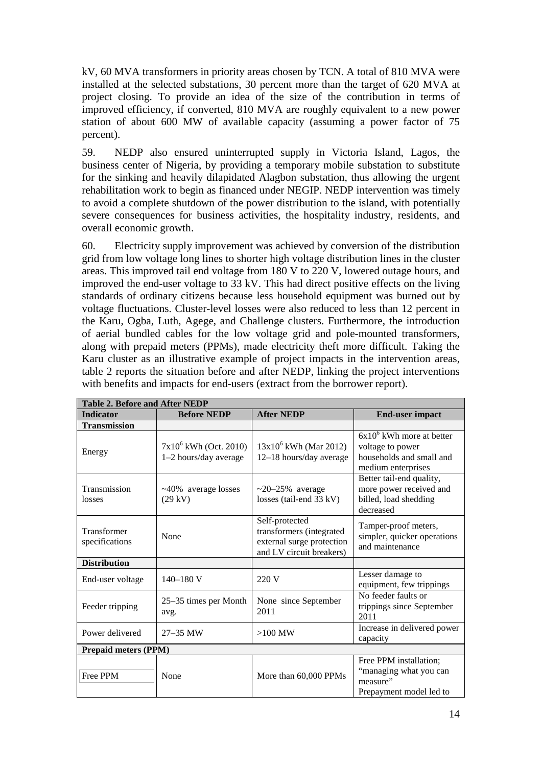kV, 60 MVA transformers in priority areas chosen by TCN. A total of 810 MVA were installed at the selected substations, 30 percent more than the target of 620 MVA at project closing. To provide an idea of the size of the contribution in terms of improved efficiency, if converted, 810 MVA are roughly equivalent to a new power station of about 600 MW of available capacity (assuming a power factor of 75 percent).

59. NEDP also ensured uninterrupted supply in Victoria Island, Lagos, the business center of Nigeria, by providing a temporary mobile substation to substitute for the sinking and heavily dilapidated Alagbon substation, thus allowing the urgent rehabilitation work to begin as financed under NEGIP. NEDP intervention was timely to avoid a complete shutdown of the power distribution to the island, with potentially severe consequences for business activities, the hospitality industry, residents, and overall economic growth.

60. Electricity supply improvement was achieved by conversion of the distribution grid from low voltage long lines to shorter high voltage distribution lines in the cluster areas. This improved tail end voltage from 180 V to 220 V, lowered outage hours, and improved the end-user voltage to 33 kV. This had direct positive effects on the living standards of ordinary citizens because less household equipment was burned out by voltage fluctuations. Cluster-level losses were also reduced to less than 12 percent in the Karu, Ogba, Luth, Agege, and Challenge clusters. Furthermore, the introduction of aerial bundled cables for the low voltage grid and pole-mounted transformers, along with prepaid meters (PPMs), made electricity theft more difficult. Taking the Karu cluster as an illustrative example of project impacts in the intervention areas, table 2 reports the situation before and after NEDP, linking the project interventions with benefits and impacts for end-users (extract from the borrower report).

| <b>Table 2. Before and After NEDP</b> |                                                   |                                                                                                     |                                                                                                   |  |  |  |
|---------------------------------------|---------------------------------------------------|-----------------------------------------------------------------------------------------------------|---------------------------------------------------------------------------------------------------|--|--|--|
| <b>Indicator</b>                      | <b>Before NEDP</b>                                | <b>After NEDP</b>                                                                                   | <b>End-user impact</b>                                                                            |  |  |  |
| <b>Transmission</b>                   |                                                   |                                                                                                     |                                                                                                   |  |  |  |
| Energy                                | $7x10^6$ kWh (Oct. 2010)<br>1-2 hours/day average | $13x10^6$ kWh (Mar 2012)<br>12-18 hours/day average                                                 | $6x10^6$ kWh more at better<br>voltage to power<br>households and small and<br>medium enterprises |  |  |  |
| Transmission<br>losses                | ~40% average losses<br>$(29 \text{ kV})$          | $\sim$ 20–25% average<br>losses (tail-end 33 kV)                                                    | Better tail-end quality,<br>more power received and<br>billed, load shedding<br>decreased         |  |  |  |
| Transformer<br>specifications         | None                                              | Self-protected<br>transformers (integrated<br>external surge protection<br>and LV circuit breakers) | Tamper-proof meters,<br>simpler, quicker operations<br>and maintenance                            |  |  |  |
| <b>Distribution</b>                   |                                                   |                                                                                                     |                                                                                                   |  |  |  |
| End-user voltage                      | $140 - 180$ V                                     | 220 V                                                                                               | Lesser damage to<br>equipment, few trippings                                                      |  |  |  |
| Feeder tripping                       | 25–35 times per Month<br>avg.                     | None since September<br>2011                                                                        | No feeder faults or<br>trippings since September<br>2011                                          |  |  |  |
| Power delivered                       | $27 - 35$ MW                                      | $>100$ MW                                                                                           | Increase in delivered power<br>capacity                                                           |  |  |  |
| <b>Prepaid meters (PPM)</b>           |                                                   |                                                                                                     |                                                                                                   |  |  |  |
| Free PPM                              | None                                              | More than 60,000 PPMs                                                                               | Free PPM installation;<br>"managing what you can<br>measure"<br>Prepayment model led to           |  |  |  |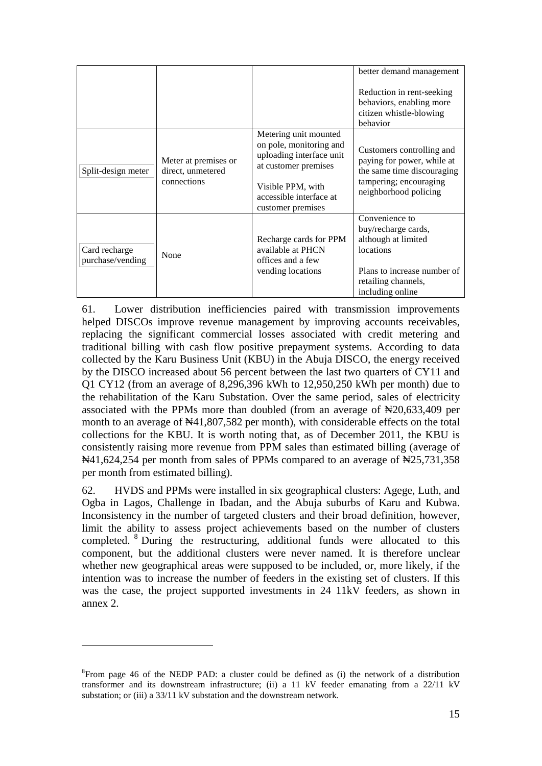|                                   |                                                          |                                                                                                                                                                           | better demand management<br>Reduction in rent-seeking<br>behaviors, enabling more<br>citizen whistle-blowing<br>behavior                            |
|-----------------------------------|----------------------------------------------------------|---------------------------------------------------------------------------------------------------------------------------------------------------------------------------|-----------------------------------------------------------------------------------------------------------------------------------------------------|
| Split-design meter                | Meter at premises or<br>direct, unmetered<br>connections | Metering unit mounted<br>on pole, monitoring and<br>uploading interface unit<br>at customer premises<br>Visible PPM, with<br>accessible interface at<br>customer premises | Customers controlling and<br>paying for power, while at<br>the same time discouraging<br>tampering; encouraging<br>neighborhood policing            |
| Card recharge<br>purchase/vending | None                                                     | Recharge cards for PPM<br>available at PHCN<br>offices and a few<br>vending locations                                                                                     | Convenience to<br>buy/recharge cards,<br>although at limited<br>locations<br>Plans to increase number of<br>retailing channels,<br>including online |

61. Lower distribution inefficiencies paired with transmission improvements helped DISCOs improve revenue management by improving accounts receivables, replacing the significant commercial losses associated with credit metering and traditional billing with cash flow positive prepayment systems. According to data collected by the Karu Business Unit (KBU) in the Abuja DISCO, the energy received by the DISCO increased about 56 percent between the last two quarters of CY11 and Q1 CY12 (from an average of 8,296,396 kWh to 12,950,250 kWh per month) due to the rehabilitation of the Karu Substation. Over the same period, sales of electricity associated with the PPMs more than doubled (from an average of ₦20,633,409 per month to an average of  $\mathbb{N}41,807,582$  per month), with considerable effects on the total collections for the KBU. It is worth noting that, as of December 2011, the KBU is consistently raising more revenue from PPM sales than estimated billing (average of  $\mathbb{N}41,624,254$  per month from sales of PPMs compared to an average of  $\mathbb{N}25,731,358$ per month from estimated billing).

62. HVDS and PPMs were installed in six geographical clusters: Agege, Luth, and Ogba in Lagos, Challenge in Ibadan, and the Abuja suburbs of Karu and Kubwa. Inconsistency in the number of targeted clusters and their broad definition, however, limit the ability to assess project achievements based on the number of clusters completed. [8](#page-30-0) During the restructuring, additional funds were allocated to this component, but the additional clusters were never named. It is therefore unclear whether new geographical areas were supposed to be included, or, more likely, if the intention was to increase the number of feeders in the existing set of clusters. If this was the case, the project supported investments in 24 11kV feeders, as shown in annex 2.

-

<span id="page-30-0"></span> ${}^{8}$ From page 46 of the NEDP PAD: a cluster could be defined as (i) the network of a distribution transformer and its downstream infrastructure; (ii) a 11 kV feeder emanating from a 22/11 kV substation; or (iii) a 33/11 kV substation and the downstream network.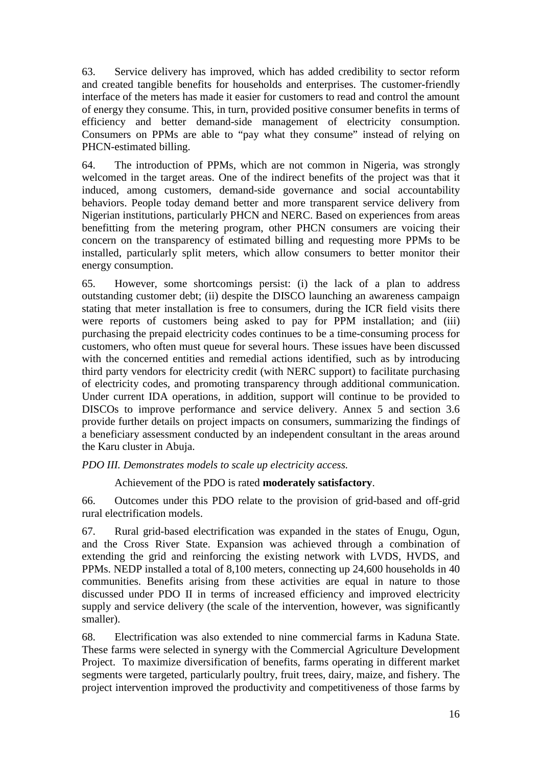63. Service delivery has improved, which has added credibility to sector reform and created tangible benefits for households and enterprises. The customer-friendly interface of the meters has made it easier for customers to read and control the amount of energy they consume. This, in turn, provided positive consumer benefits in terms of efficiency and better demand-side management of electricity consumption. Consumers on PPMs are able to "pay what they consume" instead of relying on PHCN-estimated billing.

64. The introduction of PPMs, which are not common in Nigeria, was strongly welcomed in the target areas. One of the indirect benefits of the project was that it induced, among customers, demand-side governance and social accountability behaviors. People today demand better and more transparent service delivery from Nigerian institutions, particularly PHCN and NERC. Based on experiences from areas benefitting from the metering program, other PHCN consumers are voicing their concern on the transparency of estimated billing and requesting more PPMs to be installed, particularly split meters, which allow consumers to better monitor their energy consumption.

65. However, some shortcomings persist: (i) the lack of a plan to address outstanding customer debt; (ii) despite the DISCO launching an awareness campaign stating that meter installation is free to consumers, during the ICR field visits there were reports of customers being asked to pay for PPM installation; and (iii) purchasing the prepaid electricity codes continues to be a time-consuming process for customers, who often must queue for several hours. These issues have been discussed with the concerned entities and remedial actions identified, such as by introducing third party vendors for electricity credit (with NERC support) to facilitate purchasing of electricity codes, and promoting transparency through additional communication. Under current IDA operations, in addition, support will continue to be provided to DISCOs to improve performance and service delivery. Annex 5 and section 3.6 provide further details on project impacts on consumers, summarizing the findings of a beneficiary assessment conducted by an independent consultant in the areas around the Karu cluster in Abuja.

*PDO III. Demonstrates models to scale up electricity access.* 

Achievement of the PDO is rated **moderately satisfactory**.

66. Outcomes under this PDO relate to the provision of grid-based and off-grid rural electrification models.

67. Rural grid-based electrification was expanded in the states of Enugu, Ogun, and the Cross River State. Expansion was achieved through a combination of extending the grid and reinforcing the existing network with LVDS, HVDS, and PPMs. NEDP installed a total of 8,100 meters, connecting up 24,600 households in 40 communities. Benefits arising from these activities are equal in nature to those discussed under PDO II in terms of increased efficiency and improved electricity supply and service delivery (the scale of the intervention, however, was significantly smaller).

68. Electrification was also extended to nine commercial farms in Kaduna State. These farms were selected in synergy with the Commercial Agriculture Development Project. To maximize diversification of benefits, farms operating in different market segments were targeted, particularly poultry, fruit trees, dairy, maize, and fishery. The project intervention improved the productivity and competitiveness of those farms by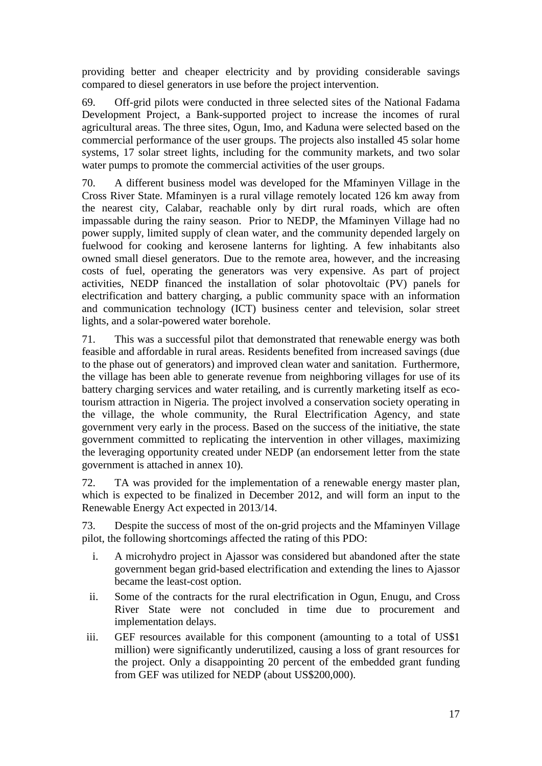providing better and cheaper electricity and by providing considerable savings compared to diesel generators in use before the project intervention.

69. Off-grid pilots were conducted in three selected sites of the National Fadama Development Project, a Bank-supported project to increase the incomes of rural agricultural areas. The three sites, Ogun, Imo, and Kaduna were selected based on the commercial performance of the user groups. The projects also installed 45 solar home systems, 17 solar street lights, including for the community markets, and two solar water pumps to promote the commercial activities of the user groups.

70. A different business model was developed for the Mfaminyen Village in the Cross River State. Mfaminyen is a rural village remotely located 126 km away from the nearest city, Calabar, reachable only by dirt rural roads, which are often impassable during the rainy season. Prior to NEDP, the Mfaminyen Village had no power supply, limited supply of clean water, and the community depended largely on fuelwood for cooking and kerosene lanterns for lighting. A few inhabitants also owned small diesel generators. Due to the remote area, however, and the increasing costs of fuel, operating the generators was very expensive. As part of project activities, NEDP financed the installation of solar photovoltaic (PV) panels for electrification and battery charging, a public community space with an information and communication technology (ICT) business center and television, solar street lights, and a solar-powered water borehole.

71. This was a successful pilot that demonstrated that renewable energy was both feasible and affordable in rural areas. Residents benefited from increased savings (due to the phase out of generators) and improved clean water and sanitation. Furthermore, the village has been able to generate revenue from neighboring villages for use of its battery charging services and water retailing, and is currently marketing itself as ecotourism attraction in Nigeria. The project involved a conservation society operating in the village, the whole community, the Rural Electrification Agency, and state government very early in the process. Based on the success of the initiative, the state government committed to replicating the intervention in other villages, maximizing the leveraging opportunity created under NEDP (an endorsement letter from the state government is attached in annex 10).

72. TA was provided for the implementation of a renewable energy master plan, which is expected to be finalized in December 2012, and will form an input to the Renewable Energy Act expected in 2013/14.

73. Despite the success of most of the on-grid projects and the Mfaminyen Village pilot, the following shortcomings affected the rating of this PDO:

- i. A microhydro project in Ajassor was considered but abandoned after the state government began grid-based electrification and extending the lines to Ajassor became the least-cost option.
- ii. Some of the contracts for the rural electrification in Ogun, Enugu, and Cross River State were not concluded in time due to procurement and implementation delays.
- iii. GEF resources available for this component (amounting to a total of US\$1 million) were significantly underutilized, causing a loss of grant resources for the project. Only a disappointing 20 percent of the embedded grant funding from GEF was utilized for NEDP (about US\$200,000).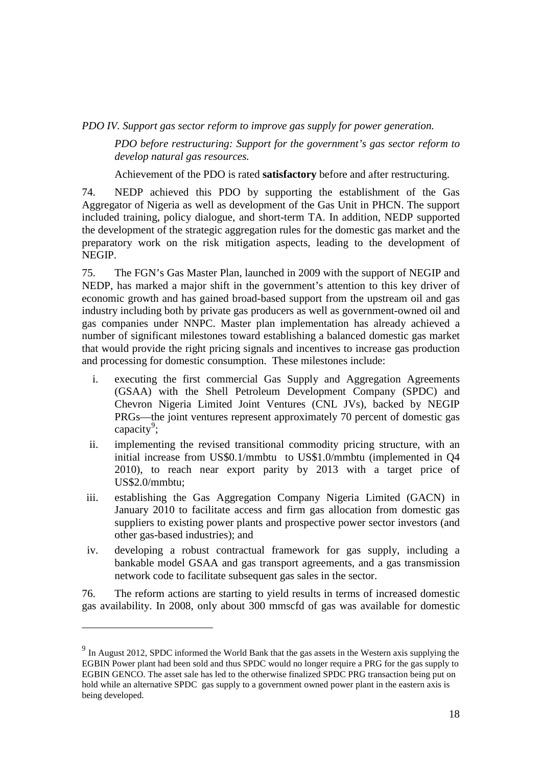*PDO IV. Support gas sector reform to improve gas supply for power generation.*

*PDO before restructuring: Support for the government's gas sector reform to develop natural gas resources.* 

Achievement of the PDO is rated **satisfactory** before and after restructuring.

74. NEDP achieved this PDO by supporting the establishment of the Gas Aggregator of Nigeria as well as development of the Gas Unit in PHCN. The support included training, policy dialogue, and short-term TA. In addition, NEDP supported the development of the strategic aggregation rules for the domestic gas market and the preparatory work on the risk mitigation aspects, leading to the development of NEGIP.

75. The FGN's Gas Master Plan, launched in 2009 with the support of NEGIP and NEDP, has marked a major shift in the government's attention to this key driver of economic growth and has gained broad-based support from the upstream oil and gas industry including both by private gas producers as well as government-owned oil and gas companies under NNPC. Master plan implementation has already achieved a number of significant milestones toward establishing a balanced domestic gas market that would provide the right pricing signals and incentives to increase gas production and processing for domestic consumption. These milestones include:

- i. executing the first commercial Gas Supply and Aggregation Agreements (GSAA) with the Shell Petroleum Development Company (SPDC) and Chevron Nigeria Limited Joint Ventures (CNL JVs), backed by NEGIP PRGs—the joint ventures represent approximately 70 percent of domestic gas capacity<sup>[9](#page-33-0)</sup>;
- ii. implementing the revised transitional commodity pricing structure, with an initial increase from US\$0.1/mmbtu to US\$1.0/mmbtu (implemented in Q4 2010), to reach near export parity by 2013 with a target price of US\$2.0/mmbtu;
- iii. establishing the Gas Aggregation Company Nigeria Limited (GACN) in January 2010 to facilitate access and firm gas allocation from domestic gas suppliers to existing power plants and prospective power sector investors (and other gas-based industries); and
- iv. developing a robust contractual framework for gas supply, including a bankable model GSAA and gas transport agreements, and a gas transmission network code to facilitate subsequent gas sales in the sector.

76. The reform actions are starting to yield results in terms of increased domestic gas availability. In 2008, only about 300 mmscfd of gas was available for domestic

-

<span id="page-33-0"></span><sup>&</sup>lt;sup>9</sup> In August 2012, SPDC informed the World Bank that the gas assets in the Western axis supplying the EGBIN Power plant had been sold and thus SPDC would no longer require a PRG for the gas supply to EGBIN GENCO. The asset sale has led to the otherwise finalized SPDC PRG transaction being put on hold while an alternative SPDC gas supply to a government owned power plant in the eastern axis is being developed.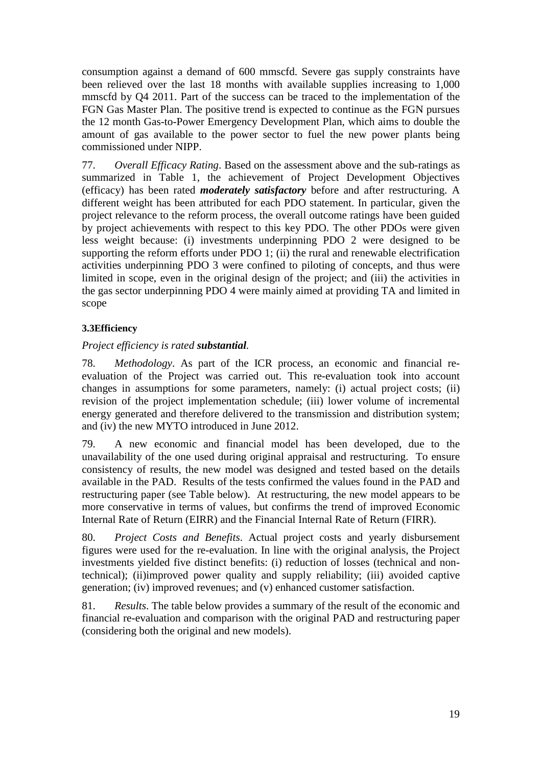consumption against a demand of 600 mmscfd. Severe gas supply constraints have been relieved over the last 18 months with available supplies increasing to 1,000 mmscfd by Q4 2011. Part of the success can be traced to the implementation of the FGN Gas Master Plan. The positive trend is expected to continue as the FGN pursues the 12 month Gas-to-Power Emergency Development Plan, which aims to double the amount of gas available to the power sector to fuel the new power plants being commissioned under NIPP.

77. *Overall Efficacy Rating*. Based on the assessment above and the sub-ratings as summarized in Table 1, the achievement of Project Development Objectives (efficacy) has been rated *moderately satisfactory* before and after restructuring. A different weight has been attributed for each PDO statement. In particular, given the project relevance to the reform process, the overall outcome ratings have been guided by project achievements with respect to this key PDO. The other PDOs were given less weight because: (i) investments underpinning PDO 2 were designed to be supporting the reform efforts under PDO 1; (ii) the rural and renewable electrification activities underpinning PDO 3 were confined to piloting of concepts, and thus were limited in scope, even in the original design of the project; and (iii) the activities in the gas sector underpinning PDO 4 were mainly aimed at providing TA and limited in scope

## **3.3Efficiency**

## *Project efficiency is rated substantial.*

78. *Methodology*. As part of the ICR process, an economic and financial reevaluation of the Project was carried out. This re-evaluation took into account changes in assumptions for some parameters, namely: (i) actual project costs; (ii) revision of the project implementation schedule; (iii) lower volume of incremental energy generated and therefore delivered to the transmission and distribution system; and (iv) the new MYTO introduced in June 2012.

79. A new economic and financial model has been developed, due to the unavailability of the one used during original appraisal and restructuring. To ensure consistency of results, the new model was designed and tested based on the details available in the PAD. Results of the tests confirmed the values found in the PAD and restructuring paper (see Table below). At restructuring, the new model appears to be more conservative in terms of values, but confirms the trend of improved Economic Internal Rate of Return (EIRR) and the Financial Internal Rate of Return (FIRR).

80. *Project Costs and Benefits*. Actual project costs and yearly disbursement figures were used for the re-evaluation. In line with the original analysis, the Project investments yielded five distinct benefits: (i) reduction of losses (technical and nontechnical); (ii)improved power quality and supply reliability; (iii) avoided captive generation; (iv) improved revenues; and (v) enhanced customer satisfaction.

81. *Results*. The table below provides a summary of the result of the economic and financial re-evaluation and comparison with the original PAD and restructuring paper (considering both the original and new models).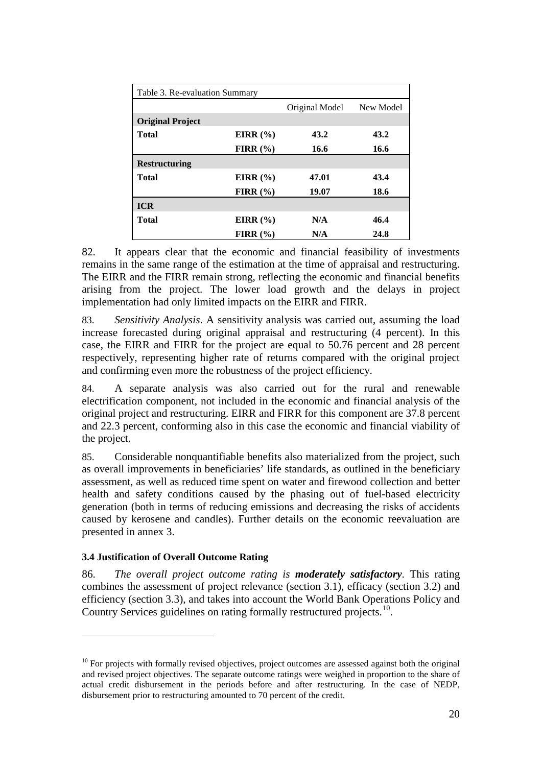| Table 3. Re-evaluation Summary |              |                |           |
|--------------------------------|--------------|----------------|-----------|
|                                |              | Original Model | New Model |
| <b>Original Project</b>        |              |                |           |
| <b>Total</b>                   | EIRR $(\% )$ | 43.2           | 43.2      |
|                                | FIRR $(\% )$ | 16.6           | 16.6      |
| <b>Restructuring</b>           |              |                |           |
| <b>Total</b>                   | EIRR $(\% )$ | 47.01          | 43.4      |
|                                | FIRR $(\% )$ | 19.07          | 18.6      |
| <b>ICR</b>                     |              |                |           |
| <b>Total</b>                   | EIRR $(\% )$ | N/A            | 46.4      |
|                                | FIRR $(\% )$ | N/A            | 24.8      |

82. It appears clear that the economic and financial feasibility of investments remains in the same range of the estimation at the time of appraisal and restructuring. The EIRR and the FIRR remain strong, reflecting the economic and financial benefits arising from the project. The lower load growth and the delays in project implementation had only limited impacts on the EIRR and FIRR.

83. *Sensitivity Analysis*. A sensitivity analysis was carried out, assuming the load increase forecasted during original appraisal and restructuring (4 percent). In this case, the EIRR and FIRR for the project are equal to 50.76 percent and 28 percent respectively, representing higher rate of returns compared with the original project and confirming even more the robustness of the project efficiency.

84. A separate analysis was also carried out for the rural and renewable electrification component, not included in the economic and financial analysis of the original project and restructuring. EIRR and FIRR for this component are 37.8 percent and 22.3 percent, conforming also in this case the economic and financial viability of the project.

85. Considerable nonquantifiable benefits also materialized from the project, such as overall improvements in beneficiaries' life standards, as outlined in the beneficiary assessment, as well as reduced time spent on water and firewood collection and better health and safety conditions caused by the phasing out of fuel-based electricity generation (both in terms of reducing emissions and decreasing the risks of accidents caused by kerosene and candles). Further details on the economic reevaluation are presented in annex 3.

## **3.4 Justification of Overall Outcome Rating**

-

86. *The overall project outcome rating is moderately satisfactory*. This rating combines the assessment of project relevance (section 3.1), efficacy (section 3.2) and efficiency (section 3.3), and takes into account the World Bank Operations Policy and Country Services guidelines on rating formally restructured projects. [10.](#page-35-0)

<span id="page-35-0"></span> $10$  For projects with formally revised objectives, project outcomes are assessed against both the original and revised project objectives. The separate outcome ratings were weighed in proportion to the share of actual credit disbursement in the periods before and after restructuring. In the case of NEDP, disbursement prior to restructuring amounted to 70 percent of the credit.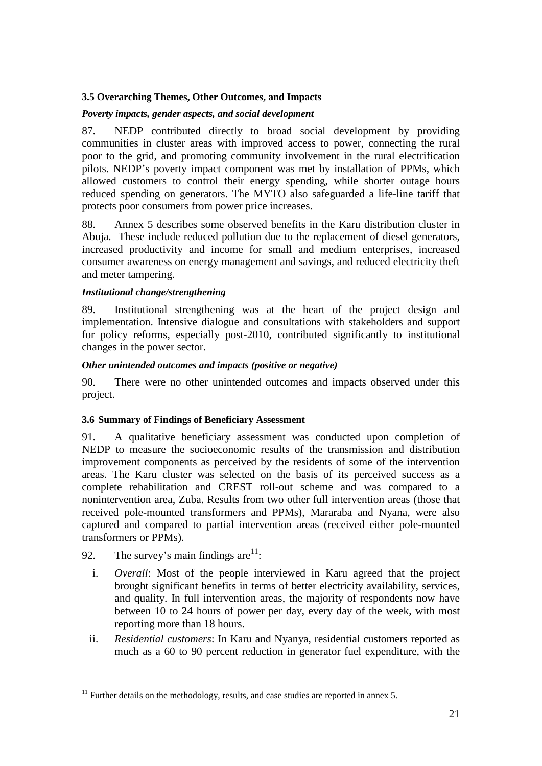#### **3.5 Overarching Themes, Other Outcomes, and Impacts**

#### *Poverty impacts, gender aspects, and social development*

87. NEDP contributed directly to broad social development by providing communities in cluster areas with improved access to power, connecting the rural poor to the grid, and promoting community involvement in the rural electrification pilots. NEDP's poverty impact component was met by installation of PPMs, which allowed customers to control their energy spending, while shorter outage hours reduced spending on generators. The MYTO also safeguarded a life-line tariff that protects poor consumers from power price increases.

88. Annex 5 describes some observed benefits in the Karu distribution cluster in Abuja. These include reduced pollution due to the replacement of diesel generators, increased productivity and income for small and medium enterprises, increased consumer awareness on energy management and savings, and reduced electricity theft and meter tampering.

#### *Institutional change/strengthening*

89. Institutional strengthening was at the heart of the project design and implementation. Intensive dialogue and consultations with stakeholders and support for policy reforms, especially post-2010, contributed significantly to institutional changes in the power sector.

#### *Other unintended outcomes and impacts (positive or negative)*

90. There were no other unintended outcomes and impacts observed under this project.

#### **3.6 Summary of Findings of Beneficiary Assessment**

91. A qualitative beneficiary assessment was conducted upon completion of NEDP to measure the socioeconomic results of the transmission and distribution improvement components as perceived by the residents of some of the intervention areas. The Karu cluster was selected on the basis of its perceived success as a complete rehabilitation and CREST roll-out scheme and was compared to a nonintervention area, Zuba. Results from two other full intervention areas (those that received pole-mounted transformers and PPMs), Mararaba and Nyana, were also captured and compared to partial intervention areas (received either pole-mounted transformers or PPMs).

92. The survey's main findings are  $11$ :

-

- i. *Overall*: Most of the people interviewed in Karu agreed that the project brought significant benefits in terms of better electricity availability, services, and quality. In full intervention areas, the majority of respondents now have between 10 to 24 hours of power per day, every day of the week, with most reporting more than 18 hours.
- ii. *Residential customers*: In Karu and Nyanya, residential customers reported as much as a 60 to 90 percent reduction in generator fuel expenditure, with the

<span id="page-36-0"></span> $11$  Further details on the methodology, results, and case studies are reported in annex 5.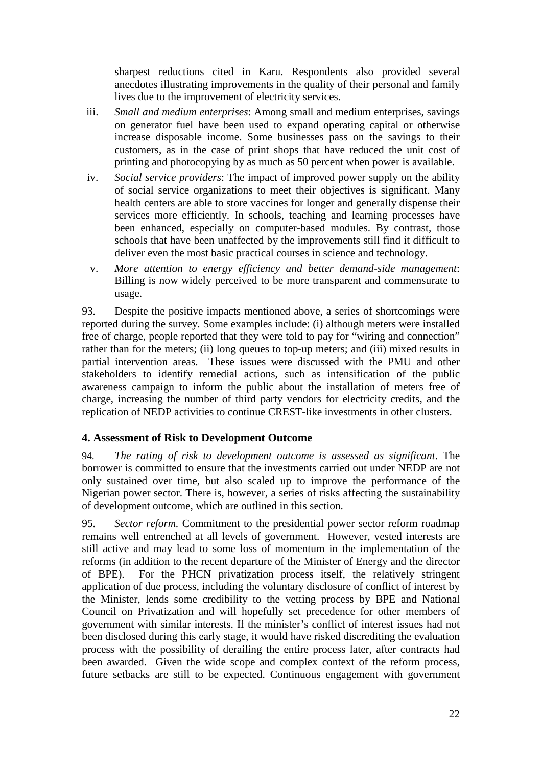sharpest reductions cited in Karu. Respondents also provided several anecdotes illustrating improvements in the quality of their personal and family lives due to the improvement of electricity services.

- iii. *Small and medium enterprises*: Among small and medium enterprises, savings on generator fuel have been used to expand operating capital or otherwise increase disposable income. Some businesses pass on the savings to their customers, as in the case of print shops that have reduced the unit cost of printing and photocopying by as much as 50 percent when power is available.
- iv. *Social service providers*: The impact of improved power supply on the ability of social service organizations to meet their objectives is significant. Many health centers are able to store vaccines for longer and generally dispense their services more efficiently. In schools, teaching and learning processes have been enhanced, especially on computer-based modules. By contrast, those schools that have been unaffected by the improvements still find it difficult to deliver even the most basic practical courses in science and technology.
- v. *More attention to energy efficiency and better demand-side management*: Billing is now widely perceived to be more transparent and commensurate to usage.

93. Despite the positive impacts mentioned above, a series of shortcomings were reported during the survey. Some examples include: (i) although meters were installed free of charge, people reported that they were told to pay for "wiring and connection" rather than for the meters; (ii) long queues to top-up meters; and (iii) mixed results in partial intervention areas. These issues were discussed with the PMU and other stakeholders to identify remedial actions, such as intensification of the public awareness campaign to inform the public about the installation of meters free of charge, increasing the number of third party vendors for electricity credits, and the replication of NEDP activities to continue CREST-like investments in other clusters.

## <span id="page-37-0"></span>**4. Assessment of Risk to Development Outcome**

94. *The rating of risk to development outcome is assessed as significant*. The borrower is committed to ensure that the investments carried out under NEDP are not only sustained over time, but also scaled up to improve the performance of the Nigerian power sector. There is, however, a series of risks affecting the sustainability of development outcome, which are outlined in this section.

95. *Sector reform.* Commitment to the presidential power sector reform roadmap remains well entrenched at all levels of government. However, vested interests are still active and may lead to some loss of momentum in the implementation of the reforms (in addition to the recent departure of the Minister of Energy and the director of BPE). For the PHCN privatization process itself, the relatively stringent application of due process, including the voluntary disclosure of conflict of interest by the Minister, lends some credibility to the vetting process by BPE and National Council on Privatization and will hopefully set precedence for other members of government with similar interests. If the minister's conflict of interest issues had not been disclosed during this early stage, it would have risked discrediting the evaluation process with the possibility of derailing the entire process later, after contracts had been awarded. Given the wide scope and complex context of the reform process, future setbacks are still to be expected. Continuous engagement with government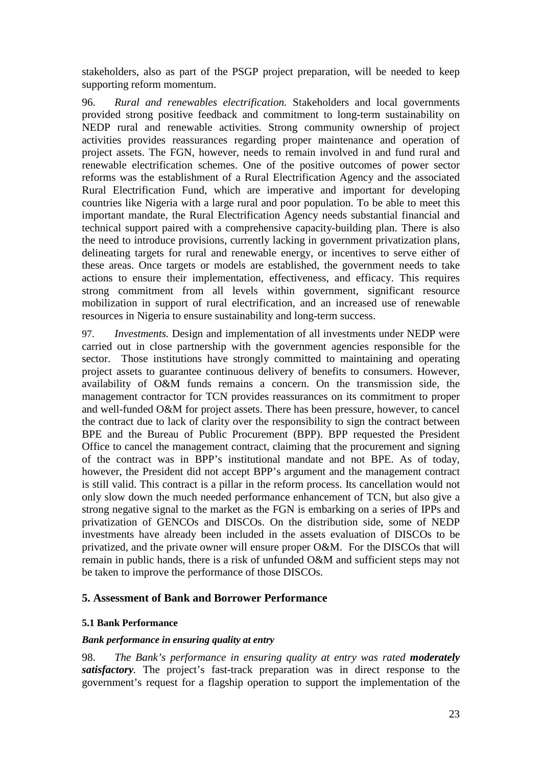stakeholders, also as part of the PSGP project preparation, will be needed to keep supporting reform momentum.

96. *Rural and renewables electrification.* Stakeholders and local governments provided strong positive feedback and commitment to long-term sustainability on NEDP rural and renewable activities. Strong community ownership of project activities provides reassurances regarding proper maintenance and operation of project assets. The FGN, however, needs to remain involved in and fund rural and renewable electrification schemes. One of the positive outcomes of power sector reforms was the establishment of a Rural Electrification Agency and the associated Rural Electrification Fund, which are imperative and important for developing countries like Nigeria with a large rural and poor population. To be able to meet this important mandate, the Rural Electrification Agency needs substantial financial and technical support paired with a comprehensive capacity-building plan. There is also the need to introduce provisions, currently lacking in government privatization plans, delineating targets for rural and renewable energy, or incentives to serve either of these areas. Once targets or models are established, the government needs to take actions to ensure their implementation, effectiveness, and efficacy. This requires strong commitment from all levels within government, significant resource mobilization in support of rural electrification, and an increased use of renewable resources in Nigeria to ensure sustainability and long-term success.

97. *Investments.* Design and implementation of all investments under NEDP were carried out in close partnership with the government agencies responsible for the sector. Those institutions have strongly committed to maintaining and operating project assets to guarantee continuous delivery of benefits to consumers. However, availability of O&M funds remains a concern. On the transmission side, the management contractor for TCN provides reassurances on its commitment to proper and well-funded O&M for project assets. There has been pressure, however, to cancel the contract due to lack of clarity over the responsibility to sign the contract between BPE and the Bureau of Public Procurement (BPP). BPP requested the President Office to cancel the management contract, claiming that the procurement and signing of the contract was in BPP's institutional mandate and not BPE. As of today, however, the President did not accept BPP's argument and the management contract is still valid. This contract is a pillar in the reform process. Its cancellation would not only slow down the much needed performance enhancement of TCN, but also give a strong negative signal to the market as the FGN is embarking on a series of IPPs and privatization of GENCOs and DISCOs. On the distribution side, some of NEDP investments have already been included in the assets evaluation of DISCOs to be privatized, and the private owner will ensure proper O&M. For the DISCOs that will remain in public hands, there is a risk of unfunded O&M and sufficient steps may not be taken to improve the performance of those DISCOs.

#### <span id="page-38-0"></span>**5. Assessment of Bank and Borrower Performance**

#### **5.1 Bank Performance**

#### *Bank performance in ensuring quality at entry*

98. *The Bank's performance in ensuring quality at entry was rated moderately satisfactory.* The project's fast-track preparation was in direct response to the government's request for a flagship operation to support the implementation of the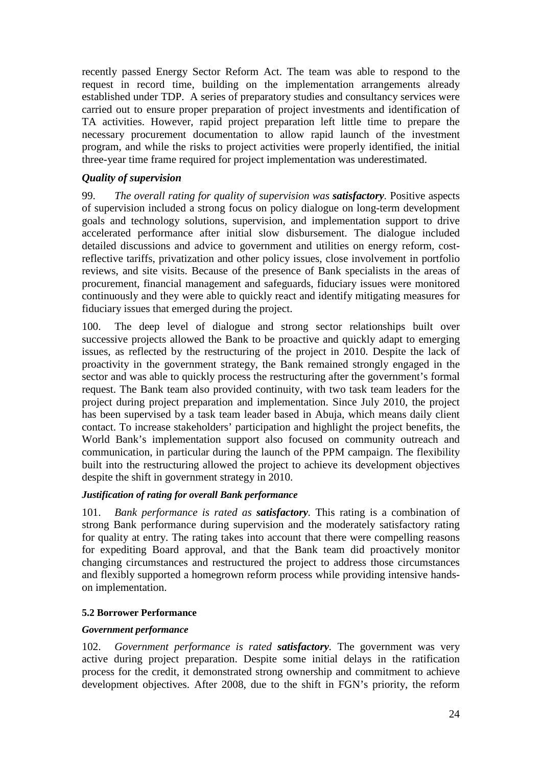recently passed Energy Sector Reform Act. The team was able to respond to the request in record time, building on the implementation arrangements already established under TDP. A series of preparatory studies and consultancy services were carried out to ensure proper preparation of project investments and identification of TA activities. However, rapid project preparation left little time to prepare the necessary procurement documentation to allow rapid launch of the investment program, and while the risks to project activities were properly identified, the initial three-year time frame required for project implementation was underestimated.

## *Quality of supervision*

99. *The overall rating for quality of supervision was satisfactory.* Positive aspects of supervision included a strong focus on policy dialogue on long-term development goals and technology solutions, supervision, and implementation support to drive accelerated performance after initial slow disbursement. The dialogue included detailed discussions and advice to government and utilities on energy reform, costreflective tariffs, privatization and other policy issues, close involvement in portfolio reviews, and site visits. Because of the presence of Bank specialists in the areas of procurement, financial management and safeguards, fiduciary issues were monitored continuously and they were able to quickly react and identify mitigating measures for fiduciary issues that emerged during the project.

100. The deep level of dialogue and strong sector relationships built over successive projects allowed the Bank to be proactive and quickly adapt to emerging issues, as reflected by the restructuring of the project in 2010. Despite the lack of proactivity in the government strategy, the Bank remained strongly engaged in the sector and was able to quickly process the restructuring after the government's formal request. The Bank team also provided continuity, with two task team leaders for the project during project preparation and implementation. Since July 2010, the project has been supervised by a task team leader based in Abuja, which means daily client contact. To increase stakeholders' participation and highlight the project benefits, the World Bank's implementation support also focused on community outreach and communication, in particular during the launch of the PPM campaign. The flexibility built into the restructuring allowed the project to achieve its development objectives despite the shift in government strategy in 2010.

## *Justification of rating for overall Bank performance*

101. *Bank performance is rated as satisfactory.* This rating is a combination of strong Bank performance during supervision and the moderately satisfactory rating for quality at entry. The rating takes into account that there were compelling reasons for expediting Board approval, and that the Bank team did proactively monitor changing circumstances and restructured the project to address those circumstances and flexibly supported a homegrown reform process while providing intensive handson implementation.

## **5.2 Borrower Performance**

## *Government performance*

102. *Government performance is rated satisfactory.* The government was very active during project preparation. Despite some initial delays in the ratification process for the credit, it demonstrated strong ownership and commitment to achieve development objectives. After 2008, due to the shift in FGN's priority, the reform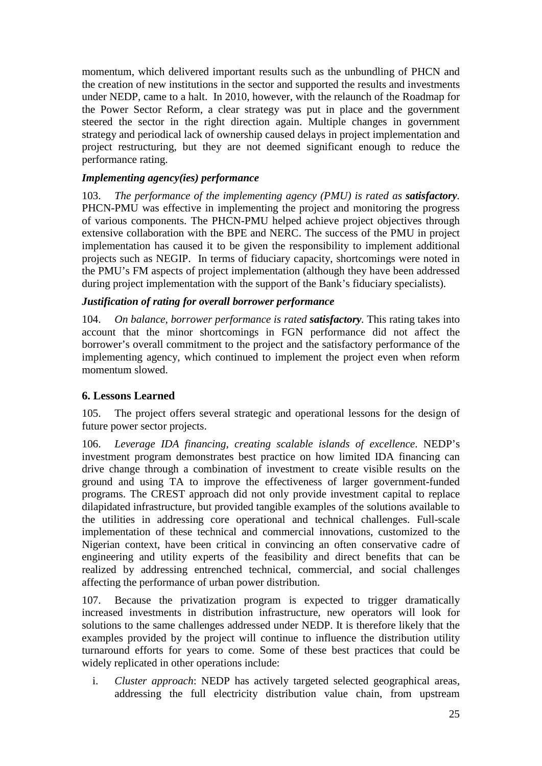momentum, which delivered important results such as the unbundling of PHCN and the creation of new institutions in the sector and supported the results and investments under NEDP, came to a halt. In 2010, however, with the relaunch of the Roadmap for the Power Sector Reform, a clear strategy was put in place and the government steered the sector in the right direction again. Multiple changes in government strategy and periodical lack of ownership caused delays in project implementation and project restructuring, but they are not deemed significant enough to reduce the performance rating.

## *Implementing agency(ies) performance*

103. *The performance of the implementing agency (PMU) is rated as <i>satisfactory*. PHCN-PMU was effective in implementing the project and monitoring the progress of various components. The PHCN-PMU helped achieve project objectives through extensive collaboration with the BPE and NERC. The success of the PMU in project implementation has caused it to be given the responsibility to implement additional projects such as NEGIP. In terms of fiduciary capacity, shortcomings were noted in the PMU's FM aspects of project implementation (although they have been addressed during project implementation with the support of the Bank's fiduciary specialists).

## *Justification of rating for overall borrower performance*

<span id="page-40-0"></span>104. *On balance, borrower performance is rated satisfactory.* This rating takes into account that the minor shortcomings in FGN performance did not affect the borrower's overall commitment to the project and the satisfactory performance of the implementing agency, which continued to implement the project even when reform momentum slowed.

## **6. Lessons Learned**

105. The project offers several strategic and operational lessons for the design of future power sector projects.

106. *Leverage IDA financing, creating scalable islands of excellence*. NEDP's investment program demonstrates best practice on how limited IDA financing can drive change through a combination of investment to create visible results on the ground and using TA to improve the effectiveness of larger government-funded programs. The CREST approach did not only provide investment capital to replace dilapidated infrastructure, but provided tangible examples of the solutions available to the utilities in addressing core operational and technical challenges. Full-scale implementation of these technical and commercial innovations, customized to the Nigerian context, have been critical in convincing an often conservative cadre of engineering and utility experts of the feasibility and direct benefits that can be realized by addressing entrenched technical, commercial, and social challenges affecting the performance of urban power distribution.

107. Because the privatization program is expected to trigger dramatically increased investments in distribution infrastructure, new operators will look for solutions to the same challenges addressed under NEDP. It is therefore likely that the examples provided by the project will continue to influence the distribution utility turnaround efforts for years to come. Some of these best practices that could be widely replicated in other operations include:

i. *Cluster approach*: NEDP has actively targeted selected geographical areas, addressing the full electricity distribution value chain, from upstream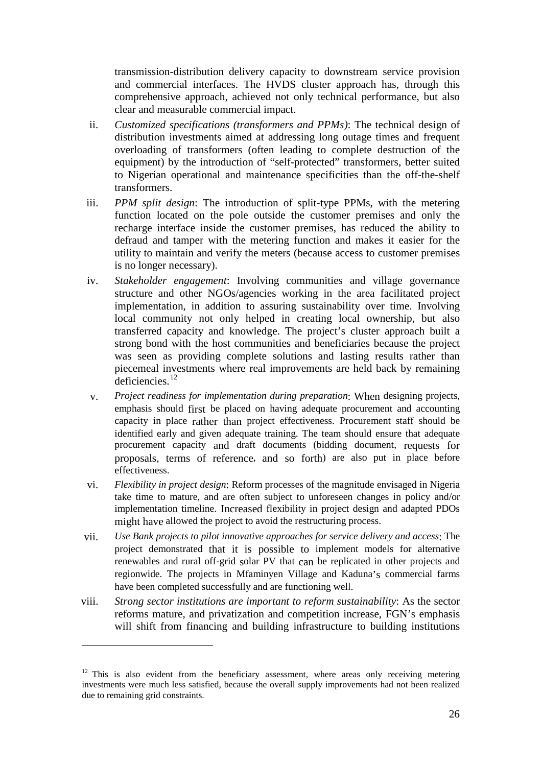transmission-distribution delivery capacity to downstream service provision and commercial interfaces. The HVDS cluster approach has, through this comprehensive approach, achieved not only technical performance, but also clear and measurable commercial impact.

- ii. *Customized specifications (transformers and PPMs)*: The technical design of distribution investments aimed at addressing long outage times and frequent overloading of transformers (often leading to complete destruction of the equipment) by the introduction of "self-protected" transformers, better suited to Nigerian operational and maintenance specificities than the off-the-shelf transformers.
- iii. *PPM split design*: The introduction of split-type PPMs, with the metering function located on the pole outside the customer premises and only the recharge interface inside the customer premises, has reduced the ability to defraud and tamper with the metering function and makes it easier for the utility to maintain and verify the meters (because access to customer premises is no longer necessary).
- iv. *Stakeholder engagement*: Involving communities and village governance structure and other NGOs/agencies working in the area facilitated project implementation, in addition to assuring sustainability over time. Involving local community not only helped in creating local ownership, but also transferred capacity and knowledge. The project's cluster approach built a strong bond with the host communities and beneficiaries because the project was seen as providing complete solutions and lasting results rather than piecemeal investments where real improvements are held back by remaining deficiencies. [12](#page-41-0)
- v. *Project readiness for implementation during preparation*: When designing projects, emphasis should first be placed on having adequate procurement and accounting capacity in place rather than project effectiveness. Procurement staff should be identified early and given adequate training. The team should ensure that adequate procurement capacity and draft documents (bidding document, requests for proposals, terms of reference, and so forth) are also put in place before effectiveness.
- vi. *Flexibility in project design*: Reform processes of the magnitude envisaged in Nigeria take time to mature, and are often subject to unforeseen changes in policy and/or implementation timeline. Increased flexibility in project design and adapted PDOs might have allowed the project to avoid the restructuring process.
- vii. *Use Bank projects to pilot innovative approaches for service delivery and access*: The project demonstrated that it is possible to implement models for alternative renewables and rural off-grid solar PV that can be replicated in other projects and regionwide. The projects in Mfaminyen Village and Kaduna's commercial farms have been completed successfully and are functioning well.
- viii. *Strong sector institutions are important to reform sustainability*: As the sector reforms mature, and privatization and competition increase, FGN's emphasis will shift from financing and building infrastructure to building institutions

-

<span id="page-41-0"></span> $12$  This is also evident from the beneficiary assessment, where areas only receiving metering investments were much less satisfied, because the overall supply improvements had not been realized due to remaining grid constraints.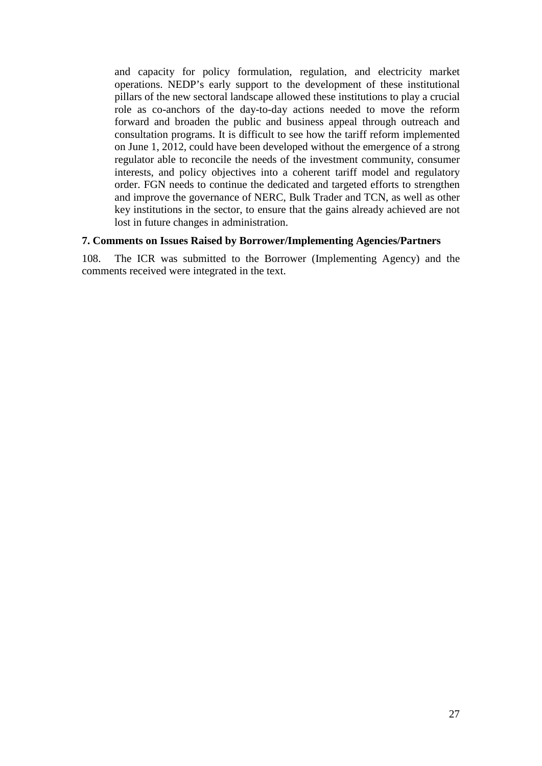and capacity for policy formulation*,* regulation, and electricity market operations. NEDP's early support to the development of these institutional pillars of the new sectoral landscape allowed these institutions to play a crucial role as co-anchors of the day-to-day actions needed to move the reform forward and broaden the public and business appeal through outreach and consultation programs. It is difficult to see how the tariff reform implemented on June 1, 2012, could have been developed without the emergence of a strong regulator able to reconcile the needs of the investment community, consumer interests, and policy objectives into a coherent tariff model and regulatory order. FGN needs to continue the dedicated and targeted efforts to strengthen and improve the governance of NERC, Bulk Trader and TCN, as well as other key institutions in the sector, to ensure that the gains already achieved are not lost in future changes in administration.

#### **7. Comments on Issues Raised by Borrower/Implementing Agencies/Partners**

108. The ICR was submitted to the Borrower (Implementing Agency) and the comments received were integrated in the text.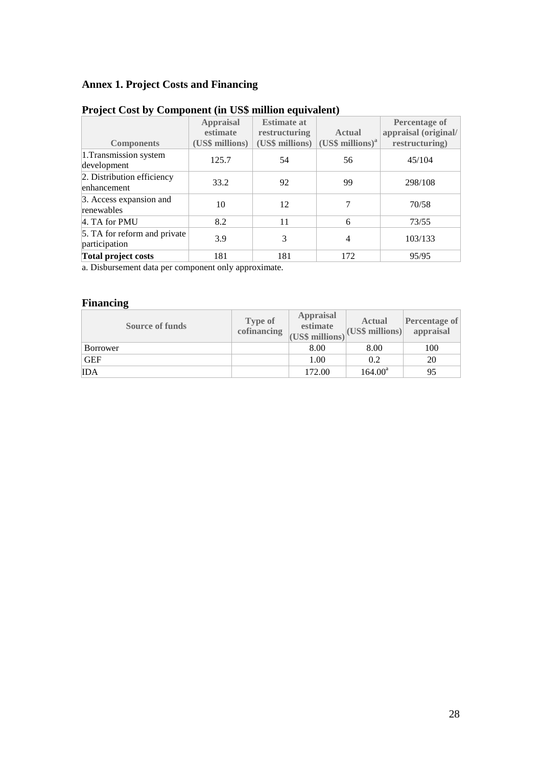# <span id="page-43-0"></span>**Annex 1. Project Costs and Financing**

|                                               | <b>Appraisal</b><br>estimate | <b>Estimate at</b><br>restructuring | <b>Actual</b>            | <b>Percentage of</b><br>appraisal (original/ |
|-----------------------------------------------|------------------------------|-------------------------------------|--------------------------|----------------------------------------------|
| <b>Components</b>                             | (US\$ millions)              | (US\$ millions)                     | $(US\$ \$ millions $)^a$ | restructuring)                               |
| 1. Transmission system<br>development         | 125.7                        | 54                                  | 56                       | 45/104                                       |
| 2. Distribution efficiency<br>enhancement     | 33.2                         | 92                                  | 99                       | 298/108                                      |
| 3. Access expansion and<br>renewables         | 10                           | 12                                  | 7                        | 70/58                                        |
| 4. TA for PMU                                 | 8.2                          | 11                                  | 6                        | 73/55                                        |
| 5. TA for reform and private<br>participation | 3.9                          | 3                                   | 4                        | 103/133                                      |
| Total project costs                           | 181                          | 181                                 | 172                      | 95/95                                        |

# **Project Cost by Component (in US\$ million equivalent)**

a. Disbursement data per component only approximate.

## **Financing**

| <b>Source of funds</b> | <b>Type of</b><br>cofinancing | <b>Appraisal</b><br>estimate<br>(US\$ millions) | <b>Actual</b><br> (US\$~millions) | Percentage of<br>appraisal |
|------------------------|-------------------------------|-------------------------------------------------|-----------------------------------|----------------------------|
| <b>Borrower</b>        |                               | 8.00                                            | 8.00                              | 100                        |
| <b>GEF</b>             |                               | 1.00                                            | 0.2                               | 20                         |
| <b>IDA</b>             |                               | 172.00                                          | $164.00^a$                        | 95                         |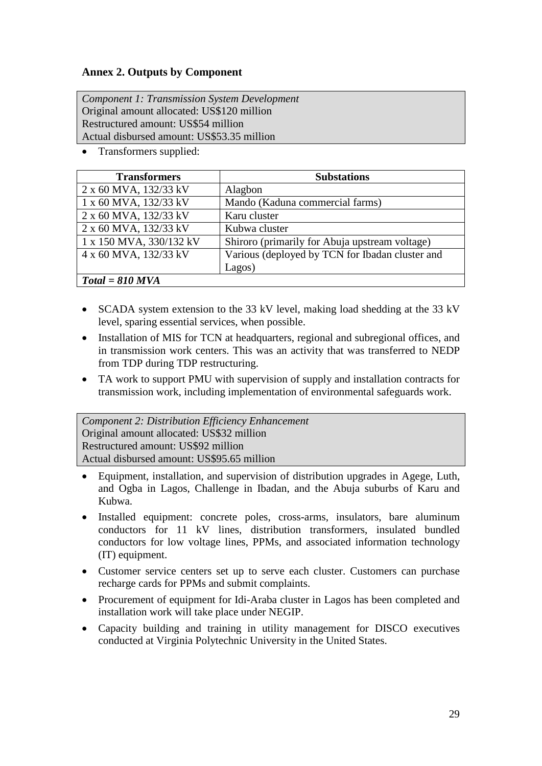## <span id="page-44-0"></span>**Annex 2. Outputs by Component**

*Component 1: Transmission System Development*  Original amount allocated: US\$120 million Restructured amount: US\$54 million Actual disbursed amount: US\$53.35 million

• Transformers supplied:

| <b>Transformers</b>     | <b>Substations</b>                              |
|-------------------------|-------------------------------------------------|
| 2 x 60 MVA, 132/33 kV   | Alagbon                                         |
| 1 x 60 MVA, 132/33 kV   | Mando (Kaduna commercial farms)                 |
| 2 x 60 MVA, 132/33 kV   | Karu cluster                                    |
| 2 x 60 MVA, 132/33 kV   | Kubwa cluster                                   |
| 1 x 150 MVA, 330/132 kV | Shiroro (primarily for Abuja upstream voltage)  |
| 4 x 60 MVA, 132/33 kV   | Various (deployed by TCN for Ibadan cluster and |
|                         | Lagos)                                          |
| $Total = 810$ MVA       |                                                 |

- SCADA system extension to the 33 kV level, making load shedding at the 33 kV level, sparing essential services, when possible.
- Installation of MIS for TCN at headquarters, regional and subregional offices, and in transmission work centers. This was an activity that was transferred to NEDP from TDP during TDP restructuring.
- TA work to support PMU with supervision of supply and installation contracts for transmission work, including implementation of environmental safeguards work.

*Component 2: Distribution Efficiency Enhancement* Original amount allocated: US\$32 million Restructured amount: US\$92 million Actual disbursed amount: US\$95.65 million

- Equipment, installation, and supervision of distribution upgrades in Agege, Luth, and Ogba in Lagos, Challenge in Ibadan, and the Abuja suburbs of Karu and Kubwa.
- Installed equipment: concrete poles, cross-arms, insulators, bare aluminum conductors for 11 kV lines, distribution transformers, insulated bundled conductors for low voltage lines, PPMs, and associated information technology (IT) equipment.
- Customer service centers set up to serve each cluster. Customers can purchase recharge cards for PPMs and submit complaints.
- Procurement of equipment for Idi-Araba cluster in Lagos has been completed and installation work will take place under NEGIP.
- Capacity building and training in utility management for DISCO executives conducted at Virginia Polytechnic University in the United States.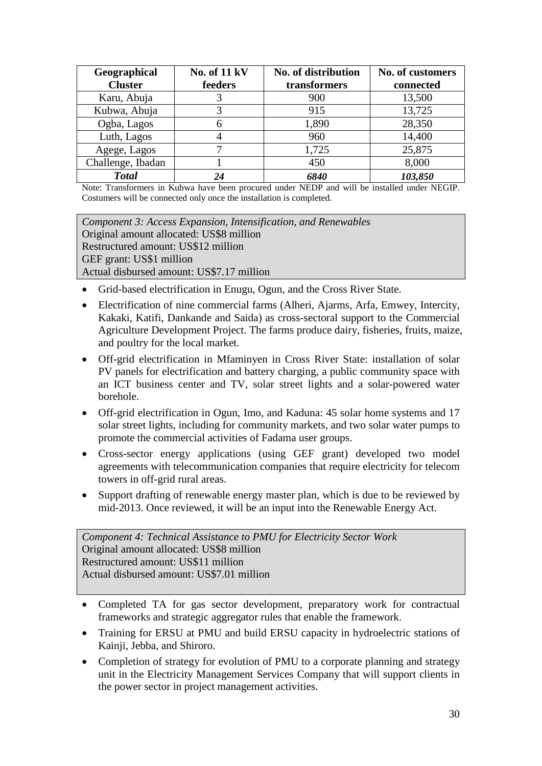| Geographical<br><b>Cluster</b> | <b>No. of 11 kV</b><br>feeders | No. of distribution<br>transformers | No. of customers<br>connected |
|--------------------------------|--------------------------------|-------------------------------------|-------------------------------|
|                                |                                |                                     |                               |
| Karu, Abuja                    |                                | 900                                 | 13,500                        |
| Kubwa, Abuja                   |                                | 915                                 | 13,725                        |
| Ogba, Lagos                    |                                | 1,890                               | 28,350                        |
| Luth, Lagos                    |                                | 960                                 | 14,400                        |
| Agege, Lagos                   |                                | 1,725                               | 25,875                        |
| Challenge, Ibadan              |                                | 450                                 | 8,000                         |
| <b>Total</b>                   |                                | 6840                                | 103,850                       |

Note: Transformers in Kubwa have been procured under NEDP and will be installed under NEGIP. Costumers will be connected only once the installation is completed.

*Component 3: Access Expansion, Intensification, and Renewables* Original amount allocated: US\$8 million Restructured amount: US\$12 million GEF grant: US\$1 million Actual disbursed amount: US\$7.17 million

- Grid-based electrification in Enugu, Ogun, and the Cross River State.
- Electrification of nine commercial farms (Alheri, Ajarms, Arfa, Emwey, Intercity, Kakaki, Katifi, Dankande and Saida) as cross-sectoral support to the Commercial Agriculture Development Project. The farms produce dairy, fisheries, fruits, maize, and poultry for the local market.
- Off-grid electrification in Mfaminyen in Cross River State: installation of solar PV panels for electrification and battery charging, a public community space with an ICT business center and TV, solar street lights and a solar-powered water borehole.
- Off-grid electrification in Ogun, Imo, and Kaduna: 45 solar home systems and 17 solar street lights, including for community markets, and two solar water pumps to promote the commercial activities of Fadama user groups.
- Cross-sector energy applications (using GEF grant) developed two model agreements with telecommunication companies that require electricity for telecom towers in off-grid rural areas.
- Support drafting of renewable energy master plan, which is due to be reviewed by mid-2013. Once reviewed, it will be an input into the Renewable Energy Act.

*Component 4: Technical Assistance to PMU for Electricity Sector Work* Original amount allocated: US\$8 million Restructured amount: US\$11 million Actual disbursed amount: US\$7.01 million

- Completed TA for gas sector development, preparatory work for contractual frameworks and strategic aggregator rules that enable the framework.
- Training for ERSU at PMU and build ERSU capacity in hydroelectric stations of Kainji, Jebba, and Shiroro.
- Completion of strategy for evolution of PMU to a corporate planning and strategy unit in the Electricity Management Services Company that will support clients in the power sector in project management activities.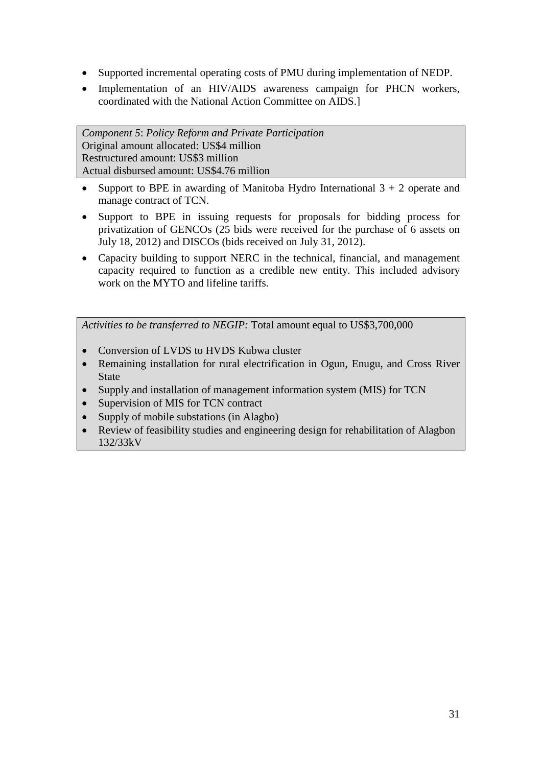- Supported incremental operating costs of PMU during implementation of NEDP.
- Implementation of an HIV/AIDS awareness campaign for PHCN workers, coordinated with the National Action Committee on AIDS.]

*Component 5*: *Policy Reform and Private Participation* Original amount allocated: US\$4 million Restructured amount: US\$3 million Actual disbursed amount: US\$4.76 million

- Support to BPE in awarding of Manitoba Hydro International  $3 + 2$  operate and manage contract of TCN.
- Support to BPE in issuing requests for proposals for bidding process for privatization of GENCOs (25 bids were received for the purchase of 6 assets on July 18, 2012) and DISCOs (bids received on July 31, 2012).
- Capacity building to support NERC in the technical, financial, and management capacity required to function as a credible new entity. This included advisory work on the MYTO and lifeline tariffs.

*Activities to be transferred to NEGIP:* Total amount equal to US\$3,700,000

- Conversion of LVDS to HVDS Kubwa cluster
- Remaining installation for rural electrification in Ogun, Enugu, and Cross River State
- Supply and installation of management information system (MIS) for TCN
- Supervision of MIS for TCN contract
- Supply of mobile substations (in Alagbo)
- Review of feasibility studies and engineering design for rehabilitation of Alagbon 132/33kV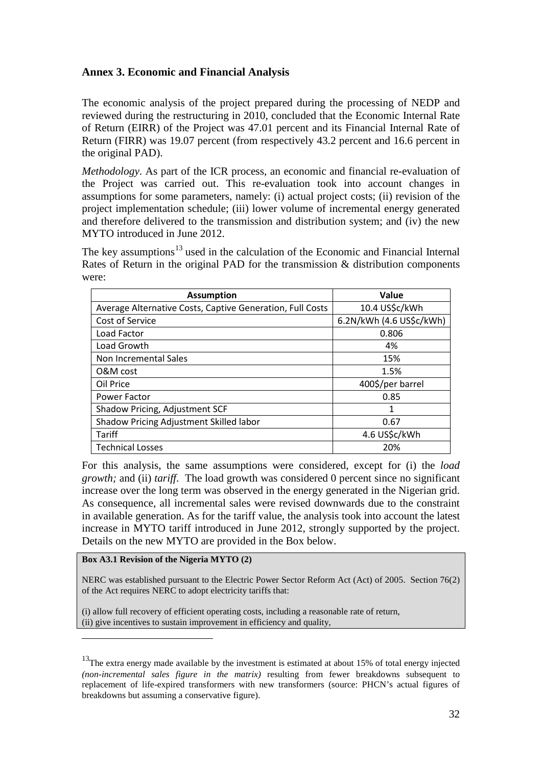## <span id="page-47-0"></span>**Annex 3. Economic and Financial Analysis**

The economic analysis of the project prepared during the processing of NEDP and reviewed during the restructuring in 2010, concluded that the Economic Internal Rate of Return (EIRR) of the Project was 47.01 percent and its Financial Internal Rate of Return (FIRR) was 19.07 percent (from respectively 43.2 percent and 16.6 percent in the original PAD).

*Methodology*. As part of the ICR process, an economic and financial re-evaluation of the Project was carried out. This re-evaluation took into account changes in assumptions for some parameters, namely: (i) actual project costs; (ii) revision of the project implementation schedule; (iii) lower volume of incremental energy generated and therefore delivered to the transmission and distribution system; and (iv) the new MYTO introduced in June 2012.

The key assumptions<sup>[13](#page-47-1)</sup> used in the calculation of the Economic and Financial Internal Rates of Return in the original PAD for the transmission & distribution components were:

| <b>Assumption</b>                                         | Value                    |
|-----------------------------------------------------------|--------------------------|
| Average Alternative Costs, Captive Generation, Full Costs | 10.4 US\$c/kWh           |
| Cost of Service                                           | 6.2N/kWh (4.6 US\$c/kWh) |
| Load Factor                                               | 0.806                    |
| Load Growth                                               | 4%                       |
| Non Incremental Sales                                     | 15%                      |
| O&M cost                                                  | 1.5%                     |
| Oil Price                                                 | 400\$/per barrel         |
| Power Factor                                              | 0.85                     |
| Shadow Pricing, Adjustment SCF                            | 1                        |
| Shadow Pricing Adjustment Skilled labor                   | 0.67                     |
| Tariff                                                    | 4.6 US\$c/kWh            |
| <b>Technical Losses</b>                                   | 20%                      |

For this analysis, the same assumptions were considered, except for (i) the *load growth;* and (ii) *tariff*. The load growth was considered 0 percent since no significant increase over the long term was observed in the energy generated in the Nigerian grid. As consequence, all incremental sales were revised downwards due to the constraint in available generation. As for the tariff value, the analysis took into account the latest increase in MYTO tariff introduced in June 2012, strongly supported by the project. Details on the new MYTO are provided in the Box below.

#### **Box A3.1 Revision of the Nigeria MYTO (2)**

-

NERC was established pursuant to the Electric Power Sector Reform Act (Act) of 2005. Section 76(2) of the Act requires NERC to adopt electricity tariffs that:

(i) allow full recovery of efficient operating costs, including a reasonable rate of return, (ii) give incentives to sustain improvement in efficiency and quality,

<span id="page-47-1"></span><sup>&</sup>lt;sup>13</sup>The extra energy made available by the investment is estimated at about 15% of total energy injected *(non-incremental sales figure in the matrix)* resulting from fewer breakdowns subsequent to replacement of life-expired transformers with new transformers (source: PHCN's actual figures of breakdowns but assuming a conservative figure).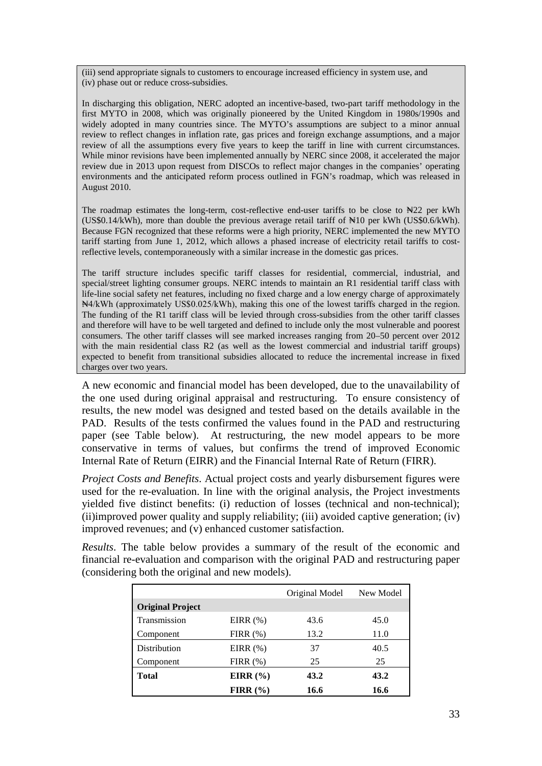(iii) send appropriate signals to customers to encourage increased efficiency in system use, and (iv) phase out or reduce cross-subsidies.

In discharging this obligation, NERC adopted an incentive-based, two-part tariff methodology in the first MYTO in 2008, which was originally pioneered by the United Kingdom in 1980s/1990s and widely adopted in many countries since. The MYTO's assumptions are subject to a minor annual review to reflect changes in inflation rate, gas prices and foreign exchange assumptions, and a major review of all the assumptions every five years to keep the tariff in line with current circumstances. While minor revisions have been implemented annually by NERC since 2008, it accelerated the major review due in 2013 upon request from DISCOs to reflect major changes in the companies' operating environments and the anticipated reform process outlined in FGN's roadmap, which was released in August 2010.

The roadmap estimates the long-term, cost-reflective end-user tariffs to be close to ₦22 per kWh (US\$0.14/kWh), more than double the previous average retail tariff of ₦10 per kWh (US\$0.6/kWh). Because FGN recognized that these reforms were a high priority, NERC implemented the new MYTO tariff starting from June 1, 2012, which allows a phased increase of electricity retail tariffs to costreflective levels, contemporaneously with a similar increase in the domestic gas prices.

The tariff structure includes specific tariff classes for residential, commercial, industrial, and special/street lighting consumer groups. NERC intends to maintain an R1 residential tariff class with life-line social safety net features, including no fixed charge and a low energy charge of approximately ₦4/kWh (approximately US\$0.025/kWh), making this one of the lowest tariffs charged in the region. The funding of the R1 tariff class will be levied through cross-subsidies from the other tariff classes and therefore will have to be well targeted and defined to include only the most vulnerable and poorest consumers. The other tariff classes will see marked increases ranging from 20–50 percent over 2012 with the main residential class R2 (as well as the lowest commercial and industrial tariff groups) expected to benefit from transitional subsidies allocated to reduce the incremental increase in fixed charges over two years.

A new economic and financial model has been developed, due to the unavailability of the one used during original appraisal and restructuring. To ensure consistency of results, the new model was designed and tested based on the details available in the PAD. Results of the tests confirmed the values found in the PAD and restructuring paper (see Table below). At restructuring, the new model appears to be more conservative in terms of values, but confirms the trend of improved Economic Internal Rate of Return (EIRR) and the Financial Internal Rate of Return (FIRR).

*Project Costs and Benefits*. Actual project costs and yearly disbursement figures were used for the re-evaluation. In line with the original analysis, the Project investments yielded five distinct benefits: (i) reduction of losses (technical and non-technical); (ii)improved power quality and supply reliability; (iii) avoided captive generation; (iv) improved revenues; and (v) enhanced customer satisfaction.

*Results*. The table below provides a summary of the result of the economic and financial re-evaluation and comparison with the original PAD and restructuring paper (considering both the original and new models).

|                         |              | Original Model | New Model |
|-------------------------|--------------|----------------|-----------|
| <b>Original Project</b> |              |                |           |
| Transmission            | EIRR $(\%)$  | 43.6           | 45.0      |
| Component               | $FIRR(\% )$  | 13.2           | 11.0      |
| Distribution            | EIRR $(\%)$  | 37             | 40.5      |
| Component               | FIRR $(\%)$  | 25             | 25        |
| <b>Total</b>            | EIRR $(\% )$ | 43.2           | 43.2      |
|                         | FIRR $(\% )$ | 16.6           | 16.6      |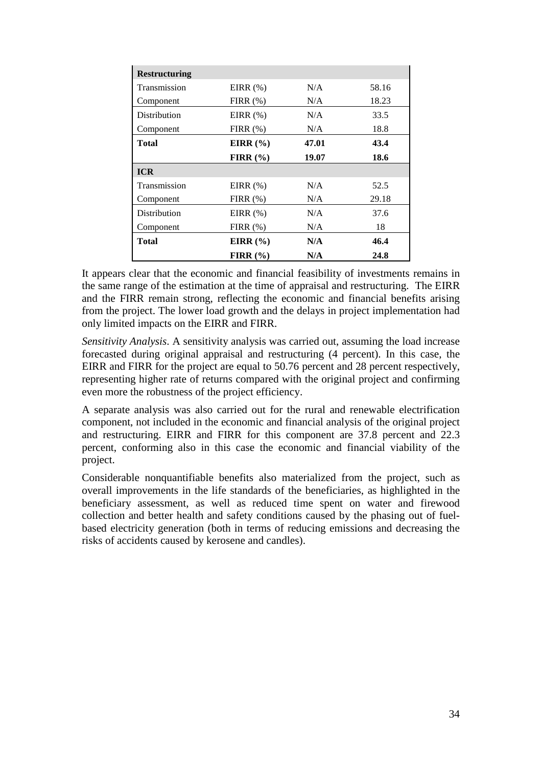| <b>Restructuring</b> |              |       |       |
|----------------------|--------------|-------|-------|
| Transmission         | EIRR $(\%)$  | N/A   | 58.16 |
| Component            | FIRR $(\%)$  | N/A   | 18.23 |
| Distribution         | EIRR $(\%)$  | N/A   | 33.5  |
| Component            | $FIRR(\%)$   | N/A   | 18.8  |
| Total                | EIRR $(\% )$ | 47.01 | 43.4  |
|                      | FIRR $(\% )$ | 19.07 | 18.6  |
| <b>ICR</b>           |              |       |       |
| Transmission         | EIRR $(\%)$  | N/A   | 52.5  |
| Component            | FIRR $(\%)$  | N/A   | 29.18 |
| Distribution         | EIRR $(\%)$  | N/A   | 37.6  |
| Component            | FIRR $(\%)$  | N/A   | 18    |
| Total                | EIRR $(\% )$ | N/A   | 46.4  |
|                      |              |       |       |

It appears clear that the economic and financial feasibility of investments remains in the same range of the estimation at the time of appraisal and restructuring. The EIRR and the FIRR remain strong, reflecting the economic and financial benefits arising from the project. The lower load growth and the delays in project implementation had only limited impacts on the EIRR and FIRR.

*Sensitivity Analysis*. A sensitivity analysis was carried out, assuming the load increase forecasted during original appraisal and restructuring (4 percent). In this case, the EIRR and FIRR for the project are equal to 50.76 percent and 28 percent respectively, representing higher rate of returns compared with the original project and confirming even more the robustness of the project efficiency.

A separate analysis was also carried out for the rural and renewable electrification component, not included in the economic and financial analysis of the original project and restructuring. EIRR and FIRR for this component are 37.8 percent and 22.3 percent, conforming also in this case the economic and financial viability of the project.

Considerable nonquantifiable benefits also materialized from the project, such as overall improvements in the life standards of the beneficiaries, as highlighted in the beneficiary assessment, as well as reduced time spent on water and firewood collection and better health and safety conditions caused by the phasing out of fuelbased electricity generation (both in terms of reducing emissions and decreasing the risks of accidents caused by kerosene and candles).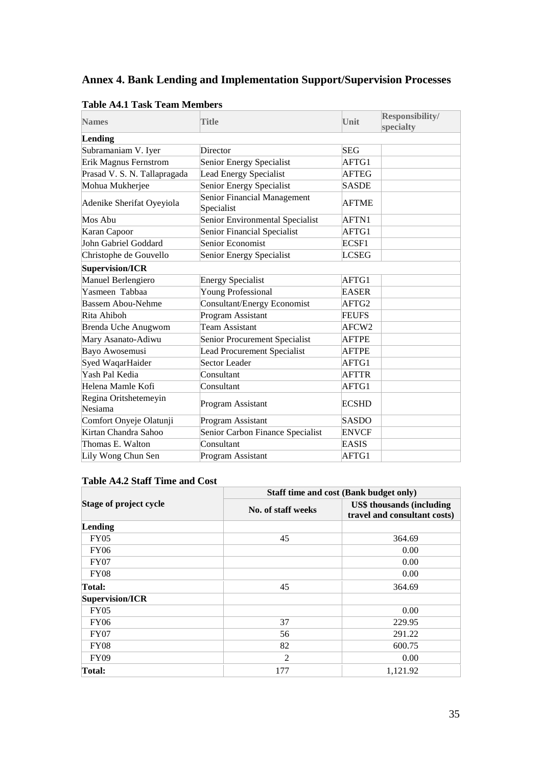# <span id="page-50-0"></span>**Annex 4. Bank Lending and Implementation Support/Supervision Processes**

| <b>Names</b>                     | <b>Title</b>                              | <b>Unit</b>       | Responsibility/<br>specialty |
|----------------------------------|-------------------------------------------|-------------------|------------------------------|
| Lending                          |                                           |                   |                              |
| Subramaniam V. Iyer              | Director                                  | <b>SEG</b>        |                              |
| <b>Erik Magnus Fernstrom</b>     | Senior Energy Specialist                  | AFTG1             |                              |
| Prasad V. S. N. Tallapragada     | Lead Energy Specialist                    | <b>AFTEG</b>      |                              |
| Mohua Mukherjee                  | Senior Energy Specialist                  | <b>SASDE</b>      |                              |
| Adenike Sherifat Oyeyiola        | Senior Financial Management<br>Specialist | <b>AFTME</b>      |                              |
| Mos Abu                          | Senior Environmental Specialist           | AFTN1             |                              |
| Karan Capoor                     | Senior Financial Specialist               | AFTG1             |                              |
| John Gabriel Goddard             | Senior Economist                          | ECSF1             |                              |
| Christophe de Gouvello           | Senior Energy Specialist                  | <b>LCSEG</b>      |                              |
| <b>Supervision/ICR</b>           |                                           |                   |                              |
| Manuel Berlengiero               | <b>Energy Specialist</b>                  | AFTG1             |                              |
| Yasmeen Tabbaa                   | <b>Young Professional</b>                 | <b>EASER</b>      |                              |
| <b>Bassem Abou-Nehme</b>         | <b>Consultant/Energy Economist</b>        | AFTG <sub>2</sub> |                              |
| Rita Ahiboh                      | Program Assistant                         | <b>FEUFS</b>      |                              |
| Brenda Uche Anugwom              | <b>Team Assistant</b>                     | AFCW2             |                              |
| Mary Asanato-Adiwu               | Senior Procurement Specialist             | <b>AFTPE</b>      |                              |
| Bayo Awosemusi                   | <b>Lead Procurement Specialist</b>        | <b>AFTPE</b>      |                              |
| Syed WaqarHaider                 | Sector Leader                             | AFTG1             |                              |
| Yash Pal Kedia                   | Consultant                                | <b>AFTTR</b>      |                              |
| Helena Mamle Kofi                | Consultant                                | AFTG1             |                              |
| Regina Oritshetemeyin<br>Nesiama | Program Assistant                         | <b>ECSHD</b>      |                              |
| Comfort Onyeje Olatunji          | Program Assistant                         | <b>SASDO</b>      |                              |
| Kirtan Chandra Sahoo             | Senior Carbon Finance Specialist          | ENVCF             |                              |
| Thomas E. Walton                 | Consultant                                | <b>EASIS</b>      |                              |
| Lily Wong Chun Sen               | Program Assistant                         | AFTG1             |                              |

#### **Table A4.1 Task Team Members**

## **Table A4.2 Staff Time and Cost**

|                               | Staff time and cost (Bank budget only) |                                                                  |  |  |
|-------------------------------|----------------------------------------|------------------------------------------------------------------|--|--|
| <b>Stage of project cycle</b> | No. of staff weeks                     | <b>US\$</b> thousands (including<br>travel and consultant costs) |  |  |
| Lending                       |                                        |                                                                  |  |  |
| FY05                          | 45                                     | 364.69                                                           |  |  |
| <b>FY06</b>                   |                                        | 0.00                                                             |  |  |
| <b>FY07</b>                   |                                        | 0.00                                                             |  |  |
| <b>FY08</b>                   |                                        | 0.00                                                             |  |  |
| Total:                        | 45                                     | 364.69                                                           |  |  |
| Supervision/ICR               |                                        |                                                                  |  |  |
| <b>FY05</b>                   |                                        | 0.00                                                             |  |  |
| <b>FY06</b>                   | 37                                     | 229.95                                                           |  |  |
| FY07                          | 56                                     | 291.22                                                           |  |  |
| FY08                          | 82                                     | 600.75                                                           |  |  |
| <b>FY09</b>                   | $\overline{2}$                         | 0.00                                                             |  |  |
| Total:                        | 177                                    | 1,121.92                                                         |  |  |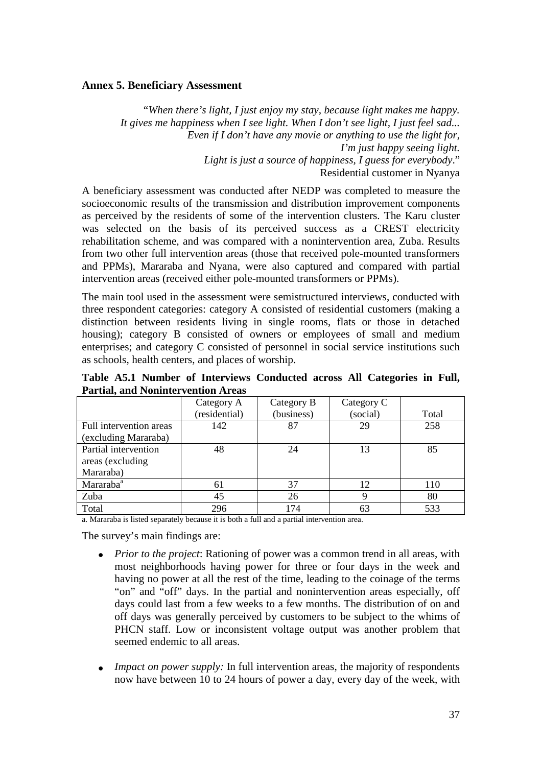#### **Annex 5. Beneficiary Assessment**

"*When there's light, I just enjoy my stay, because light makes me happy. It gives me happiness when I see light. When I don't see light, I just feel sad... Even if I don't have any movie or anything to use the light for, I'm just happy seeing light. Light is just a source of happiness, I guess for everybody*." Residential customer in Nyanya

A beneficiary assessment was conducted after NEDP was completed to measure the socioeconomic results of the transmission and distribution improvement components as perceived by the residents of some of the intervention clusters. The Karu cluster was selected on the basis of its perceived success as a CREST electricity rehabilitation scheme, and was compared with a nonintervention area, Zuba. Results from two other full intervention areas (those that received pole-mounted transformers and PPMs), Mararaba and Nyana, were also captured and compared with partial intervention areas (received either pole-mounted transformers or PPMs).

The main tool used in the assessment were semistructured interviews, conducted with three respondent categories: category A consisted of residential customers (making a distinction between residents living in single rooms, flats or those in detached housing); category B consisted of owners or employees of small and medium enterprises; and category C consisted of personnel in social service institutions such as schools, health centers, and places of worship.

**Table A5.1 Number of Interviews Conducted across All Categories in Full, Partial, and Nonintervention Areas**

|                         | Category A    | Category B | Category C |       |
|-------------------------|---------------|------------|------------|-------|
|                         | (residential) | (business) | (social)   | Total |
| Full intervention areas | 142           | 87         | 29         | 258   |
| (excluding Mararaba)    |               |            |            |       |
| Partial intervention    | 48            | 24         | 13         | 85    |
| areas (excluding)       |               |            |            |       |
| Mararaba)               |               |            |            |       |
| Mararaba <sup>a</sup>   | 61            | 37         | 12         | 110   |
| Zuba                    | 45            | 26         | Q          | 80    |
| Total                   | 296           | 174        |            | 533   |

a. Mararaba is listed separately because it is both a full and a partial intervention area.

The survey's main findings are:

- *Prior to the project*: Rationing of power was a common trend in all areas, with most neighborhoods having power for three or four days in the week and having no power at all the rest of the time, leading to the coinage of the terms "on" and "off" days. In the partial and nonintervention areas especially, off days could last from a few weeks to a few months. The distribution of on and off days was generally perceived by customers to be subject to the whims of PHCN staff. Low or inconsistent voltage output was another problem that seemed endemic to all areas.
- *Impact on power supply:* In full intervention areas, the majority of respondents now have between 10 to 24 hours of power a day, every day of the week, with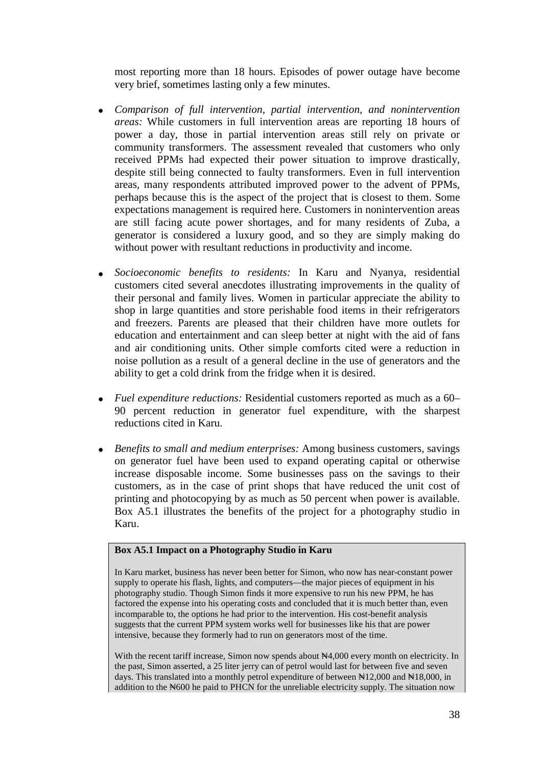most reporting more than 18 hours. Episodes of power outage have become very brief, sometimes lasting only a few minutes.

- *Comparison of full intervention, partial intervention, and nonintervention areas:* While customers in full intervention areas are reporting 18 hours of power a day, those in partial intervention areas still rely on private or community transformers. The assessment revealed that customers who only received PPMs had expected their power situation to improve drastically, despite still being connected to faulty transformers. Even in full intervention areas, many respondents attributed improved power to the advent of PPMs, perhaps because this is the aspect of the project that is closest to them. Some expectations management is required here. Customers in nonintervention areas are still facing acute power shortages, and for many residents of Zuba, a generator is considered a luxury good, and so they are simply making do without power with resultant reductions in productivity and income.
- *Socioeconomic benefits to residents:* In Karu and Nyanya, residential customers cited several anecdotes illustrating improvements in the quality of their personal and family lives. Women in particular appreciate the ability to shop in large quantities and store perishable food items in their refrigerators and freezers. Parents are pleased that their children have more outlets for education and entertainment and can sleep better at night with the aid of fans and air conditioning units. Other simple comforts cited were a reduction in noise pollution as a result of a general decline in the use of generators and the ability to get a cold drink from the fridge when it is desired.
- *Fuel expenditure reductions:* Residential customers reported as much as a 60– 90 percent reduction in generator fuel expenditure, with the sharpest reductions cited in Karu.
- *Benefits to small and medium enterprises:* Among business customers, savings on generator fuel have been used to expand operating capital or otherwise increase disposable income. Some businesses pass on the savings to their customers, as in the case of print shops that have reduced the unit cost of printing and photocopying by as much as 50 percent when power is available. Box A5.1 illustrates the benefits of the project for a photography studio in Karu.

#### **Box A5.1 Impact on a Photography Studio in Karu**

In Karu market, business has never been better for Simon, who now has near-constant power supply to operate his flash, lights, and computers—the major pieces of equipment in his photography studio. Though Simon finds it more expensive to run his new PPM, he has factored the expense into his operating costs and concluded that it is much better than, even incomparable to, the options he had prior to the intervention. His cost-benefit analysis suggests that the current PPM system works well for businesses like his that are power intensive, because they formerly had to run on generators most of the time.

With the recent tariff increase, Simon now spends about  $\mathbb{N}4,000$  every month on electricity. In the past, Simon asserted, a 25 liter jerry can of petrol would last for between five and seven days. This translated into a monthly petrol expenditure of between  $\text{N12,000}$  and  $\text{N18,000}$ , in addition to the  $\text{N}600$  he paid to PHCN for the unreliable electricity supply. The situation now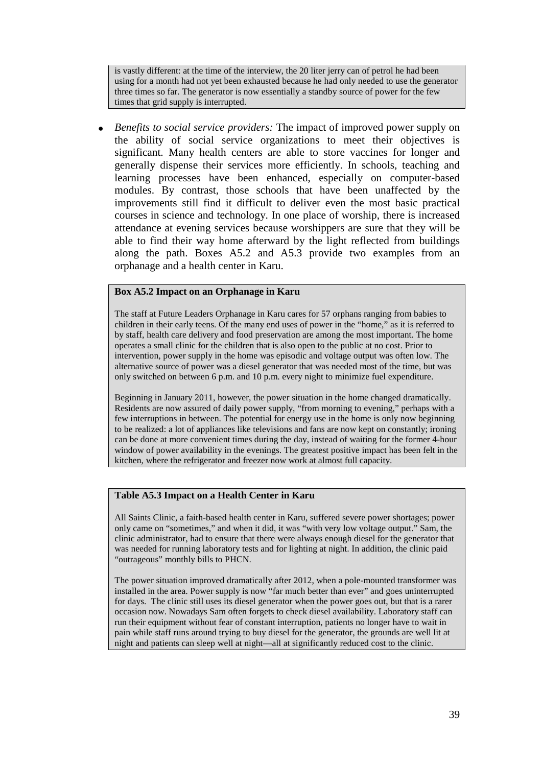is vastly different: at the time of the interview, the 20 liter jerry can of petrol he had been using for a month had not yet been exhausted because he had only needed to use the generator three times so far. The generator is now essentially a standby source of power for the few times that grid supply is interrupted.

• *Benefits to social service providers:* The impact of improved power supply on the ability of social service organizations to meet their objectives is significant. Many health centers are able to store vaccines for longer and generally dispense their services more efficiently. In schools, teaching and learning processes have been enhanced, especially on computer-based modules. By contrast, those schools that have been unaffected by the improvements still find it difficult to deliver even the most basic practical courses in science and technology. In one place of worship, there is increased attendance at evening services because worshippers are sure that they will be able to find their way home afterward by the light reflected from buildings along the path. Boxes A5.2 and A5.3 provide two examples from an orphanage and a health center in Karu.

#### **Box A5.2 Impact on an Orphanage in Karu**

The staff at Future Leaders Orphanage in Karu cares for 57 orphans ranging from babies to children in their early teens. Of the many end uses of power in the "home," as it is referred to by staff, health care delivery and food preservation are among the most important. The home operates a small clinic for the children that is also open to the public at no cost. Prior to intervention, power supply in the home was episodic and voltage output was often low. The alternative source of power was a diesel generator that was needed most of the time, but was only switched on between 6 p.m. and 10 p.m. every night to minimize fuel expenditure.

Beginning in January 2011, however, the power situation in the home changed dramatically. Residents are now assured of daily power supply, "from morning to evening," perhaps with a few interruptions in between. The potential for energy use in the home is only now beginning to be realized: a lot of appliances like televisions and fans are now kept on constantly; ironing can be done at more convenient times during the day, instead of waiting for the former 4-hour window of power availability in the evenings. The greatest positive impact has been felt in the kitchen, where the refrigerator and freezer now work at almost full capacity.

#### **Table A5.3 Impact on a Health Center in Karu**

All Saints Clinic, a faith-based health center in Karu, suffered severe power shortages; power only came on "sometimes," and when it did, it was "with very low voltage output." Sam, the clinic administrator, had to ensure that there were always enough diesel for the generator that was needed for running laboratory tests and for lighting at night. In addition, the clinic paid "outrageous" monthly bills to PHCN.

The power situation improved dramatically after 2012, when a pole-mounted transformer was installed in the area. Power supply is now "far much better than ever" and goes uninterrupted for days. The clinic still uses its diesel generator when the power goes out, but that is a rarer occasion now. Nowadays Sam often forgets to check diesel availability. Laboratory staff can run their equipment without fear of constant interruption, patients no longer have to wait in pain while staff runs around trying to buy diesel for the generator, the grounds are well lit at night and patients can sleep well at night—all at significantly reduced cost to the clinic.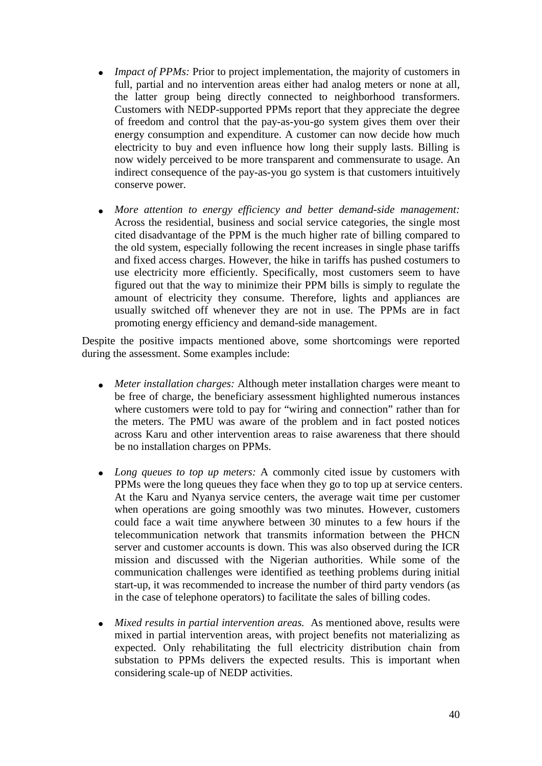- *Impact of PPMs:* Prior to project implementation, the majority of customers in full, partial and no intervention areas either had analog meters or none at all, the latter group being directly connected to neighborhood transformers. Customers with NEDP-supported PPMs report that they appreciate the degree of freedom and control that the pay-as-you-go system gives them over their energy consumption and expenditure. A customer can now decide how much electricity to buy and even influence how long their supply lasts. Billing is now widely perceived to be more transparent and commensurate to usage. An indirect consequence of the pay-as-you go system is that customers intuitively conserve power.
- *More attention to energy efficiency and better demand-side management:*  Across the residential, business and social service categories, the single most cited disadvantage of the PPM is the much higher rate of billing compared to the old system, especially following the recent increases in single phase tariffs and fixed access charges. However, the hike in tariffs has pushed costumers to use electricity more efficiently. Specifically, most customers seem to have figured out that the way to minimize their PPM bills is simply to regulate the amount of electricity they consume. Therefore, lights and appliances are usually switched off whenever they are not in use. The PPMs are in fact promoting energy efficiency and demand-side management.

Despite the positive impacts mentioned above, some shortcomings were reported during the assessment. Some examples include:

- *Meter installation charges:* Although meter installation charges were meant to be free of charge, the beneficiary assessment highlighted numerous instances where customers were told to pay for "wiring and connection" rather than for the meters. The PMU was aware of the problem and in fact posted notices across Karu and other intervention areas to raise awareness that there should be no installation charges on PPMs.
- *Long queues to top up meters:* A commonly cited issue by customers with PPMs were the long queues they face when they go to top up at service centers. At the Karu and Nyanya service centers, the average wait time per customer when operations are going smoothly was two minutes. However, customers could face a wait time anywhere between 30 minutes to a few hours if the telecommunication network that transmits information between the PHCN server and customer accounts is down. This was also observed during the ICR mission and discussed with the Nigerian authorities. While some of the communication challenges were identified as teething problems during initial start-up, it was recommended to increase the number of third party vendors (as in the case of telephone operators) to facilitate the sales of billing codes.
- *Mixed results in partial intervention areas.* As mentioned above, results were mixed in partial intervention areas, with project benefits not materializing as expected. Only rehabilitating the full electricity distribution chain from substation to PPMs delivers the expected results. This is important when considering scale-up of NEDP activities.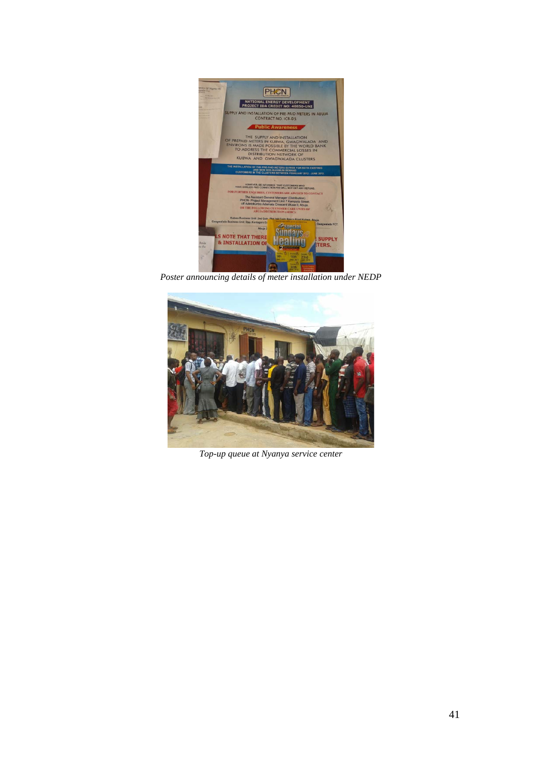

*Poster announcing details of meter installation under NEDP*



*Top-up queue at Nyanya service center*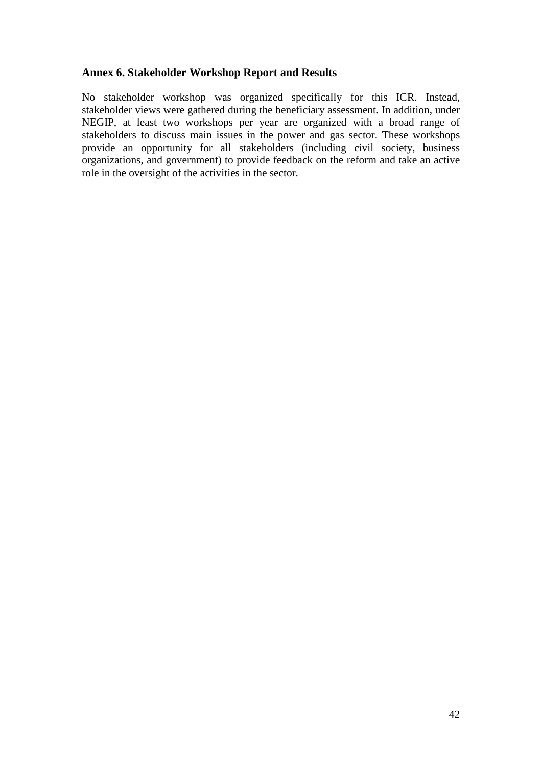#### <span id="page-57-0"></span>**Annex 6. Stakeholder Workshop Report and Results**

No stakeholder workshop was organized specifically for this ICR. Instead, stakeholder views were gathered during the beneficiary assessment. In addition, under NEGIP, at least two workshops per year are organized with a broad range of stakeholders to discuss main issues in the power and gas sector. These workshops provide an opportunity for all stakeholders (including civil society, business organizations, and government) to provide feedback on the reform and take an active role in the oversight of the activities in the sector.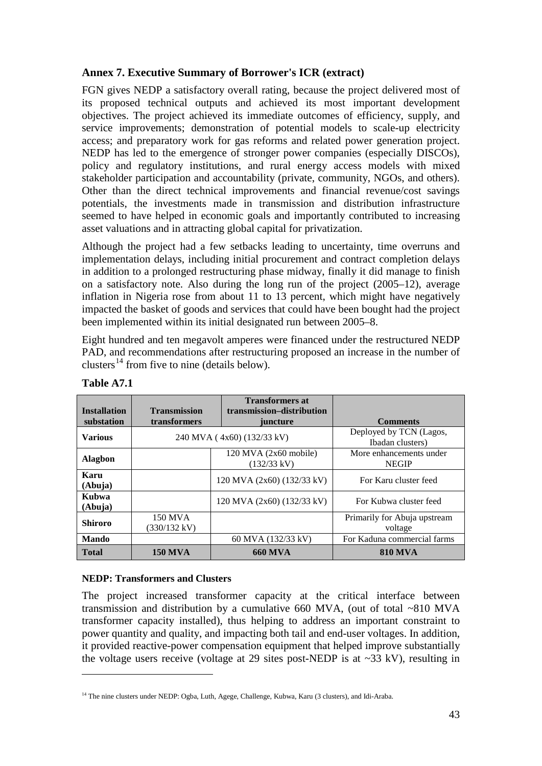## <span id="page-58-0"></span>**Annex 7. Executive Summary of Borrower's ICR (extract)**

FGN gives NEDP a satisfactory overall rating, because the project delivered most of its proposed technical outputs and achieved its most important development objectives. The project achieved its immediate outcomes of efficiency, supply, and service improvements; demonstration of potential models to scale-up electricity access; and preparatory work for gas reforms and related power generation project. NEDP has led to the emergence of stronger power companies (especially DISCOs), policy and regulatory institutions, and rural energy access models with mixed stakeholder participation and accountability (private, community, NGOs, and others). Other than the direct technical improvements and financial revenue/cost savings potentials, the investments made in transmission and distribution infrastructure seemed to have helped in economic goals and importantly contributed to increasing asset valuations and in attracting global capital for privatization.

Although the project had a few setbacks leading to uncertainty, time overruns and implementation delays, including initial procurement and contract completion delays in addition to a prolonged restructuring phase midway, finally it did manage to finish on a satisfactory note. Also during the long run of the project (2005–12), average inflation in Nigeria rose from about 11 to 13 percent, which might have negatively impacted the basket of goods and services that could have been bought had the project been implemented within its initial designated run between 2005–8.

Eight hundred and ten megavolt amperes were financed under the restructured NEDP PAD, and recommendations after restructuring proposed an increase in the number of clusters<sup>[14](#page-58-1)</sup> from five to nine (details below).

| <b>Installation</b> | <b>Transmission</b>     | <b>Transformers at</b><br>transmission-distribution |                                             |
|---------------------|-------------------------|-----------------------------------------------------|---------------------------------------------|
| substation          | transformers            | juncture                                            | <b>Comments</b>                             |
| <b>Various</b>      |                         | 240 MVA (4x60) (132/33 kV)                          | Deployed by TCN (Lagos,<br>Ibadan clusters) |
| <b>Alagbon</b>      |                         | $120$ MVA $(2x60$ mobile)<br>$(132/33 \text{ kV})$  | More enhancements under<br><b>NEGIP</b>     |
| Karu<br>(Abuja)     |                         | 120 MVA (2x60) (132/33 kV)                          | For Karu cluster feed                       |
| Kubwa<br>(Abuja)    |                         | 120 MVA (2x60) (132/33 kV)                          | For Kubwa cluster feed                      |
| <b>Shiroro</b>      | 150 MVA<br>(330/132 kV) |                                                     | Primarily for Abuja upstream<br>voltage     |
| <b>Mando</b>        |                         | 60 MVA (132/33 kV)                                  | For Kaduna commercial farms                 |
| <b>Total</b>        | <b>150 MVA</b>          | <b>660 MVA</b>                                      | <b>810 MVA</b>                              |

#### **Table A7.1**

<u>.</u>

#### **NEDP: Transformers and Clusters**

The project increased transformer capacity at the critical interface between transmission and distribution by a cumulative 660 MVA, (out of total ~810 MVA transformer capacity installed), thus helping to address an important constraint to power quantity and quality, and impacting both tail and end-user voltages. In addition, it provided reactive-power compensation equipment that helped improve substantially the voltage users receive (voltage at 29 sites post-NEDP is at  $\sim$ 33 kV), resulting in

<span id="page-58-1"></span><sup>&</sup>lt;sup>14</sup> The nine clusters under NEDP: Ogba, Luth, Agege, Challenge, Kubwa, Karu (3 clusters), and Idi-Araba.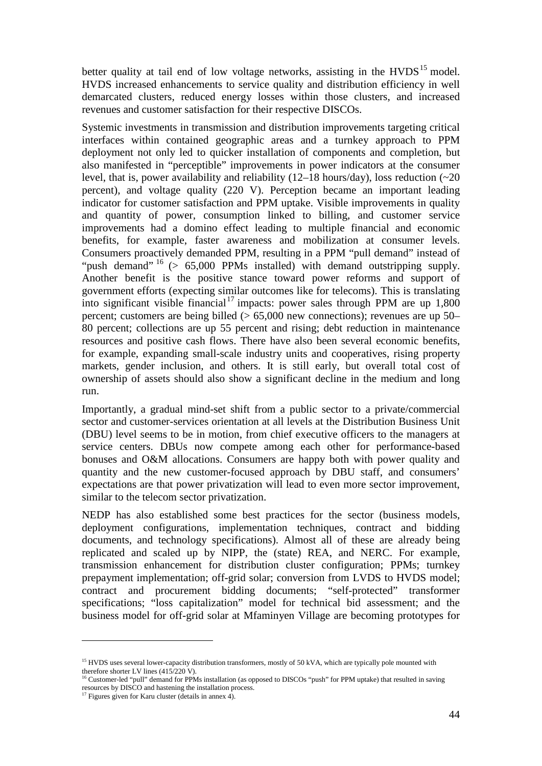better quality at tail end of low voltage networks, assisting in the  $HVDS<sup>15</sup>$  $HVDS<sup>15</sup>$  $HVDS<sup>15</sup>$  model. HVDS increased enhancements to service quality and distribution efficiency in well demarcated clusters, reduced energy losses within those clusters, and increased revenues and customer satisfaction for their respective DISCOs.

Systemic investments in transmission and distribution improvements targeting critical interfaces within contained geographic areas and a turnkey approach to PPM deployment not only led to quicker installation of components and completion, but also manifested in "perceptible" improvements in power indicators at the consumer level, that is, power availability and reliability  $(12-18 \text{ hours/day})$ , loss reduction  $(\sim 20$ percent), and voltage quality (220 V). Perception became an important leading indicator for customer satisfaction and PPM uptake. Visible improvements in quality and quantity of power, consumption linked to billing, and customer service improvements had a domino effect leading to multiple financial and economic benefits, for example, faster awareness and mobilization at consumer levels. Consumers proactively demanded PPM, resulting in a PPM "pull demand" instead of "push demand" <sup>[16](#page-59-1)</sup> (> 65,000 PPMs installed) with demand outstripping supply. Another benefit is the positive stance toward power reforms and support of government efforts (expecting similar outcomes like for telecoms). This is translating into significant visible financial<sup>[17](#page-59-2)</sup> impacts: power sales through PPM are up  $1,800$ percent; customers are being billed  $(> 65,000$  new connections); revenues are up 50– 80 percent; collections are up 55 percent and rising; debt reduction in maintenance resources and positive cash flows. There have also been several economic benefits, for example, expanding small-scale industry units and cooperatives, rising property markets, gender inclusion, and others. It is still early, but overall total cost of ownership of assets should also show a significant decline in the medium and long run.

Importantly, a gradual mind-set shift from a public sector to a private/commercial sector and customer-services orientation at all levels at the Distribution Business Unit (DBU) level seems to be in motion, from chief executive officers to the managers at service centers. DBUs now compete among each other for performance-based bonuses and O&M allocations. Consumers are happy both with power quality and quantity and the new customer-focused approach by DBU staff, and consumers' expectations are that power privatization will lead to even more sector improvement, similar to the telecom sector privatization.

NEDP has also established some best practices for the sector (business models, deployment configurations, implementation techniques, contract and bidding documents, and technology specifications). Almost all of these are already being replicated and scaled up by NIPP, the (state) REA, and NERC. For example, transmission enhancement for distribution cluster configuration; PPMs; turnkey prepayment implementation; off-grid solar; conversion from LVDS to HVDS model; contract and procurement bidding documents; "self-protected" transformer specifications; "loss capitalization" model for technical bid assessment; and the business model for off-grid solar at Mfaminyen Village are becoming prototypes for

-

<span id="page-59-0"></span><sup>&</sup>lt;sup>15</sup> HVDS uses several lower-capacity distribution transformers, mostly of 50 kVA, which are typically pole mounted with therefore shorter LV lines (415/220 V).

<span id="page-59-1"></span><sup>&</sup>lt;sup>16</sup> Customer-led "pull" demand for PPMs installation (as opposed to DISCOs "push" for PPM uptake) that resulted in saving resources by DISCO and hastening the installation process.

<span id="page-59-2"></span> $17$  Figures given for Karu cluster (details in annex 4).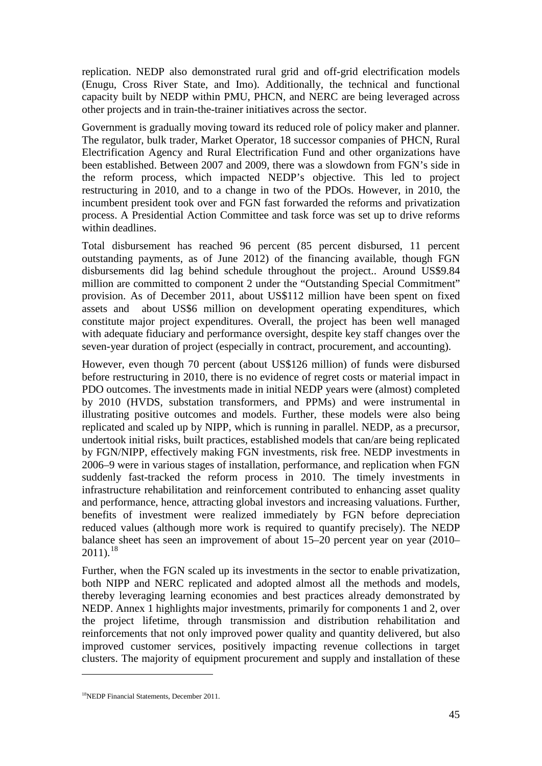replication. NEDP also demonstrated rural grid and off-grid electrification models (Enugu, Cross River State, and Imo). Additionally, the technical and functional capacity built by NEDP within PMU, PHCN, and NERC are being leveraged across other projects and in train-the-trainer initiatives across the sector.

Government is gradually moving toward its reduced role of policy maker and planner. The regulator, bulk trader, Market Operator, 18 successor companies of PHCN, Rural Electrification Agency and Rural Electrification Fund and other organizations have been established. Between 2007 and 2009, there was a slowdown from FGN's side in the reform process, which impacted NEDP's objective. This led to project restructuring in 2010, and to a change in two of the PDOs. However, in 2010, the incumbent president took over and FGN fast forwarded the reforms and privatization process. A Presidential Action Committee and task force was set up to drive reforms within deadlines.

Total disbursement has reached 96 percent (85 percent disbursed, 11 percent outstanding payments, as of June 2012) of the financing available, though FGN disbursements did lag behind schedule throughout the project.. Around US\$9.84 million are committed to component 2 under the "Outstanding Special Commitment" provision. As of December 2011, about US\$112 million have been spent on fixed assets and about US\$6 million on development operating expenditures, which constitute major project expenditures. Overall, the project has been well managed with adequate fiduciary and performance oversight, despite key staff changes over the seven-year duration of project (especially in contract, procurement, and accounting).

However, even though 70 percent (about US\$126 million) of funds were disbursed before restructuring in 2010, there is no evidence of regret costs or material impact in PDO outcomes. The investments made in initial NEDP years were (almost) completed by 2010 (HVDS, substation transformers, and PPMs) and were instrumental in illustrating positive outcomes and models. Further, these models were also being replicated and scaled up by NIPP, which is running in parallel. NEDP, as a precursor, undertook initial risks, built practices, established models that can/are being replicated by FGN/NIPP, effectively making FGN investments, risk free. NEDP investments in 2006–9 were in various stages of installation, performance, and replication when FGN suddenly fast-tracked the reform process in 2010. The timely investments in infrastructure rehabilitation and reinforcement contributed to enhancing asset quality and performance, hence, attracting global investors and increasing valuations. Further, benefits of investment were realized immediately by FGN before depreciation reduced values (although more work is required to quantify precisely). The NEDP balance sheet has seen an improvement of about 15–20 percent year on year (2010–  $2011$ ).<sup>[18](#page-60-0)</sup>

Further, when the FGN scaled up its investments in the sector to enable privatization, both NIPP and NERC replicated and adopted almost all the methods and models, thereby leveraging learning economies and best practices already demonstrated by NEDP. Annex 1 highlights major investments, primarily for components 1 and 2, over the project lifetime, through transmission and distribution rehabilitation and reinforcements that not only improved power quality and quantity delivered, but also improved customer services, positively impacting revenue collections in target clusters. The majority of equipment procurement and supply and installation of these

<u>.</u>

<span id="page-60-0"></span><sup>18</sup>NEDP Financial Statements, December 2011.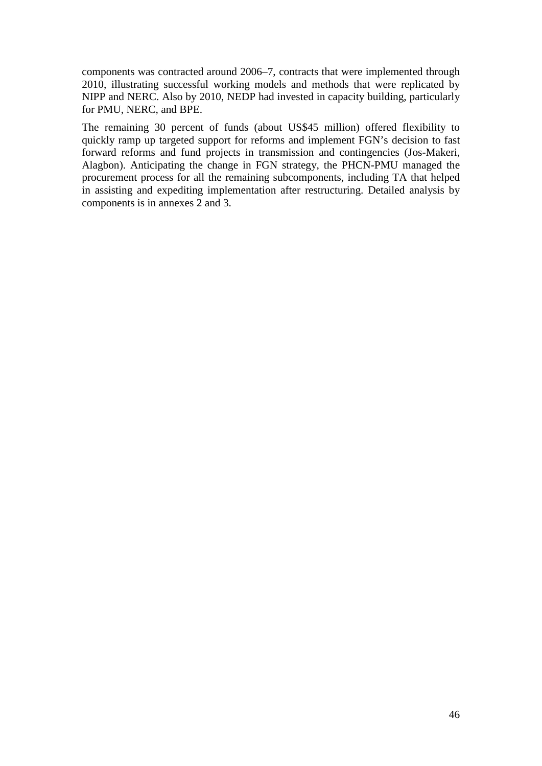components was contracted around 2006–7, contracts that were implemented through 2010, illustrating successful working models and methods that were replicated by NIPP and NERC. Also by 2010, NEDP had invested in capacity building, particularly for PMU, NERC, and BPE.

The remaining 30 percent of funds (about US\$45 million) offered flexibility to quickly ramp up targeted support for reforms and implement FGN's decision to fast forward reforms and fund projects in transmission and contingencies (Jos-Makeri, Alagbon). Anticipating the change in FGN strategy, the PHCN-PMU managed the procurement process for all the remaining subcomponents, including TA that helped in assisting and expediting implementation after restructuring. Detailed analysis by components is in annexes 2 and 3.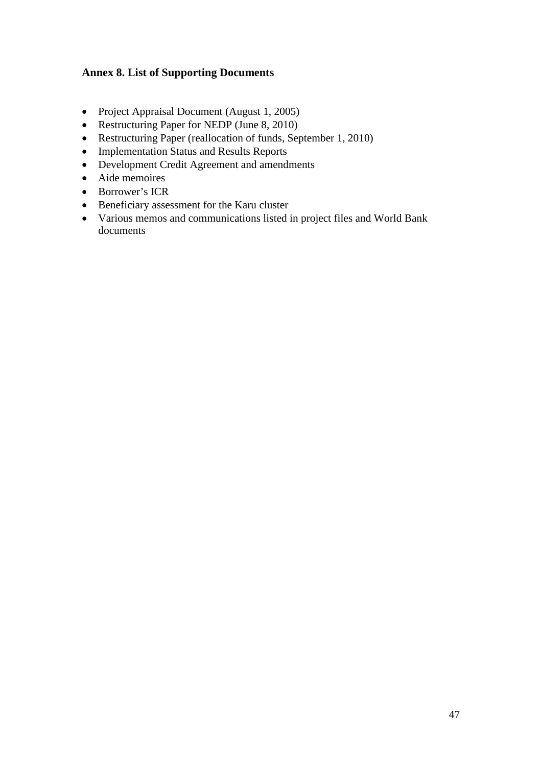## <span id="page-62-0"></span>**Annex 8. List of Supporting Documents**

- Project Appraisal Document (August 1, 2005)
- Restructuring Paper for NEDP (June 8, 2010)
- Restructuring Paper (reallocation of funds, September 1, 2010)
- Implementation Status and Results Reports
- Development Credit Agreement and amendments
- Aide memoires
- Borrower's ICR
- Beneficiary assessment for the Karu cluster
- Various memos and communications listed in project files and World Bank documents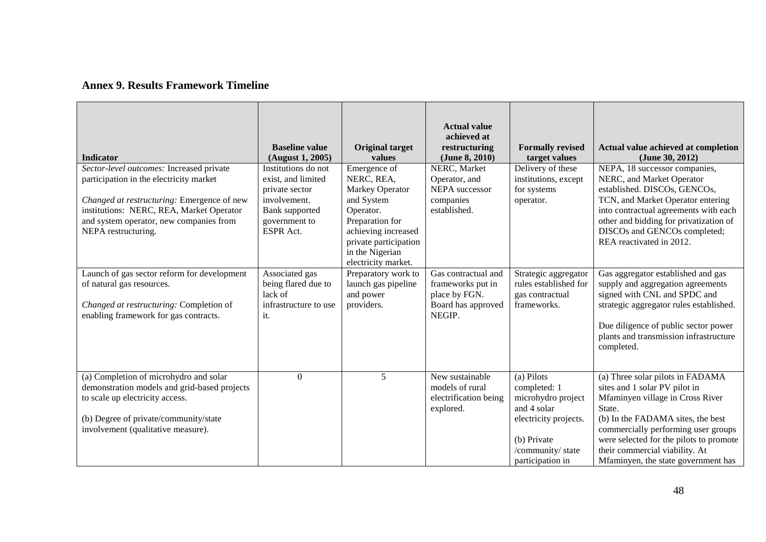## **Annex 9. Results Framework Timeline**

<span id="page-63-0"></span>

| Indicator<br>Sector-level outcomes: Increased private<br>participation in the electricity market<br>Changed at restructuring: Emergence of new<br>institutions: NERC, REA, Market Operator<br>and system operator, new companies from | <b>Baseline value</b><br>(August 1, 2005)<br>Institutions do not<br>exist, and limited<br>private sector<br>involvement.<br>Bank supported<br>government to | <b>Original target</b><br>values<br>Emergence of<br>NERC, REA,<br>Markey Operator<br>and System<br>Operator.<br>Preparation for | <b>Actual value</b><br>achieved at<br>restructuring<br>(June 8, 2010)<br>NERC, Market<br>Operator, and<br>NEPA successor<br>companies<br>established. | <b>Formally revised</b><br>target values<br>Delivery of these<br>institutions, except<br>for systems<br>operator.                                | Actual value achieved at completion<br>(June 30, 2012)<br>NEPA, 18 successor companies,<br>NERC, and Market Operator<br>established. DISCOs, GENCOs,<br>TCN, and Market Operator entering<br>into contractual agreements with each<br>other and bidding for privatization of                                    |
|---------------------------------------------------------------------------------------------------------------------------------------------------------------------------------------------------------------------------------------|-------------------------------------------------------------------------------------------------------------------------------------------------------------|---------------------------------------------------------------------------------------------------------------------------------|-------------------------------------------------------------------------------------------------------------------------------------------------------|--------------------------------------------------------------------------------------------------------------------------------------------------|-----------------------------------------------------------------------------------------------------------------------------------------------------------------------------------------------------------------------------------------------------------------------------------------------------------------|
| NEPA restructuring.                                                                                                                                                                                                                   | <b>ESPR</b> Act.                                                                                                                                            | achieving increased<br>private participation<br>in the Nigerian<br>electricity market.                                          |                                                                                                                                                       |                                                                                                                                                  | DISCOs and GENCOs completed;<br>REA reactivated in 2012.                                                                                                                                                                                                                                                        |
| Launch of gas sector reform for development<br>of natural gas resources.<br>Changed at restructuring: Completion of<br>enabling framework for gas contracts.                                                                          | Associated gas<br>being flared due to<br>lack of<br>infrastructure to use<br>it.                                                                            | Preparatory work to<br>launch gas pipeline<br>and power<br>providers.                                                           | Gas contractual and<br>frameworks put in<br>place by FGN.<br>Board has approved<br>NEGIP.                                                             | Strategic aggregator<br>rules established for<br>gas contractual<br>frameworks.                                                                  | Gas aggregator established and gas<br>supply and aggregation agreements<br>signed with CNL and SPDC and<br>strategic aggregator rules established.<br>Due diligence of public sector power<br>plants and transmission infrastructure<br>completed.                                                              |
| (a) Completion of microhydro and solar<br>demonstration models and grid-based projects<br>to scale up electricity access.<br>(b) Degree of private/community/state<br>involvement (qualitative measure).                              | $\Omega$                                                                                                                                                    | 5                                                                                                                               | New sustainable<br>models of rural<br>electrification being<br>explored.                                                                              | (a) Pilots<br>completed: 1<br>microhydro project<br>and 4 solar<br>electricity projects.<br>(b) Private<br>/community/ state<br>participation in | (a) Three solar pilots in FADAMA<br>sites and 1 solar PV pilot in<br>Mfaminyen village in Cross River<br>State.<br>(b) In the FADAMA sites, the best<br>commercially performing user groups<br>were selected for the pilots to promote<br>their commercial viability. At<br>Mfaminyen, the state government has |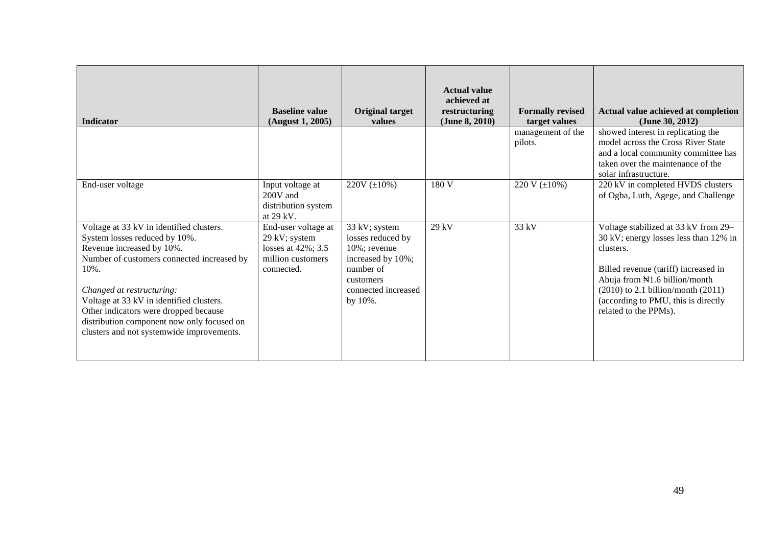| <b>Indicator</b>                                                                                                                                                                                                                                                                                                                                                              | <b>Baseline value</b><br>(August 1, 2005)                                                         | Original target<br>values                                                                                                           | <b>Actual value</b><br>achieved at<br>restructuring<br>(June 8, 2010) | <b>Formally revised</b><br>target values | Actual value achieved at completion<br>(June 30, 2012)                                                                                                                                                                                                                        |
|-------------------------------------------------------------------------------------------------------------------------------------------------------------------------------------------------------------------------------------------------------------------------------------------------------------------------------------------------------------------------------|---------------------------------------------------------------------------------------------------|-------------------------------------------------------------------------------------------------------------------------------------|-----------------------------------------------------------------------|------------------------------------------|-------------------------------------------------------------------------------------------------------------------------------------------------------------------------------------------------------------------------------------------------------------------------------|
|                                                                                                                                                                                                                                                                                                                                                                               |                                                                                                   |                                                                                                                                     |                                                                       | management of the<br>pilots.             | showed interest in replicating the<br>model across the Cross River State<br>and a local community committee has<br>taken over the maintenance of the<br>solar infrastructure.                                                                                                 |
| End-user voltage                                                                                                                                                                                                                                                                                                                                                              | Input voltage at<br>$200V$ and<br>distribution system<br>at 29 kV.                                | 220V $(\pm 10\%)$                                                                                                                   | 180 V                                                                 | 220 V $(\pm 10\%)$                       | 220 kV in completed HVDS clusters<br>of Ogba, Luth, Agege, and Challenge                                                                                                                                                                                                      |
| Voltage at 33 kV in identified clusters.<br>System losses reduced by 10%.<br>Revenue increased by 10%.<br>Number of customers connected increased by<br>$10\%$ .<br>Changed at restructuring:<br>Voltage at 33 kV in identified clusters.<br>Other indicators were dropped because<br>distribution component now only focused on<br>clusters and not systemwide improvements. | End-user voltage at<br>29 kV; system<br>losses at $42\%$ ; 3.5<br>million customers<br>connected. | 33 kV; system<br>losses reduced by<br>10%; revenue<br>increased by 10%;<br>number of<br>customers<br>connected increased<br>by 10%. | $29$ kV                                                               | 33 kV                                    | Voltage stabilized at 33 kV from 29-<br>30 kV; energy losses less than 12% in<br>clusters.<br>Billed revenue (tariff) increased in<br>Abuja from N1.6 billion/month<br>$(2010)$ to 2.1 billion/month $(2011)$<br>(according to PMU, this is directly<br>related to the PPMs). |